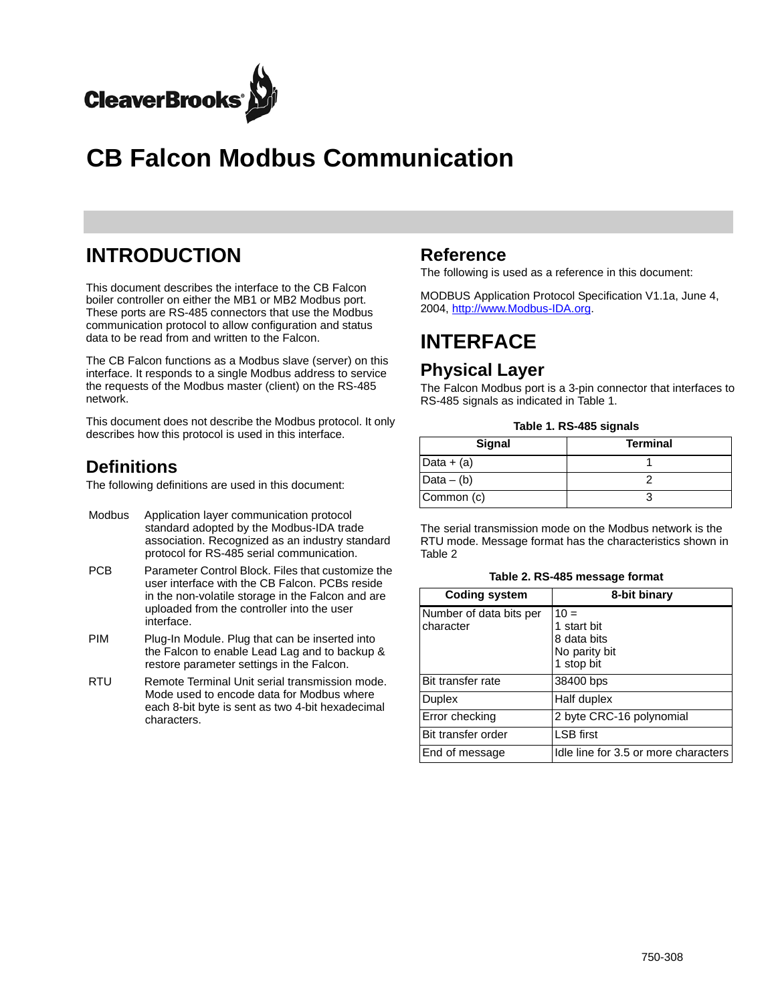

# **CB Falcon Modbus Communication**

# **INTRODUCTION** Reference

This document describes the interface to the CB Falcon boiler controller on either the MB1 or MB2 Modbus port. These ports are RS-485 connectors that use the Modbus communication protocol to allow configuration and status data to be read from and written to the Falcon.

The CB Falcon functions as a Modbus slave (server) on this interface. It responds to a single Modbus address to service the requests of the Modbus master (client) on the RS-485 network.

This document does not describe the Modbus protocol. It only describes how this protocol is used in this interface.

# **Definitions**

The following definitions are used in this document:

- Modbus Application layer communication protocol standard adopted by the Modbus-IDA trade association. Recognized as an industry standard protocol for RS-485 serial communication.
- PCB Parameter Control Block. Files that customize the user interface with the CB Falcon. PCBs reside in the non-volatile storage in the Falcon and are uploaded from the controller into the user interface.
- PIM Plug-In Module. Plug that can be inserted into the Falcon to enable Lead Lag and to backup & restore parameter settings in the Falcon.
- RTU Remote Terminal Unit serial transmission mode. Mode used to encode data for Modbus where each 8-bit byte is sent as two 4-bit hexadecimal characters.

The following is used as a reference in this document:

MODBUS Application Protocol Specification V1.1a, June 4, 2004, http://www.Modbus-IDA.org.

# **INTERFACE**

# **Physical Layer**

The Falcon Modbus port is a 3-pin connector that interfaces to RS-485 signals as indicated in Table 1.

#### **Table 1. RS-485 signals**

| Signal       | <b>Terminal</b> |
|--------------|-----------------|
| Data $+$ (a) |                 |
| Data $-$ (b) |                 |
| Common (c)   |                 |

The serial transmission mode on the Modbus network is the RTU mode. Message format has the characteristics shown in Table 2

#### **Table 2. RS-485 message format**

| <b>Coding system</b>                 | 8-bit binary                                                        |
|--------------------------------------|---------------------------------------------------------------------|
| Number of data bits per<br>character | $10 =$<br>1 start bit<br>8 data bits<br>No parity bit<br>1 stop bit |
| Bit transfer rate                    | 38400 bps                                                           |
| <b>Duplex</b>                        | Half duplex                                                         |
| Error checking                       | 2 byte CRC-16 polynomial                                            |
| Bit transfer order                   | <b>LSB</b> first                                                    |
| End of message                       | Idle line for 3.5 or more characters                                |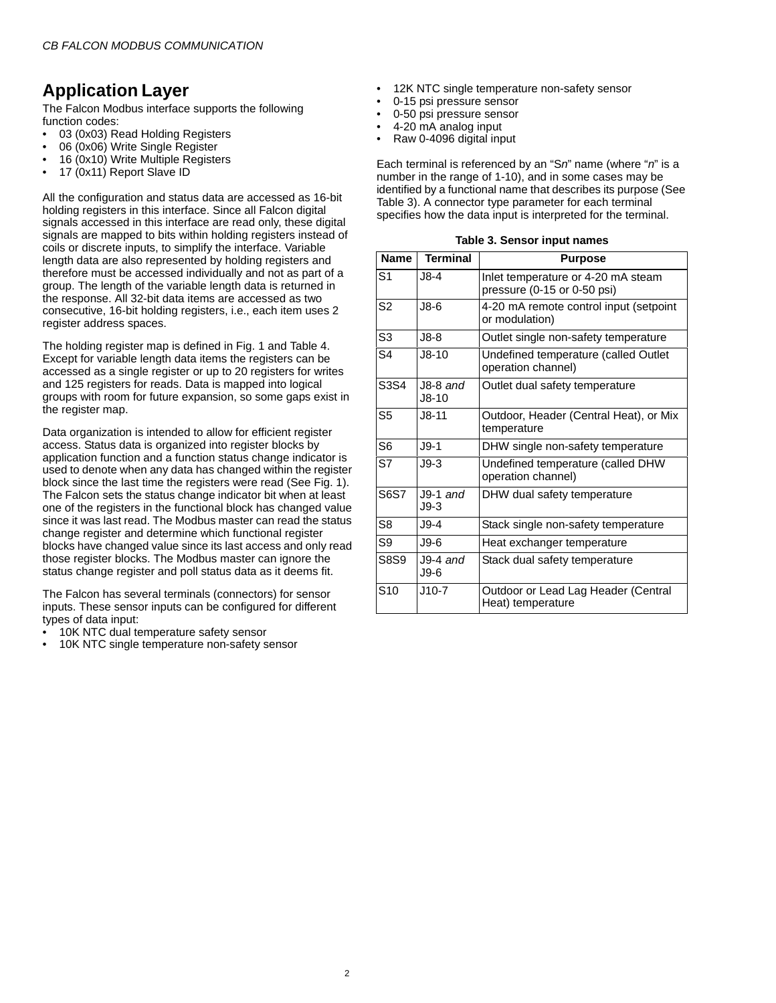# **Application Layer**

The Falcon Modbus interface supports the following function codes:

- 03 (0x03) Read Holding Registers
- 06 (0x06) Write Single Register
- 16 (0x10) Write Multiple Registers
- 17 (0x11) Report Slave ID

All the configuration and status data are accessed as 16-bit holding registers in this interface. Since all Falcon digital signals accessed in this interface are read only, these digital signals are mapped to bits within holding registers instead of coils or discrete inputs, to simplify the interface. Variable length data are also represented by holding registers and therefore must be accessed individually and not as part of a group. The length of the variable length data is returned in the response. All 32-bit data items are accessed as two consecutive, 16-bit holding registers, i.e., each item uses 2 register address spaces.

The holding register map is defined in Fig. 1 and Table 4. Except for variable length data items the registers can be accessed as a single register or up to 20 registers for writes and 125 registers for reads. Data is mapped into logical groups with room for future expansion, so some gaps exist in the register map.

Data organization is intended to allow for efficient register access. Status data is organized into register blocks by application function and a function status change indicator is used to denote when any data has changed within the register block since the last time the registers were read (See Fig. 1). The Falcon sets the status change indicator bit when at least one of the registers in the functional block has changed value since it was last read. The Modbus master can read the status change register and determine which functional register blocks have changed value since its last access and only read those register blocks. The Modbus master can ignore the status change register and poll status data as it deems fit.

The Falcon has several terminals (connectors) for sensor inputs. These sensor inputs can be configured for different types of data input:

- 10K NTC dual temperature safety sensor
- 10K NTC single temperature non-safety sensor
- 12K NTC single temperature non-safety sensor
- 0-15 psi pressure sensor
- 0-50 psi pressure sensor
- 4-20 mA analog input
- Raw 0-4096 digital input

Each terminal is referenced by an "S*n*" name (where "*n*" is a number in the range of 1-10), and in some cases may be identified by a functional name that describes its purpose (See Table 3). A connector type parameter for each terminal specifies how the data input is interpreted for the terminal.

| <b>Name</b>    | <b>Terminal</b>    | <b>Purpose</b>                                                    |
|----------------|--------------------|-------------------------------------------------------------------|
| S <sub>1</sub> | $J8-4$             | Inlet temperature or 4-20 mA steam<br>pressure (0-15 or 0-50 psi) |
| S <sub>2</sub> | $J8-6$             | 4-20 mA remote control input (setpoint<br>or modulation)          |
| S <sub>3</sub> | $3-8.$             | Outlet single non-safety temperature                              |
| S <sub>4</sub> | $J8-10$            | Undefined temperature (called Outlet<br>operation channel)        |
| S3S4           | J8-8 and<br>J8-10  | Outlet dual safety temperature                                    |
| S <sub>5</sub> | J8-11              | Outdoor, Header (Central Heat), or Mix<br>temperature             |
| S <sub>6</sub> | $J9-1$             | DHW single non-safety temperature                                 |
| S7             | $J9-3$             | Undefined temperature (called DHW<br>operation channel)           |
| <b>S6S7</b>    | J9-1 and<br>$J9-3$ | DHW dual safety temperature                                       |
| S <sub>8</sub> | $J9-4$             | Stack single non-safety temperature                               |
| S <sub>9</sub> | $J9-6$             | Heat exchanger temperature                                        |
| <b>S8S9</b>    | $J9-4$ and<br>J9-6 | Stack dual safety temperature                                     |
| S10            | $J10-7$            | Outdoor or Lead Lag Header (Central<br>Heat) temperature          |

**Table 3. Sensor input names**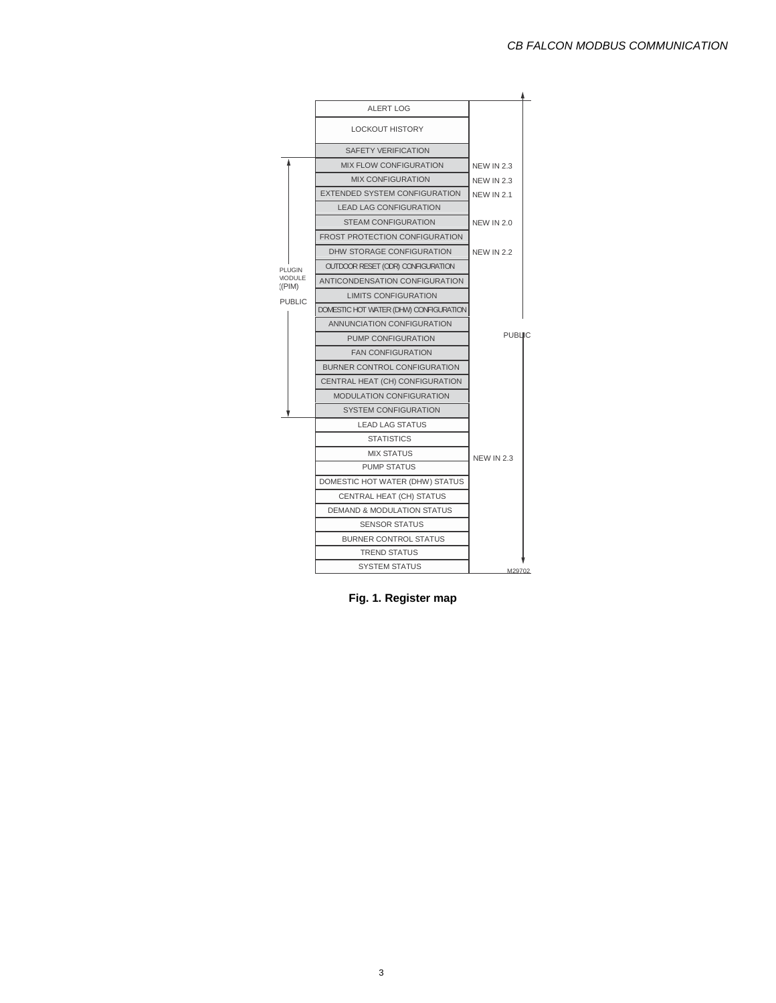|                        | <b>ALERT LOG</b>                       |                   |
|------------------------|----------------------------------------|-------------------|
|                        | <b>LOCKOUT HISTORY</b>                 |                   |
|                        | <b>SAFETY VERIFICATION</b>             |                   |
|                        | <b>MIX FLOW CONFIGURATION</b>          | <b>NEW IN 2.3</b> |
|                        | <b>MIX CONFIGURATION</b>               | <b>NEW IN 2.3</b> |
|                        | <b>EXTENDED SYSTEM CONFIGURATION</b>   | <b>NEW IN 2.1</b> |
|                        | <b>LEAD LAG CONFIGURATION</b>          |                   |
|                        | <b>STEAM CONFIGURATION</b>             | <b>NEW IN 2.0</b> |
|                        | <b>FROST PROTECTION CONFIGURATION</b>  |                   |
| <b>PLUGIN</b>          | DHW STORAGE CONFIGURATION              | <b>NEW IN 2.2</b> |
|                        | OUTDOOR RESET (ODR) CONFIGURATION      |                   |
| <b>MODULE</b><br>(PIM) | ANTICONDENSATION CONFIGURATION         |                   |
|                        | <b>LIMITS CONFIGURATION</b>            |                   |
| <b>PUBLIC</b>          | DOMESTIC HOT WATER (DHW) CONFIGURATION |                   |
|                        | ANNUNCIATION CONFIGURATION             |                   |
|                        | PUMP CONFIGURATION                     | <b>PUBLIC</b>     |
|                        | <b>FAN CONFIGURATION</b>               |                   |
|                        | <b>BURNER CONTROL CONFIGURATION</b>    |                   |
|                        | CENTRAL HEAT (CH) CONFIGURATION        |                   |
|                        | <b>MODULATION CONFIGURATION</b>        |                   |
|                        | <b>SYSTEM CONFIGURATION</b>            |                   |
|                        | <b>LEAD LAG STATUS</b>                 |                   |
|                        | <b>STATISTICS</b>                      |                   |
|                        | <b>MIX STATUS</b>                      | <b>NEW IN 2.3</b> |
|                        | <b>PUMP STATUS</b>                     |                   |
|                        | DOMESTIC HOT WATER (DHW) STATUS        |                   |
|                        | CENTRAL HEAT (CH) STATUS               |                   |
|                        | <b>DEMAND &amp; MODULATION STATUS</b>  |                   |
|                        | <b>SENSOR STATUS</b>                   |                   |
|                        | <b>BURNER CONTROL STATUS</b>           |                   |
|                        | <b>TREND STATUS</b>                    |                   |
|                        | <b>SYSTEM STATUS</b>                   | M29702            |
|                        |                                        |                   |

**Fig. 1. Register map**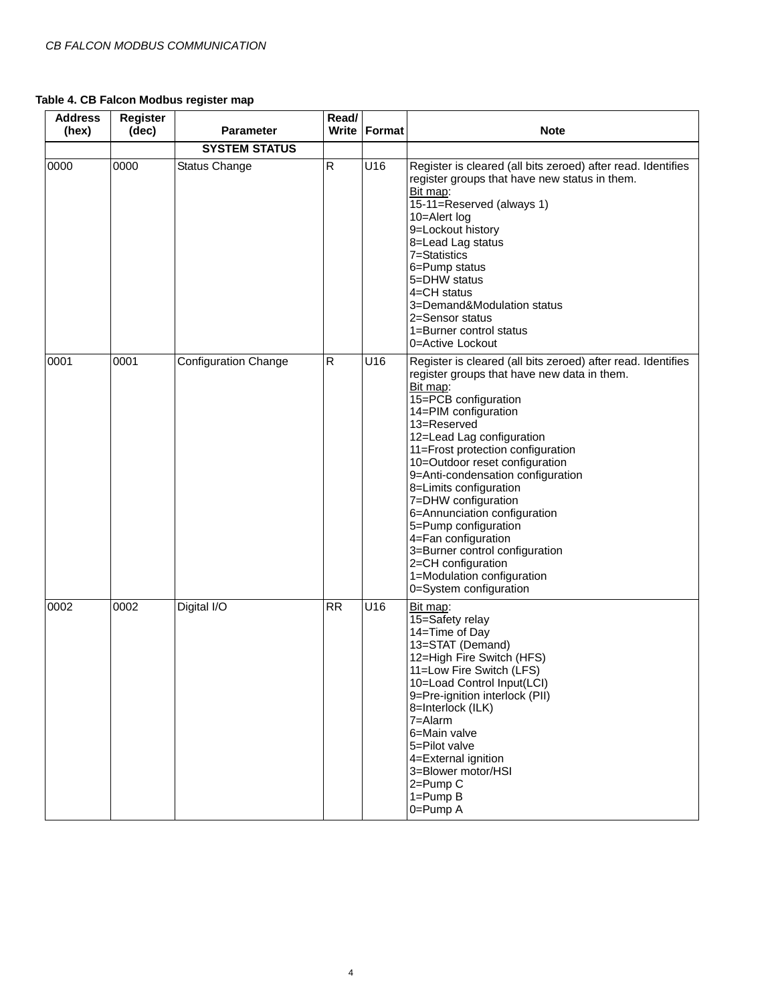| <b>Address</b><br>(hex) | <b>Register</b><br>(dec) | <b>Parameter</b>            | Read/          | <b>Write Format</b> | <b>Note</b>                                                                                                                                                                                                                                                                                                                                                                                                                                                                                                                                                                     |
|-------------------------|--------------------------|-----------------------------|----------------|---------------------|---------------------------------------------------------------------------------------------------------------------------------------------------------------------------------------------------------------------------------------------------------------------------------------------------------------------------------------------------------------------------------------------------------------------------------------------------------------------------------------------------------------------------------------------------------------------------------|
|                         |                          | <b>SYSTEM STATUS</b>        |                |                     |                                                                                                                                                                                                                                                                                                                                                                                                                                                                                                                                                                                 |
| 0000                    | 0000                     | <b>Status Change</b>        | ${\sf R}$      | U16                 | Register is cleared (all bits zeroed) after read. Identifies<br>register groups that have new status in them.<br>Bit map:<br>15-11=Reserved (always 1)<br>10=Alert log<br>9=Lockout history<br>8=Lead Lag status<br>7=Statistics<br>6=Pump status<br>5=DHW status<br>4=CH status<br>3=Demand&Modulation status<br>2=Sensor status<br>1=Burner control status<br>0=Active Lockout                                                                                                                                                                                                |
| 0001                    | 0001                     | <b>Configuration Change</b> | $\overline{R}$ | U16                 | Register is cleared (all bits zeroed) after read. Identifies<br>register groups that have new data in them.<br>Bit map:<br>15=PCB configuration<br>14=PIM configuration<br>13=Reserved<br>12=Lead Lag configuration<br>11=Frost protection configuration<br>10=Outdoor reset configuration<br>9=Anti-condensation configuration<br>8=Limits configuration<br>7=DHW configuration<br>6=Annunciation configuration<br>5=Pump configuration<br>4=Fan configuration<br>3=Burner control configuration<br>2=CH configuration<br>1=Modulation configuration<br>0=System configuration |
| 0002                    | 0002                     | Digital I/O                 | RR             | U16                 | Bit map:<br>15=Safety relay<br>14=Time of Day<br>13=STAT (Demand)<br>12=High Fire Switch (HFS)<br>11=Low Fire Switch (LFS)<br>10=Load Control Input(LCI)<br>9=Pre-ignition interlock (PII)<br>8=Interlock (ILK)<br>7=Alarm<br>6=Main valve<br>5=Pilot valve<br>4=External ignition<br>3=Blower motor/HSI<br>2=Pump C<br>$1 = Pump B$<br>0=Pump A                                                                                                                                                                                                                                |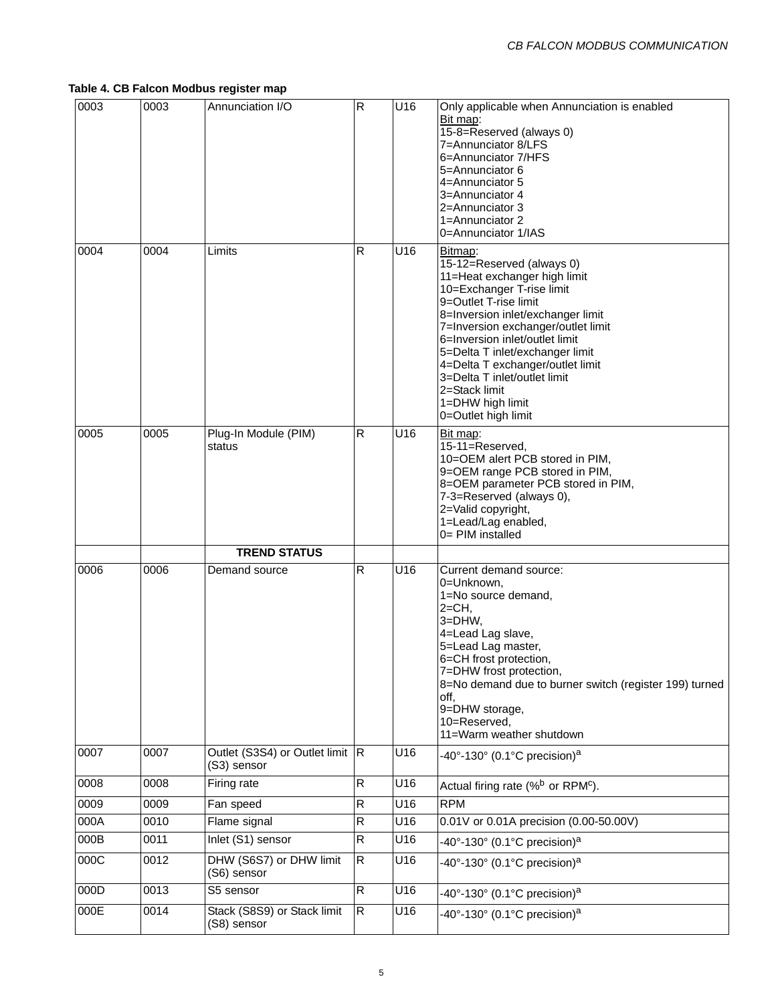| 0003 | 0003 | Annunciation I/O                               | $\overline{R}$ | U16             | Only applicable when Annunciation is enabled<br>Bit map:<br>15-8=Reserved (always 0)<br>7=Annunciator 8/LFS<br>6=Annunciator 7/HFS<br>5=Annunciator 6<br>4=Annunciator 5<br>3=Annunciator 4<br>2=Annunciator 3<br>1=Annunciator 2<br>0=Annunciator 1/IAS                                                                                                                                                   |
|------|------|------------------------------------------------|----------------|-----------------|------------------------------------------------------------------------------------------------------------------------------------------------------------------------------------------------------------------------------------------------------------------------------------------------------------------------------------------------------------------------------------------------------------|
| 0004 | 0004 | Limits                                         | $\overline{R}$ | U <sub>16</sub> | Bitmap:<br>15-12=Reserved (always 0)<br>11=Heat exchanger high limit<br>10=Exchanger T-rise limit<br>9=Outlet T-rise limit<br>8=Inversion inlet/exchanger limit<br>7=Inversion exchanger/outlet limit<br>6=Inversion inlet/outlet limit<br>5=Delta T inlet/exchanger limit<br>4=Delta T exchanger/outlet limit<br>3=Delta T inlet/outlet limit<br>2=Stack limit<br>1=DHW high limit<br>0=Outlet high limit |
| 0005 | 0005 | Plug-In Module (PIM)<br>status                 | $\overline{R}$ | U <sub>16</sub> | Bit map:<br>15-11=Reserved,<br>10=OEM alert PCB stored in PIM,<br>9=OEM range PCB stored in PIM,<br>8=OEM parameter PCB stored in PIM,<br>7-3=Reserved (always 0),<br>2=Valid copyright,<br>1=Lead/Lag enabled,<br>0= PIM installed                                                                                                                                                                        |
|      |      | <b>TREND STATUS</b>                            |                |                 |                                                                                                                                                                                                                                                                                                                                                                                                            |
| 0006 | 0006 | Demand source                                  | $\overline{R}$ | U <sub>16</sub> | Current demand source:<br>0=Unknown,<br>1=No source demand,<br>$2=CH$ ,<br>3=DHW,<br>4=Lead Lag slave,<br>5=Lead Lag master,<br>6=CH frost protection,<br>7=DHW frost protection,<br>8=No demand due to burner switch (register 199) turned<br>off,<br>9=DHW storage,<br>10=Reserved,<br>11=Warm weather shutdown                                                                                          |
| 0007 | 0007 | Outlet (S3S4) or Outlet limit R<br>(S3) sensor |                | U16             | -40°-130° (0.1°C precision) <sup>a</sup>                                                                                                                                                                                                                                                                                                                                                                   |
| 0008 | 0008 | Firing rate                                    | $\overline{R}$ | U16             | Actual firing rate (% $b$ or RPM $c$ ).                                                                                                                                                                                                                                                                                                                                                                    |
| 0009 | 0009 | Fan speed                                      | $\mathsf R$    | U16             | <b>RPM</b>                                                                                                                                                                                                                                                                                                                                                                                                 |
| 000A | 0010 | Flame signal                                   | ${\sf R}$      | U16             | 0.01V or 0.01A precision (0.00-50.00V)                                                                                                                                                                                                                                                                                                                                                                     |
| 000B | 0011 | Inlet (S1) sensor                              | R              | U16             | -40°-130° (0.1°C precision) <sup>a</sup>                                                                                                                                                                                                                                                                                                                                                                   |
| 000C | 0012 | DHW (S6S7) or DHW limit<br>(S6) sensor         | $\mathsf{R}$   | U16             | -40°-130° (0.1°C precision) <sup>a</sup>                                                                                                                                                                                                                                                                                                                                                                   |
| 000D | 0013 | S5 sensor                                      | ${\sf R}$      | U16             | -40°-130° (0.1°C precision) <sup>a</sup>                                                                                                                                                                                                                                                                                                                                                                   |
| 000E | 0014 | Stack (S8S9) or Stack limit<br>(S8) sensor     | R              | U16             | -40°-130° (0.1°C precision) <sup>a</sup>                                                                                                                                                                                                                                                                                                                                                                   |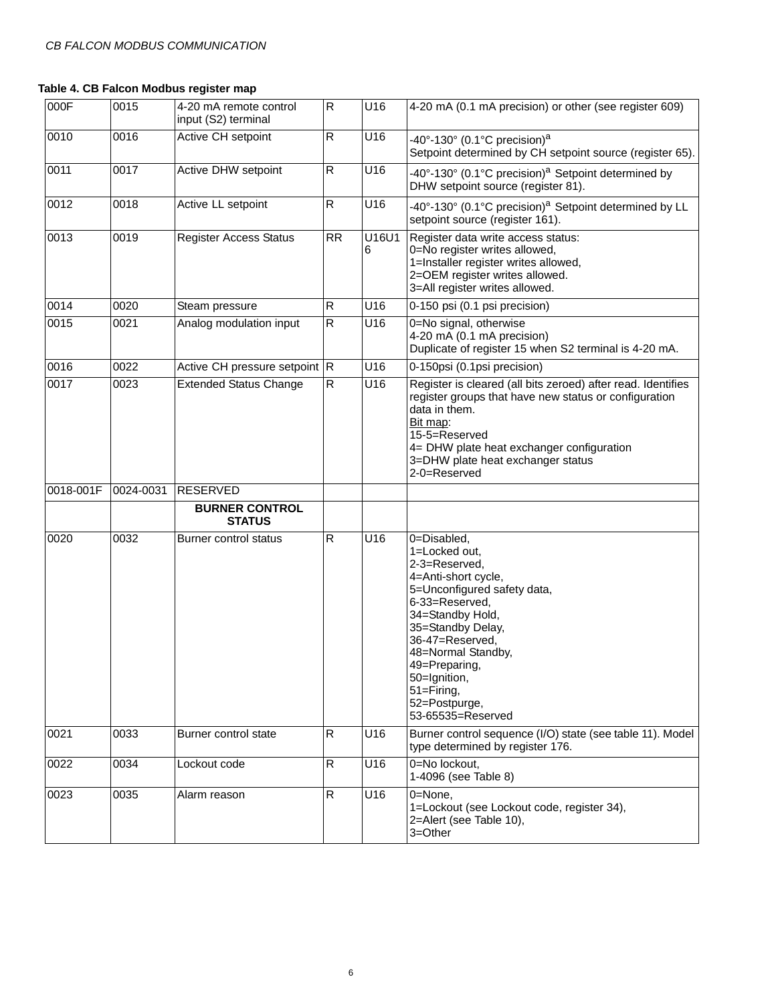| 000F      | 0015      | 4-20 mA remote control<br>input (S2) terminal | R.                      | U16               | 4-20 mA (0.1 mA precision) or other (see register 609)                                                                                                                                                                                                                                           |
|-----------|-----------|-----------------------------------------------|-------------------------|-------------------|--------------------------------------------------------------------------------------------------------------------------------------------------------------------------------------------------------------------------------------------------------------------------------------------------|
| 0010      | 0016      | Active CH setpoint                            | $\mathsf R$             | U16               | -40°-130° (0.1°C precision) <sup>a</sup><br>Setpoint determined by CH setpoint source (register 65).                                                                                                                                                                                             |
| 0011      | 0017      | Active DHW setpoint                           | $\overline{\mathbf{z}}$ | U16               | -40°-130° (0.1°C precision) <sup>a</sup> Setpoint determined by<br>DHW setpoint source (register 81).                                                                                                                                                                                            |
| 0012      | 0018      | Active LL setpoint                            | $\overline{\mathsf{R}}$ | U16               | -40°-130° (0.1°C precision) <sup>a</sup> Setpoint determined by LL<br>setpoint source (register 161).                                                                                                                                                                                            |
| 0013      | 0019      | <b>Register Access Status</b>                 | <b>RR</b>               | <b>U16U1</b><br>6 | Register data write access status:<br>0=No register writes allowed,<br>1=Installer register writes allowed,<br>2=OEM register writes allowed.<br>3=All register writes allowed.                                                                                                                  |
| 0014      | 0020      | Steam pressure                                | $\mathsf R$             | U16               | 0-150 psi (0.1 psi precision)                                                                                                                                                                                                                                                                    |
| 0015      | 0021      | Analog modulation input                       | $\overline{\mathsf{R}}$ | U16               | 0=No signal, otherwise<br>4-20 mA (0.1 mA precision)<br>Duplicate of register 15 when S2 terminal is 4-20 mA.                                                                                                                                                                                    |
| 0016      | 0022      | Active CH pressure setpoint R                 |                         | U16               | 0-150psi (0.1psi precision)                                                                                                                                                                                                                                                                      |
| 0017      | 0023      | <b>Extended Status Change</b>                 | $\mathsf R$             | U16               | Register is cleared (all bits zeroed) after read. Identifies<br>register groups that have new status or configuration<br>data in them.<br>Bit map:<br>15-5=Reserved<br>4= DHW plate heat exchanger configuration<br>3=DHW plate heat exchanger status<br>2-0=Reserved                            |
| 0018-001F | 0024-0031 | <b>RESERVED</b>                               |                         |                   |                                                                                                                                                                                                                                                                                                  |
|           |           | <b>BURNER CONTROL</b><br><b>STATUS</b>        |                         |                   |                                                                                                                                                                                                                                                                                                  |
| 0020      | 0032      | Burner control status                         | $\mathsf R$             | U16               | 0=Disabled,<br>1=Locked out,<br>2-3=Reserved,<br>4=Anti-short cycle,<br>5=Unconfigured safety data,<br>6-33=Reserved,<br>34=Standby Hold,<br>35=Standby Delay,<br>36-47=Reserved,<br>48=Normal Standby,<br>49=Preparing,<br>50=Ignition,<br>$51 =$ Firing,<br>52=Postpurge,<br>53-65535=Reserved |
| 0021      | 0033      | Burner control state                          | $\mathsf R$             | U16               | Burner control sequence (I/O) state (see table 11). Model<br>type determined by register 176.                                                                                                                                                                                                    |
| 0022      | 0034      | Lockout code                                  | ${\sf R}$               | U16               | 0=No lockout,<br>1-4096 (see Table 8)                                                                                                                                                                                                                                                            |
| 0023      | 0035      | Alarm reason                                  | ${\sf R}$               | $\overline{U}$ 16 | 0=None,<br>1=Lockout (see Lockout code, register 34),<br>2=Alert (see Table 10),<br>3=Other                                                                                                                                                                                                      |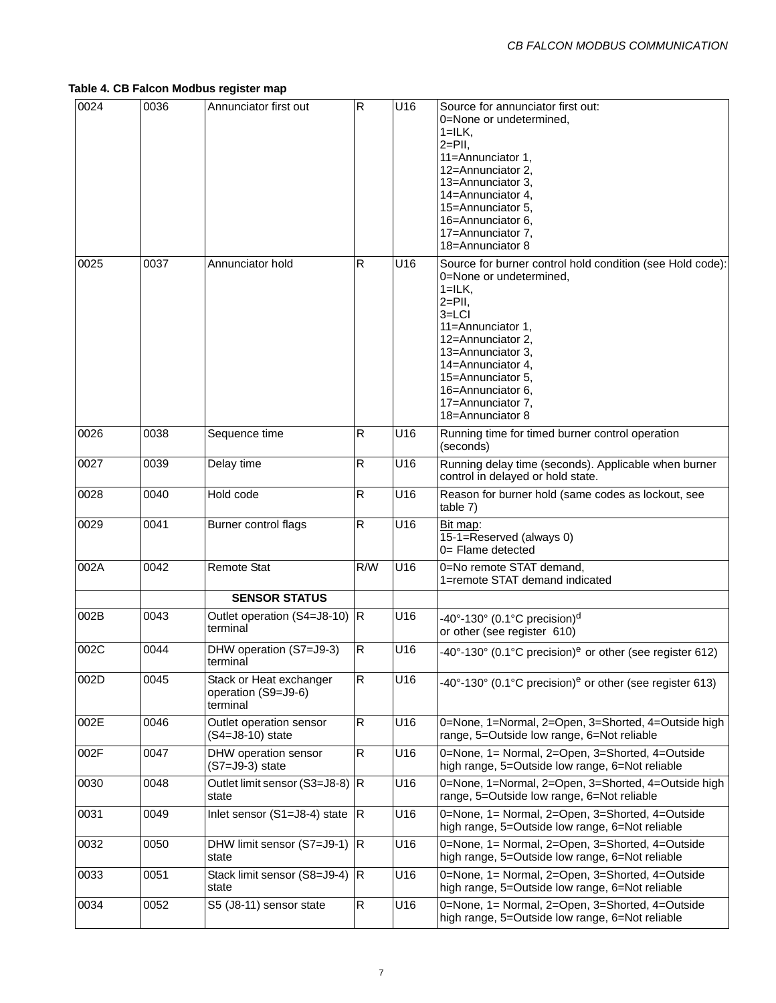| 0024 | 0036 | Annunciator first out                                      | ${\sf R}$    | U16             | Source for annunciator first out:<br>0=None or undetermined,<br>$1 = ILK$ ,<br>$2=PII,$<br>11=Annunciator 1,<br>12=Annunciator 2,<br>13=Annunciator 3,<br>14=Annunciator 4,<br>15=Annunciator 5,<br>16=Annunciator 6,<br>17=Annunciator 7,<br>18=Annunciator 8                                    |
|------|------|------------------------------------------------------------|--------------|-----------------|---------------------------------------------------------------------------------------------------------------------------------------------------------------------------------------------------------------------------------------------------------------------------------------------------|
| 0025 | 0037 | Annunciator hold                                           | $\mathsf{R}$ | U16             | Source for burner control hold condition (see Hold code):<br>0=None or undetermined,<br>$1 = ILK,$<br>$2=PII,$<br>$3=$ LCI<br>11=Annunciator 1,<br>12=Annunciator 2,<br>13=Annunciator 3,<br>14=Annunciator 4,<br>15=Annunciator 5,<br>16=Annunciator 6,<br>17=Annunciator 7,<br>18=Annunciator 8 |
| 0026 | 0038 | Sequence time                                              | R            | U16             | Running time for timed burner control operation<br>(seconds)                                                                                                                                                                                                                                      |
| 0027 | 0039 | Delay time                                                 | ${\sf R}$    | U16             | Running delay time (seconds). Applicable when burner<br>control in delayed or hold state.                                                                                                                                                                                                         |
| 0028 | 0040 | Hold code                                                  | ${\sf R}$    | U16             | Reason for burner hold (same codes as lockout, see<br>table 7)                                                                                                                                                                                                                                    |
| 0029 | 0041 | Burner control flags                                       | R            | U16             | Bit map:<br>15-1=Reserved (always 0)<br>0= Flame detected                                                                                                                                                                                                                                         |
| 002A | 0042 | <b>Remote Stat</b>                                         | R/W          | U16             | 0=No remote STAT demand,<br>1=remote STAT demand indicated                                                                                                                                                                                                                                        |
|      |      | <b>SENSOR STATUS</b>                                       |              |                 |                                                                                                                                                                                                                                                                                                   |
| 002B | 0043 | Outlet operation (S4=J8-10)  R<br>terminal                 |              | U16             | -40°-130° (0.1°C precision) <sup>d</sup><br>or other (see register 610)                                                                                                                                                                                                                           |
| 002C | 0044 | DHW operation (S7=J9-3)<br>terminal                        | ${\sf R}$    | U16             | $-40^{\circ}$ -130° (0.1°C precision) <sup>e</sup> or other (see register 612)                                                                                                                                                                                                                    |
| 002D | 0045 | Stack or Heat exchanger<br>operation (S9=J9-6)<br>terminal | $\mathsf{R}$ | U16             | $-40^{\circ}$ -130° (0.1°C precision) <sup>e</sup> or other (see register 613)                                                                                                                                                                                                                    |
| 002E | 0046 | Outlet operation sensor<br>(S4=J8-10) state                | R            | U16             | 0=None, 1=Normal, 2=Open, 3=Shorted, 4=Outside high<br>range, 5=Outside low range, 6=Not reliable                                                                                                                                                                                                 |
| 002F | 0047 | DHW operation sensor<br>(S7=J9-3) state                    | R            | U16             | 0=None, 1= Normal, 2=Open, 3=Shorted, 4=Outside<br>high range, 5=Outside low range, 6=Not reliable                                                                                                                                                                                                |
| 0030 | 0048 | Outlet limit sensor (S3=J8-8) R<br>state                   |              | U16             | 0=None, 1=Normal, 2=Open, 3=Shorted, 4=Outside high<br>range, 5=Outside low range, 6=Not reliable                                                                                                                                                                                                 |
| 0031 | 0049 | Inlet sensor (S1=J8-4) state $ R$                          |              | U16             | 0=None, 1= Normal, 2=Open, 3=Shorted, 4=Outside<br>high range, 5=Outside low range, 6=Not reliable                                                                                                                                                                                                |
| 0032 | 0050 | DHW limit sensor $(S7=J9-1)$ R<br>state                    |              | U <sub>16</sub> | 0=None, 1= Normal, 2=Open, 3=Shorted, 4=Outside<br>high range, 5=Outside low range, 6=Not reliable                                                                                                                                                                                                |
| 0033 | 0051 | Stack limit sensor (S8=J9-4)  R<br>state                   |              | U <sub>16</sub> | 0=None, 1= Normal, 2=Open, 3=Shorted, 4=Outside<br>high range, 5=Outside low range, 6=Not reliable                                                                                                                                                                                                |
| 0034 | 0052 | S5 (J8-11) sensor state                                    | R            | U16             | 0=None, 1= Normal, 2=Open, 3=Shorted, 4=Outside<br>high range, 5=Outside low range, 6=Not reliable                                                                                                                                                                                                |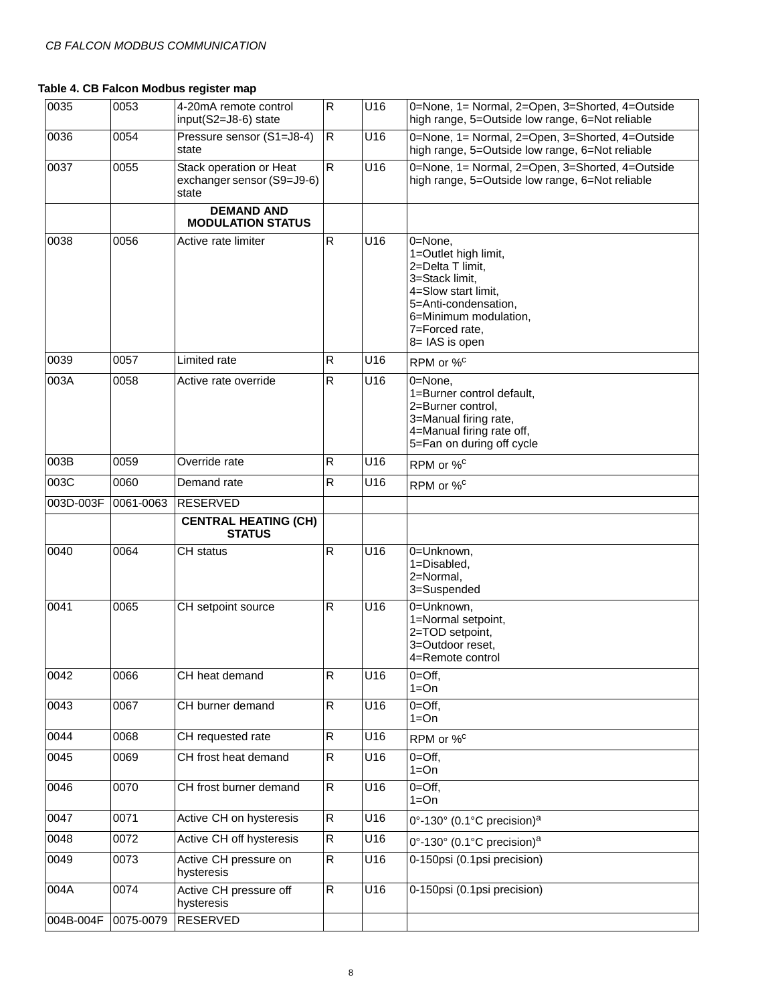| 0035      | 0053      | 4-20mA remote control<br>input(S2=J8-6) state                  | $\overline{R}$ | $\overline{U16}$ | 0=None, 1= Normal, 2=Open, 3=Shorted, 4=Outside<br>high range, 5=Outside low range, 6=Not reliable                                                                                |
|-----------|-----------|----------------------------------------------------------------|----------------|------------------|-----------------------------------------------------------------------------------------------------------------------------------------------------------------------------------|
| 0036      | 0054      | Pressure sensor (S1=J8-4)<br>state                             | R.             | U16              | 0=None, 1= Normal, 2=Open, 3=Shorted, 4=Outside<br>high range, 5=Outside low range, 6=Not reliable                                                                                |
| 0037      | 0055      | Stack operation or Heat<br>exchanger sensor (S9=J9-6)<br>state | $\overline{R}$ | U16              | 0=None, 1= Normal, 2=Open, 3=Shorted, 4=Outside<br>high range, 5=Outside low range, 6=Not reliable                                                                                |
|           |           | <b>DEMAND AND</b><br><b>MODULATION STATUS</b>                  |                |                  |                                                                                                                                                                                   |
| 0038      | 0056      | Active rate limiter                                            | $\mathsf{R}$   | U16              | 0=None,<br>1=Outlet high limit,<br>2=Delta T limit,<br>3=Stack limit,<br>4=Slow start limit,<br>5=Anti-condensation,<br>6=Minimum modulation,<br>7=Forced rate,<br>8= IAS is open |
| 0039      | 0057      | Limited rate                                                   | $\mathsf R$    | U16              | RPM or % <sup>c</sup>                                                                                                                                                             |
| 003A      | 0058      | Active rate override                                           | $\mathsf R$    | U16              | 0=None,<br>1=Burner control default,<br>2=Burner control,<br>3=Manual firing rate,<br>4=Manual firing rate off,<br>5=Fan on during off cycle                                      |
| 003B      | 0059      | Override rate                                                  | $\mathsf R$    | U16              | RPM or % <sup>c</sup>                                                                                                                                                             |
| 003C      | 0060      | Demand rate                                                    | ${\sf R}$      | U16              | RPM or % <sup>c</sup>                                                                                                                                                             |
| 003D-003F | 0061-0063 | RESERVED                                                       |                |                  |                                                                                                                                                                                   |
|           |           | <b>CENTRAL HEATING (CH)</b><br><b>STATUS</b>                   |                |                  |                                                                                                                                                                                   |
| 0040      | 0064      | CH status                                                      | ${\sf R}$      | U16              | 0=Unknown,<br>1=Disabled,<br>2=Normal,<br>3=Suspended                                                                                                                             |
| 0041      | 0065      | CH setpoint source                                             | $\mathsf R$    | U16              | 0=Unknown,<br>1=Normal setpoint,<br>2=TOD setpoint,<br>3=Outdoor reset,<br>4=Remote control                                                                                       |
| 0042      | 0066      | CH heat demand                                                 | $\mathsf{R}$   | U16              | $0 = Off$ ,<br>$1=On$                                                                                                                                                             |
| 0043      | 0067      | CH burner demand                                               | ${\sf R}$      | U16              | $0 = \text{Off}$ ,<br>$1=On$                                                                                                                                                      |
| 0044      | 0068      | CH requested rate                                              | ${\sf R}$      | U16              | RPM or % <sup>c</sup>                                                                                                                                                             |
| 0045      | 0069      | CH frost heat demand                                           | $\mathsf R$    | U16              | $0=Off$ ,<br>$1=On$                                                                                                                                                               |
| 0046      | 0070      | CH frost burner demand                                         | ${\sf R}$      | U16              | $0 = Off$ ,<br>$1=On$                                                                                                                                                             |
| 0047      | 0071      | Active CH on hysteresis                                        | ${\sf R}$      | U16              | 0°-130° (0.1°C precision) <sup>a</sup>                                                                                                                                            |
| 0048      | 0072      | Active CH off hysteresis                                       | $\mathsf R$    | U16              | 0°-130° (0.1°C precision) <sup>a</sup>                                                                                                                                            |
| 0049      | 0073      | Active CH pressure on<br>hysteresis                            | ${\sf R}$      | U16              | 0-150psi (0.1psi precision)                                                                                                                                                       |
| 004A      | 0074      | Active CH pressure off<br>hysteresis                           | $\overline{R}$ | U16              | 0-150psi (0.1psi precision)                                                                                                                                                       |
| 004B-004F | 0075-0079 | <b>RESERVED</b>                                                |                |                  |                                                                                                                                                                                   |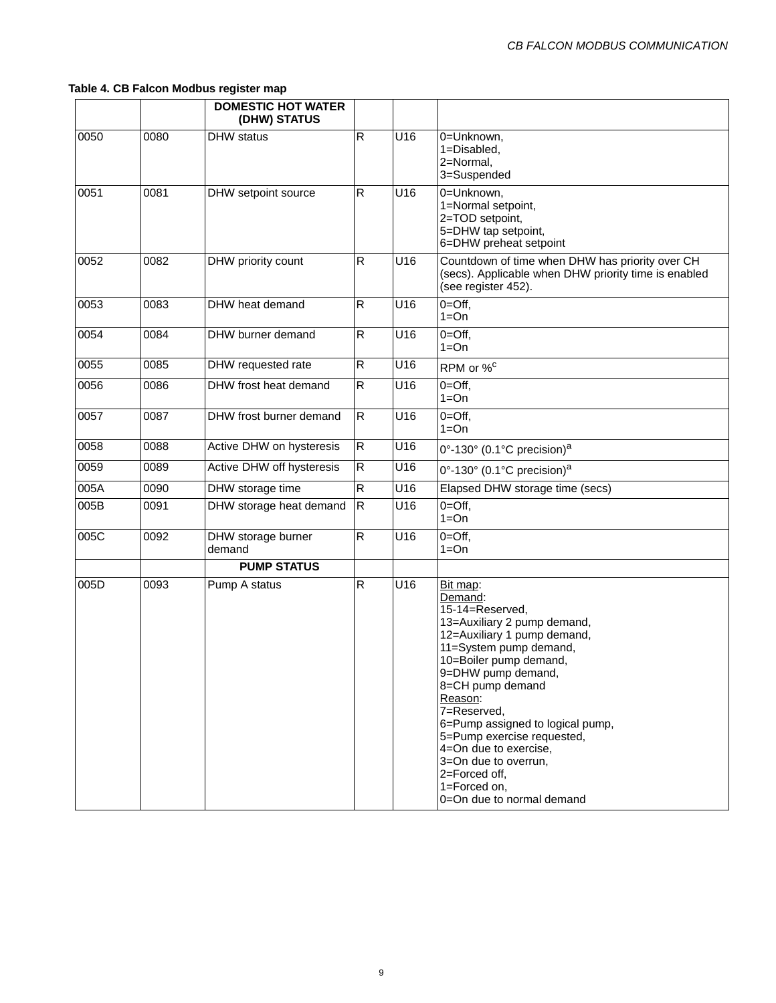|      |      | <b>DOMESTIC HOT WATER</b><br>(DHW) STATUS |             |                 |                                                                                                                                                                                                                                                                                                                                                                                                               |
|------|------|-------------------------------------------|-------------|-----------------|---------------------------------------------------------------------------------------------------------------------------------------------------------------------------------------------------------------------------------------------------------------------------------------------------------------------------------------------------------------------------------------------------------------|
| 0050 | 0080 | <b>DHW</b> status                         | R           | U <sub>16</sub> | 0=Unknown,<br>1=Disabled,<br>2=Normal,<br>3=Suspended                                                                                                                                                                                                                                                                                                                                                         |
| 0051 | 0081 | DHW setpoint source                       | R           | U16             | 0=Unknown,<br>1=Normal setpoint,<br>2=TOD setpoint,<br>5=DHW tap setpoint,<br>6=DHW preheat setpoint                                                                                                                                                                                                                                                                                                          |
| 0052 | 0082 | DHW priority count                        | R           | U16             | Countdown of time when DHW has priority over CH<br>(secs). Applicable when DHW priority time is enabled<br>(see register 452).                                                                                                                                                                                                                                                                                |
| 0053 | 0083 | DHW heat demand                           | R           | U16             | $0 = Off$ ,<br>$1=On$                                                                                                                                                                                                                                                                                                                                                                                         |
| 0054 | 0084 | DHW burner demand                         | R           | U <sub>16</sub> | $0 = Off$ ,<br>$1=On$                                                                                                                                                                                                                                                                                                                                                                                         |
| 0055 | 0085 | DHW requested rate                        | R           | U16             | RPM or % <sup>c</sup>                                                                                                                                                                                                                                                                                                                                                                                         |
| 0056 | 0086 | DHW frost heat demand                     | R           | U16             | $0 = Off$ ,<br>$1=On$                                                                                                                                                                                                                                                                                                                                                                                         |
| 0057 | 0087 | DHW frost burner demand                   | R           | U16             | $0 = Off$ ,<br>$1 = On$                                                                                                                                                                                                                                                                                                                                                                                       |
| 0058 | 0088 | Active DHW on hysteresis                  | $\mathsf R$ | U16             | 0°-130° (0.1°C precision) <sup>a</sup>                                                                                                                                                                                                                                                                                                                                                                        |
| 0059 | 0089 | Active DHW off hysteresis                 | R           | U16             | $0^{\circ}$ -130 $^{\circ}$ (0.1 $^{\circ}$ C precision) <sup>a</sup>                                                                                                                                                                                                                                                                                                                                         |
| 005A | 0090 | DHW storage time                          | R           | U16             | Elapsed DHW storage time (secs)                                                                                                                                                                                                                                                                                                                                                                               |
| 005B | 0091 | DHW storage heat demand                   | R           | U16             | $0 = Off$ ,<br>$1 = On$                                                                                                                                                                                                                                                                                                                                                                                       |
| 005C | 0092 | DHW storage burner<br>demand              | R           | U16             | $0 = Off$ ,<br>$1=On$                                                                                                                                                                                                                                                                                                                                                                                         |
|      |      | <b>PUMP STATUS</b>                        |             |                 |                                                                                                                                                                                                                                                                                                                                                                                                               |
| 005D | 0093 | Pump A status                             | R           | U16             | Bit map:<br>Demand:<br>15-14=Reserved,<br>13=Auxiliary 2 pump demand,<br>12=Auxiliary 1 pump demand,<br>11=System pump demand,<br>10=Boiler pump demand,<br>9=DHW pump demand,<br>8=CH pump demand<br>Reason:<br>7=Reserved,<br>6=Pump assigned to logical pump,<br>5=Pump exercise requested,<br>4=On due to exercise,<br>3=On due to overrun,<br>2=Forced off,<br>1=Forced on,<br>0=On due to normal demand |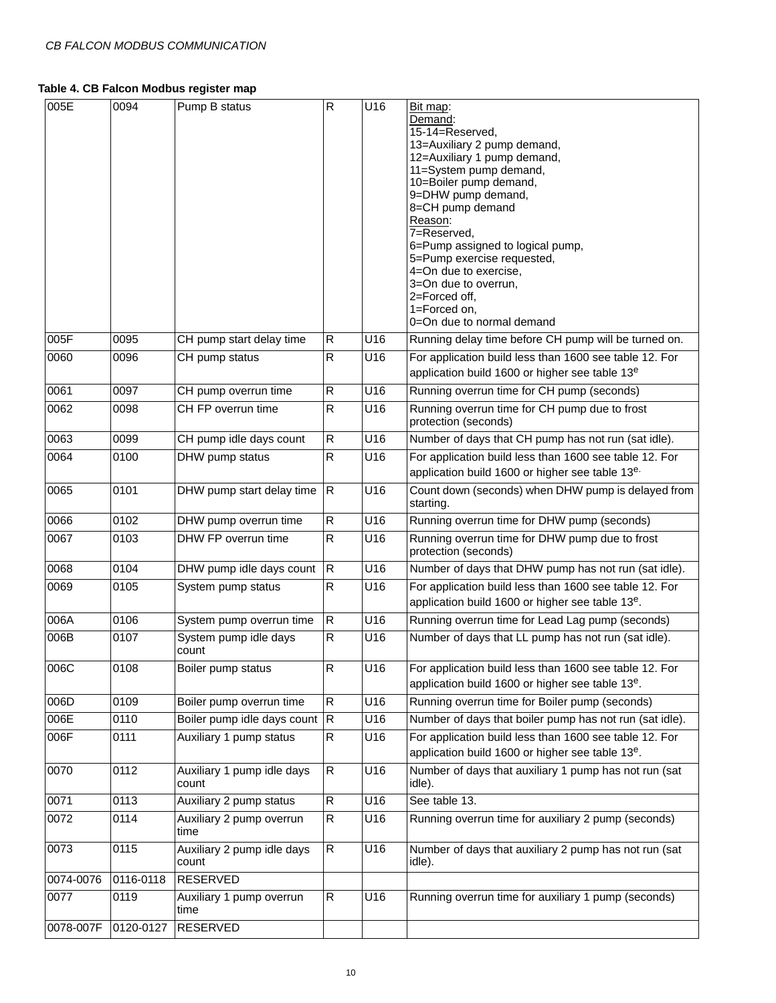| 005E      | 0094             | Pump B status                       | $\overline{R}$          | U16 | Bit map:<br>Demand:<br>15-14=Reserved,<br>13=Auxiliary 2 pump demand,<br>12=Auxiliary 1 pump demand,<br>11=System pump demand,<br>10=Boiler pump demand,<br>9=DHW pump demand,<br>8=CH pump demand<br>Reason:<br>7=Reserved,<br>6=Pump assigned to logical pump,<br>5=Pump exercise requested,<br>4=On due to exercise,<br>3=On due to overrun,<br>2=Forced off,<br>1=Forced on,<br>0=On due to normal demand |
|-----------|------------------|-------------------------------------|-------------------------|-----|---------------------------------------------------------------------------------------------------------------------------------------------------------------------------------------------------------------------------------------------------------------------------------------------------------------------------------------------------------------------------------------------------------------|
| 005F      | 0095             | CH pump start delay time            | $\mathsf R$             | U16 | Running delay time before CH pump will be turned on.                                                                                                                                                                                                                                                                                                                                                          |
| 0060      | 0096             | CH pump status                      | ${\sf R}$               | U16 | For application build less than 1600 see table 12. For<br>application build 1600 or higher see table 13 <sup>e</sup>                                                                                                                                                                                                                                                                                          |
| 0061      | 0097             | CH pump overrun time                | $\mathsf R$             | U16 | Running overrun time for CH pump (seconds)                                                                                                                                                                                                                                                                                                                                                                    |
| 0062      | 0098             | CH FP overrun time                  | $\mathsf R$             | U16 | Running overrun time for CH pump due to frost<br>protection (seconds)                                                                                                                                                                                                                                                                                                                                         |
| 0063      | 0099             | CH pump idle days count             | ${\sf R}$               | U16 | Number of days that CH pump has not run (sat idle).                                                                                                                                                                                                                                                                                                                                                           |
| 0064      | 0100             | DHW pump status                     | $\mathsf R$             | U16 | For application build less than 1600 see table 12. For<br>application build 1600 or higher see table 13 <sup>e.</sup>                                                                                                                                                                                                                                                                                         |
| 0065      | 0101             | DHW pump start delay time R         |                         | U16 | Count down (seconds) when DHW pump is delayed from<br>starting.                                                                                                                                                                                                                                                                                                                                               |
| 0066      | $\frac{1}{0102}$ | DHW pump overrun time               | $\mathsf R$             | U16 | Running overrun time for DHW pump (seconds)                                                                                                                                                                                                                                                                                                                                                                   |
| 0067      | 0103             | DHW FP overrun time                 | $\overline{R}$          | U16 | Running overrun time for DHW pump due to frost<br>protection (seconds)                                                                                                                                                                                                                                                                                                                                        |
| 0068      | 0104             | DHW pump idle days count            | $\overline{\mathbf{R}}$ | U16 | Number of days that DHW pump has not run (sat idle).                                                                                                                                                                                                                                                                                                                                                          |
| 0069      | 0105             | System pump status                  | $\overline{\mathsf{R}}$ | U16 | For application build less than 1600 see table 12. For<br>application build 1600 or higher see table 13 <sup>e</sup> .                                                                                                                                                                                                                                                                                        |
| 006A      | 0106             | System pump overrun time            | $\overline{\mathsf{R}}$ | U16 | Running overrun time for Lead Lag pump (seconds)                                                                                                                                                                                                                                                                                                                                                              |
| 006B      | 0107             | System pump idle days<br>count      | $\mathsf R$             | U16 | Number of days that LL pump has not run (sat idle).                                                                                                                                                                                                                                                                                                                                                           |
| 006C      | 0108             | Boiler pump status                  | K                       | U16 | For application build less than 1600 see table 12. For<br>application build 1600 or higher see table 13 <sup>e</sup> .                                                                                                                                                                                                                                                                                        |
| 006D      | 0109             | Boiler pump overrun time            | $\overline{\mathsf{R}}$ | U16 | Running overrun time for Boiler pump (seconds)                                                                                                                                                                                                                                                                                                                                                                |
| 006E      | 0110             | Boiler pump idle days count R       |                         | U16 | Number of days that boiler pump has not run (sat idle).                                                                                                                                                                                                                                                                                                                                                       |
| 006F      | 0111             | Auxiliary 1 pump status             | R                       | U16 | For application build less than 1600 see table 12. For<br>application build 1600 or higher see table 13 <sup>e</sup> .                                                                                                                                                                                                                                                                                        |
| 0070      | 0112             | Auxiliary 1 pump idle days<br>count | ${\sf R}$               | U16 | Number of days that auxiliary 1 pump has not run (sat<br>idle).                                                                                                                                                                                                                                                                                                                                               |
| 0071      | 0113             | Auxiliary 2 pump status             | ${\sf R}$               | U16 | See table 13.                                                                                                                                                                                                                                                                                                                                                                                                 |
| 0072      | 0114             | Auxiliary 2 pump overrun<br>time    | ${\sf R}$               | U16 | Running overrun time for auxiliary 2 pump (seconds)                                                                                                                                                                                                                                                                                                                                                           |
| 0073      | 0115             | Auxiliary 2 pump idle days<br>count | $\overline{\mathbf{z}}$ | U16 | Number of days that auxiliary 2 pump has not run (sat<br>idle).                                                                                                                                                                                                                                                                                                                                               |
| 0074-0076 | 0116-0118        | RESERVED                            |                         |     |                                                                                                                                                                                                                                                                                                                                                                                                               |
| 0077      | 0119             | Auxiliary 1 pump overrun<br>time    | ${\sf R}$               | U16 | Running overrun time for auxiliary 1 pump (seconds)                                                                                                                                                                                                                                                                                                                                                           |
| 0078-007F | 0120-0127        | RESERVED                            |                         |     |                                                                                                                                                                                                                                                                                                                                                                                                               |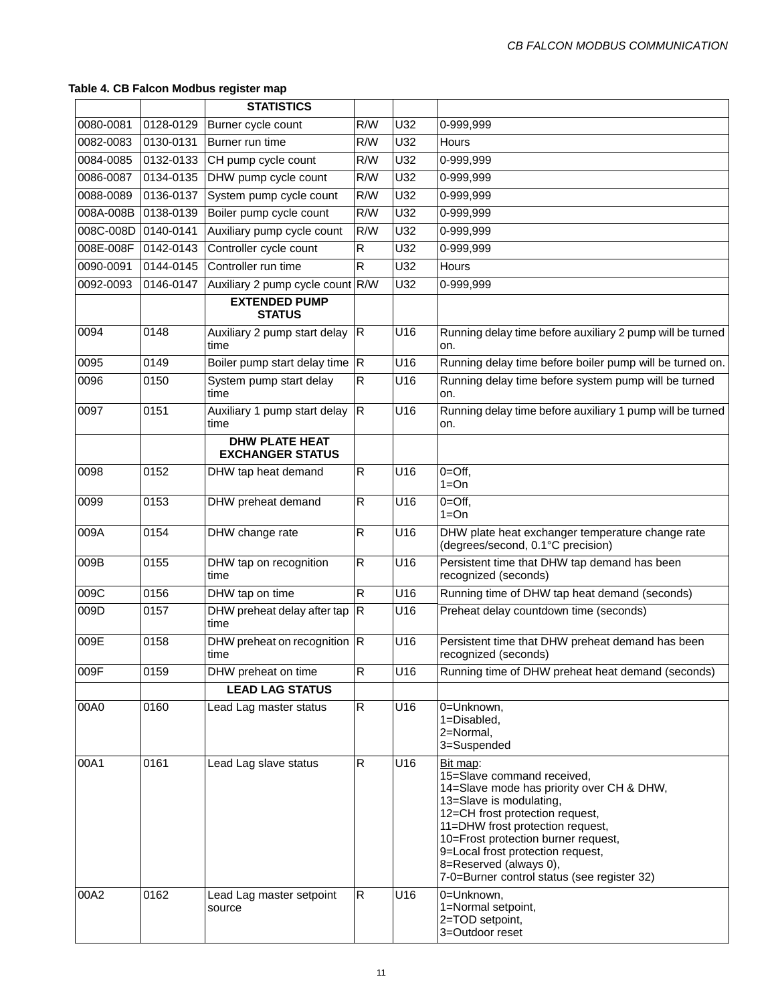|           |           | <b>STATISTICS</b>                                |              |                  |                                                                                                                                                                                                                                                                                                                                            |
|-----------|-----------|--------------------------------------------------|--------------|------------------|--------------------------------------------------------------------------------------------------------------------------------------------------------------------------------------------------------------------------------------------------------------------------------------------------------------------------------------------|
| 0080-0081 | 0128-0129 | Burner cycle count                               | R/W          | U32              | 0-999,999                                                                                                                                                                                                                                                                                                                                  |
| 0082-0083 | 0130-0131 | Burner run time                                  | R/W          | U32              | Hours                                                                                                                                                                                                                                                                                                                                      |
| 0084-0085 | 0132-0133 | CH pump cycle count                              | R/W          | U32              | 0-999,999                                                                                                                                                                                                                                                                                                                                  |
| 0086-0087 | 0134-0135 | DHW pump cycle count                             | R/W          | U32              | 0-999,999                                                                                                                                                                                                                                                                                                                                  |
| 0088-0089 | 0136-0137 | System pump cycle count                          | R/W          | U32              | 0-999,999                                                                                                                                                                                                                                                                                                                                  |
| 008A-008B | 0138-0139 | Boiler pump cycle count                          | R/W          | U32              | 0-999,999                                                                                                                                                                                                                                                                                                                                  |
| 008C-008D | 0140-0141 | Auxiliary pump cycle count                       | R/W          | U32              | 0-999,999                                                                                                                                                                                                                                                                                                                                  |
| 008E-008F | 0142-0143 | Controller cycle count                           | $\mathsf R$  | U32              | 0-999,999                                                                                                                                                                                                                                                                                                                                  |
| 0090-0091 | 0144-0145 | Controller run time                              | $\mathsf{R}$ | U32              | <b>Hours</b>                                                                                                                                                                                                                                                                                                                               |
| 0092-0093 | 0146-0147 | Auxiliary 2 pump cycle count R/W                 |              | U32              | 0-999,999                                                                                                                                                                                                                                                                                                                                  |
|           |           | <b>EXTENDED PUMP</b><br><b>STATUS</b>            |              |                  |                                                                                                                                                                                                                                                                                                                                            |
| 0094      | 0148      | Auxiliary 2 pump start delay R<br>time           |              | $\overline{U16}$ | Running delay time before auxiliary 2 pump will be turned<br>on.                                                                                                                                                                                                                                                                           |
| 0095      | 0149      | Boiler pump start delay time $ R$                |              | $\overline{U16}$ | Running delay time before boiler pump will be turned on.                                                                                                                                                                                                                                                                                   |
| 0096      | 0150      | System pump start delay<br>time                  | $\mathsf R$  | U16              | Running delay time before system pump will be turned<br>on.                                                                                                                                                                                                                                                                                |
| 0097      | 0151      | Auxiliary 1 pump start delay R<br>time           |              | U16              | Running delay time before auxiliary 1 pump will be turned<br>on.                                                                                                                                                                                                                                                                           |
|           |           | <b>DHW PLATE HEAT</b><br><b>EXCHANGER STATUS</b> |              |                  |                                                                                                                                                                                                                                                                                                                                            |
| 0098      | 0152      | DHW tap heat demand                              | R            | U16              | $0 = Off$ ,<br>$1=On$                                                                                                                                                                                                                                                                                                                      |
| 0099      | 0153      | DHW preheat demand                               | R            | U16              | $0 = Off$ ,<br>$1 = On$                                                                                                                                                                                                                                                                                                                    |
| 009A      | 0154      | DHW change rate                                  | $\mathsf{R}$ | U16              | DHW plate heat exchanger temperature change rate<br>(degrees/second, 0.1°C precision)                                                                                                                                                                                                                                                      |
| 009B      | 0155      | DHW tap on recognition<br>time                   | $\mathsf{R}$ | U16              | Persistent time that DHW tap demand has been<br>recognized (seconds)                                                                                                                                                                                                                                                                       |
| 009C      | 0156      | DHW tap on time                                  | $\mathsf{R}$ | U16              | Running time of DHW tap heat demand (seconds)                                                                                                                                                                                                                                                                                              |
| 009D      | 0157      | DHW preheat delay after tap<br>time              | <b>R</b>     | U16              | Preheat delay countdown time (seconds)                                                                                                                                                                                                                                                                                                     |
| 009E      | 0158      | DHW preheat on recognition R<br>time             |              | U16              | Persistent time that DHW preheat demand has been<br>recognized (seconds)                                                                                                                                                                                                                                                                   |
| 009F      | 0159      | DHW preheat on time                              | R            | U16              | Running time of DHW preheat heat demand (seconds)                                                                                                                                                                                                                                                                                          |
|           |           | <b>LEAD LAG STATUS</b>                           |              |                  |                                                                                                                                                                                                                                                                                                                                            |
| 00A0      | 0160      | Lead Lag master status                           | $\mathsf R$  | U16              | 0=Unknown,<br>1=Disabled,<br>2=Normal,<br>3=Suspended                                                                                                                                                                                                                                                                                      |
| 00A1      | 0161      | Lead Lag slave status                            | $\mathsf{R}$ | U16              | Bit map:<br>15=Slave command received,<br>14=Slave mode has priority over CH & DHW,<br>13=Slave is modulating,<br>12=CH frost protection request,<br>11=DHW frost protection request,<br>10=Frost protection burner request,<br>9=Local frost protection request,<br>8=Reserved (always 0),<br>7-0=Burner control status (see register 32) |
| 00A2      | 0162      | Lead Lag master setpoint<br>source               | $\mathsf R$  | U16              | 0=Unknown,<br>1=Normal setpoint,<br>2=TOD setpoint,<br>3=Outdoor reset                                                                                                                                                                                                                                                                     |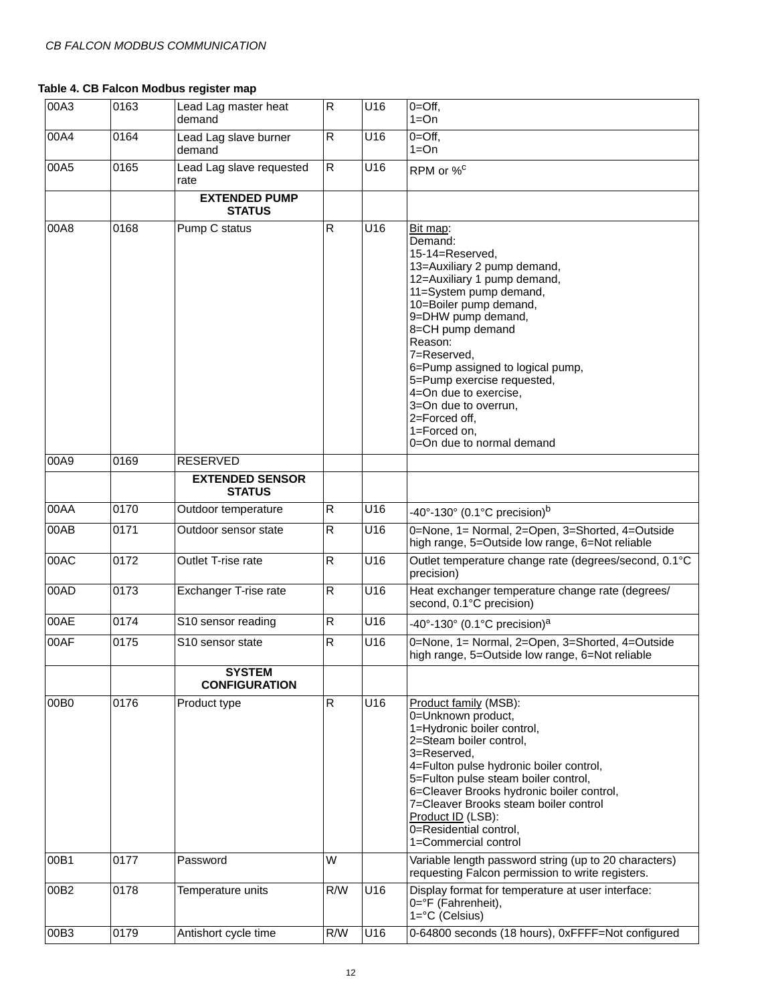| 00A3 | 0163 | Lead Lag master heat<br>demand          | $\overline{R}$ | U16             | $0=Off$ ,<br>$1 = On$                                                                                                                                                                                                                                                                                                                                                                                         |
|------|------|-----------------------------------------|----------------|-----------------|---------------------------------------------------------------------------------------------------------------------------------------------------------------------------------------------------------------------------------------------------------------------------------------------------------------------------------------------------------------------------------------------------------------|
| 00A4 | 0164 | Lead Lag slave burner<br>demand         | R              | U16             | $0 = Off$ ,<br>$1 = On$                                                                                                                                                                                                                                                                                                                                                                                       |
| 00A5 | 0165 | Lead Lag slave requested<br>rate        | $\mathsf R$    | U16             | RPM or % <sup>c</sup>                                                                                                                                                                                                                                                                                                                                                                                         |
|      |      | <b>EXTENDED PUMP</b><br><b>STATUS</b>   |                |                 |                                                                                                                                                                                                                                                                                                                                                                                                               |
| 00A8 | 0168 | Pump C status                           | $\overline{R}$ | U16             | Bit map:<br>Demand:<br>15-14=Reserved,<br>13=Auxiliary 2 pump demand,<br>12=Auxiliary 1 pump demand,<br>11=System pump demand,<br>10=Boiler pump demand,<br>9=DHW pump demand,<br>8=CH pump demand<br>Reason:<br>7=Reserved,<br>6=Pump assigned to logical pump,<br>5=Pump exercise requested,<br>4=On due to exercise,<br>3=On due to overrun,<br>2=Forced off,<br>1=Forced on,<br>0=On due to normal demand |
| 00A9 | 0169 | <b>RESERVED</b>                         |                |                 |                                                                                                                                                                                                                                                                                                                                                                                                               |
|      |      | <b>EXTENDED SENSOR</b><br><b>STATUS</b> |                |                 |                                                                                                                                                                                                                                                                                                                                                                                                               |
| 00AA | 0170 | Outdoor temperature                     | $\overline{R}$ | U16             | -40°-130° (0.1°C precision) <sup>b</sup>                                                                                                                                                                                                                                                                                                                                                                      |
| 00AB | 0171 | Outdoor sensor state                    | $\mathsf R$    | U16             | 0=None, 1= Normal, 2=Open, 3=Shorted, 4=Outside<br>high range, 5=Outside low range, 6=Not reliable                                                                                                                                                                                                                                                                                                            |
| 00AC | 0172 | Outlet T-rise rate                      | $\overline{R}$ | U16             | Outlet temperature change rate (degrees/second, 0.1°C<br>precision)                                                                                                                                                                                                                                                                                                                                           |
| 00AD | 0173 | Exchanger T-rise rate                   | $\mathsf R$    | U16             | Heat exchanger temperature change rate (degrees/<br>second, 0.1°C precision)                                                                                                                                                                                                                                                                                                                                  |
| 00AE | 0174 | S10 sensor reading                      | ${\sf R}$      | U <sub>16</sub> | -40°-130° (0.1°C precision) <sup>a</sup>                                                                                                                                                                                                                                                                                                                                                                      |
| 00AF | 0175 | S <sub>10</sub> sensor state            | R              | U16             | 0=None, 1= Normal, 2=Open, 3=Shorted, 4=Outside<br>high range, 5=Outside low range, 6=Not reliable                                                                                                                                                                                                                                                                                                            |
|      |      | <b>SYSTEM</b><br><b>CONFIGURATION</b>   |                |                 |                                                                                                                                                                                                                                                                                                                                                                                                               |
| 00B0 | 0176 | Product type                            | $\mathsf{R}$   | U16             | Product family (MSB):<br>0=Unknown product,<br>1=Hydronic boiler control,<br>2=Steam boiler control,<br>3=Reserved,<br>4=Fulton pulse hydronic boiler control,<br>5=Fulton pulse steam boiler control,<br>6=Cleaver Brooks hydronic boiler control,<br>7=Cleaver Brooks steam boiler control<br>Product ID (LSB):<br>0=Residential control,<br>1=Commercial control                                           |
| 00B1 | 0177 | Password                                | W              |                 | Variable length password string (up to 20 characters)<br>requesting Falcon permission to write registers.                                                                                                                                                                                                                                                                                                     |
| 00B2 | 0178 | Temperature units                       | R/W            | U16             | Display format for temperature at user interface:<br>0=°F (Fahrenheit),<br>$1 = C$ (Celsius)                                                                                                                                                                                                                                                                                                                  |
| 00B3 | 0179 | Antishort cycle time                    | R/W            | U16             | 0-64800 seconds (18 hours), 0xFFFF=Not configured                                                                                                                                                                                                                                                                                                                                                             |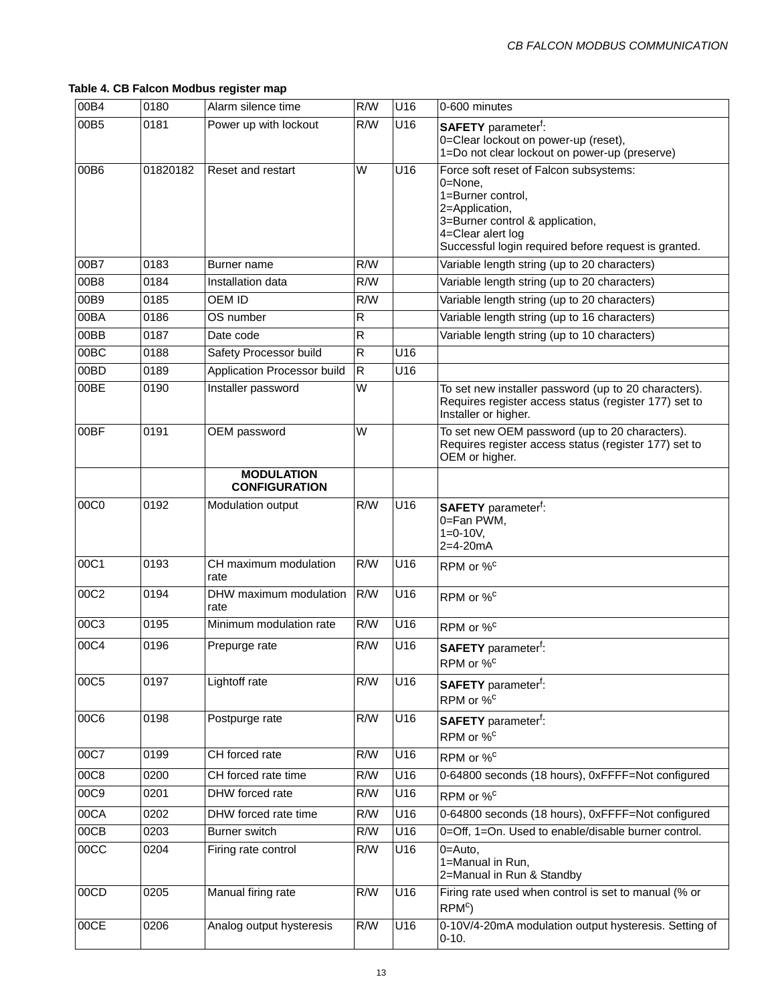| 00B4             | 0180     | Alarm silence time                        | R/W            | U16               | 0-600 minutes                                                                                                                                                                                            |
|------------------|----------|-------------------------------------------|----------------|-------------------|----------------------------------------------------------------------------------------------------------------------------------------------------------------------------------------------------------|
| 00B5             | 0181     | Power up with lockout                     | R/W            | U16               | <b>SAFETY</b> parameter <sup>f</sup> :<br>0=Clear lockout on power-up (reset),<br>1=Do not clear lockout on power-up (preserve)                                                                          |
| 00B6             | 01820182 | Reset and restart                         | W              | U16               | Force soft reset of Falcon subsystems:<br>0=None,<br>1=Burner control,<br>2=Application,<br>3=Burner control & application,<br>4=Clear alert log<br>Successful login required before request is granted. |
| 00B7             | 0183     | Burner name                               | R/W            |                   | Variable length string (up to 20 characters)                                                                                                                                                             |
| 00B8             | 0184     | Installation data                         | R/W            |                   | Variable length string (up to 20 characters)                                                                                                                                                             |
| 00B9             | 0185     | <b>OEM ID</b>                             | R/W            |                   | Variable length string (up to 20 characters)                                                                                                                                                             |
| 00BA             | 0186     | OS number                                 | ${\sf R}$      |                   | Variable length string (up to 16 characters)                                                                                                                                                             |
| 00B              | 0187     | Date code                                 | $\overline{R}$ |                   | Variable length string (up to 10 characters)                                                                                                                                                             |
| 00 <sub>BC</sub> | 0188     | Safety Processor build                    | $\overline{R}$ | $\overline{U}$ 16 |                                                                                                                                                                                                          |
| 00BD             | 0189     | <b>Application Processor build</b>        | $\mathsf{R}$   | U16               |                                                                                                                                                                                                          |
| 00BE             | 0190     | Installer password                        | W              |                   | To set new installer password (up to 20 characters).<br>Requires register access status (register 177) set to<br>Installer or higher.                                                                    |
| 00BF             | 0191     | OEM password                              | W              |                   | To set new OEM password (up to 20 characters).<br>Requires register access status (register 177) set to<br>OEM or higher.                                                                                |
|                  |          | <b>MODULATION</b><br><b>CONFIGURATION</b> |                |                   |                                                                                                                                                                                                          |
| 00C0             | 0192     | Modulation output                         | R/W            | $\overline{U}$ 16 | <b>SAFETY</b> parameter <sup>f</sup> :<br>0=Fan PWM,<br>$1=0-10V,$<br>$2=4-20mA$                                                                                                                         |
| 00C1             | 0193     | CH maximum modulation<br>rate             | R/W            | U16               | RPM or % <sup>c</sup>                                                                                                                                                                                    |
| 00C2             | 0194     | DHW maximum modulation<br>rate            | R/W            | $\overline{U}$ 16 | RPM or % <sup>c</sup>                                                                                                                                                                                    |
| 00C3             | 0195     | Minimum modulation rate                   | R/W            | U16               | RPM or % <sup>c</sup>                                                                                                                                                                                    |
| 00C4             | 0196     | Prepurge rate                             | R/W            | U16               | <b>SAFETY</b> parameter <sup>f</sup> :<br>RPM or % <sup>c</sup>                                                                                                                                          |
| 00C5             | 0197     | Lightoff rate                             | R/W            | U16               | <b>SAFETY</b> parameter <sup>f</sup> :<br>RPM or % <sup>c</sup>                                                                                                                                          |
| 00C6             | 0198     | Postpurge rate                            | R/W            | U16               | <b>SAFETY</b> parameter <sup>f</sup> :<br>RPM or % <sup>c</sup>                                                                                                                                          |
| 00C7             | 0199     | CH forced rate                            | R/W            | U16               | RPM or % <sup>c</sup>                                                                                                                                                                                    |
| 00C8             | 0200     | CH forced rate time                       | R/W            | U16               | 0-64800 seconds (18 hours), 0xFFFF=Not configured                                                                                                                                                        |
| 00C9             | 0201     | DHW forced rate                           | R/W            | U16               | RPM or % <sup>c</sup>                                                                                                                                                                                    |
| 00CA             | 0202     | DHW forced rate time                      | R/W            | U16               | 0-64800 seconds (18 hours), 0xFFFF=Not configured                                                                                                                                                        |
| 00CB             | 0203     | <b>Burner</b> switch                      | R/W            | U16               | 0=Off, 1=On. Used to enable/disable burner control.                                                                                                                                                      |
| 00CC             | 0204     | Firing rate control                       | R/W            | U16               | $0 =$ Auto,<br>1=Manual in Run,<br>2=Manual in Run & Standby                                                                                                                                             |
| 00CD             | 0205     | Manual firing rate                        | R/W            | U16               | Firing rate used when control is set to manual (% or<br>RPM <sup>c</sup>                                                                                                                                 |
| 00CE             | 0206     | Analog output hysteresis                  | R/W            | U16               | 0-10V/4-20mA modulation output hysteresis. Setting of<br>$0 - 10.$                                                                                                                                       |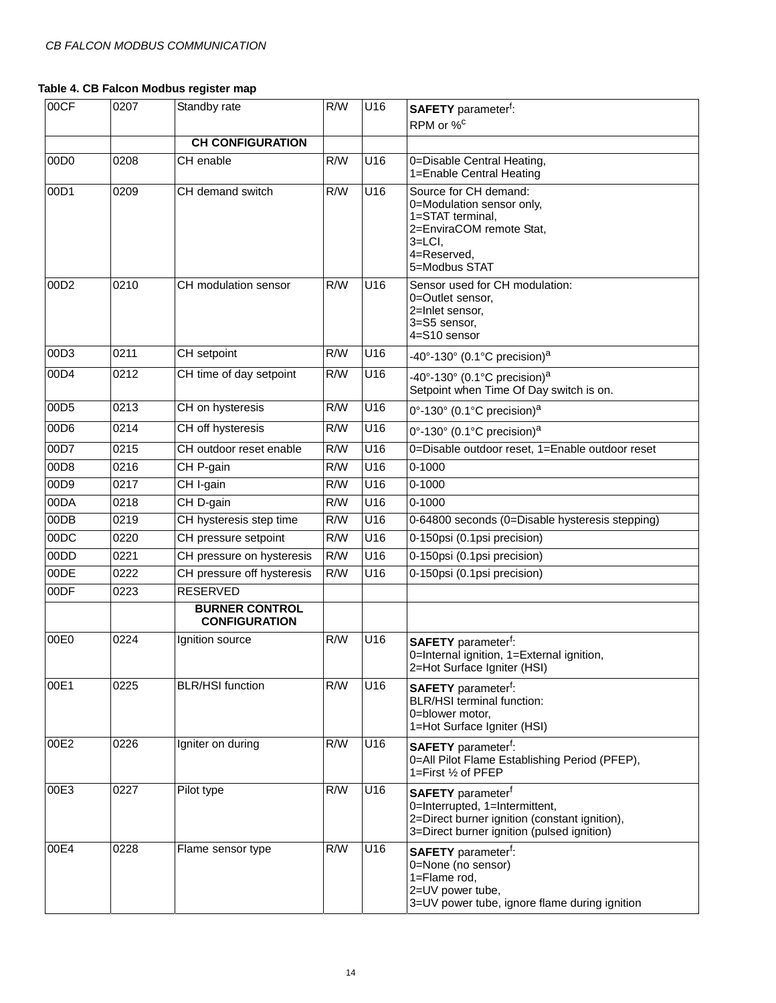| 00CF             | 0207 | Standby rate                                  | R/W | U16             | <b>SAFETY</b> parameter <sup>f</sup> :<br>RPM or % <sup>c</sup>                                                                                                       |
|------------------|------|-----------------------------------------------|-----|-----------------|-----------------------------------------------------------------------------------------------------------------------------------------------------------------------|
|                  |      | <b>CH CONFIGURATION</b>                       |     |                 |                                                                                                                                                                       |
| 00D0             | 0208 | CH enable                                     | R/W | U16             | 0=Disable Central Heating,<br>1=Enable Central Heating                                                                                                                |
| 00D1             | 0209 | CH demand switch                              | R/W | U <sub>16</sub> | Source for CH demand:<br>0=Modulation sensor only,<br>1=STAT terminal,<br>2=EnviraCOM remote Stat,<br>$3 = LCI$ ,<br>4=Reserved,<br>5=Modbus STAT                     |
| 00D <sub>2</sub> | 0210 | CH modulation sensor                          | R/W | U16             | Sensor used for CH modulation:<br>0=Outlet sensor,<br>2=Inlet sensor,<br>3=S5 sensor,<br>4=S10 sensor                                                                 |
| 00D3             | 0211 | CH setpoint                                   | R/W | U16             | -40°-130° (0.1°C precision) <sup>a</sup>                                                                                                                              |
| 00D4             | 0212 | CH time of day setpoint                       | R/W | U16             | -40°-130° (0.1°C precision) <sup>a</sup><br>Setpoint when Time Of Day switch is on.                                                                                   |
| 00D5             | 0213 | CH on hysteresis                              | R/W | U <sub>16</sub> | 0°-130° (0.1°C precision) <sup>a</sup>                                                                                                                                |
| 00D6             | 0214 | CH off hysteresis                             | R/W | U16             | 0°-130° (0.1°C precision) <sup>a</sup>                                                                                                                                |
| 00D7             | 0215 | CH outdoor reset enable                       | R/W | U16             | 0=Disable outdoor reset, 1=Enable outdoor reset                                                                                                                       |
| 00D8             | 0216 | CH P-gain                                     | R/W | U <sub>16</sub> | $0 - 1000$                                                                                                                                                            |
| 00D9             | 0217 | CH I-gain                                     | R/W | U16             | $0 - 1000$                                                                                                                                                            |
| 00DA             | 0218 | CH D-gain                                     | R/W | U16             | $0 - 1000$                                                                                                                                                            |
| 00DB             | 0219 | CH hysteresis step time                       | R/W | U16             | 0-64800 seconds (0=Disable hysteresis stepping)                                                                                                                       |
| 00DC             | 0220 | CH pressure setpoint                          | R/W | U16             | 0-150psi (0.1psi precision)                                                                                                                                           |
| 00DD             | 0221 | CH pressure on hysteresis                     | R/W | U16             | 0-150psi (0.1psi precision)                                                                                                                                           |
| 00DE             | 0222 | CH pressure off hysteresis                    | R/W | U16             | 0-150psi (0.1psi precision)                                                                                                                                           |
| 00DF             | 0223 | <b>RESERVED</b>                               |     |                 |                                                                                                                                                                       |
|                  |      | <b>BURNER CONTROL</b><br><b>CONFIGURATION</b> |     |                 |                                                                                                                                                                       |
| 00E0             | 0224 | Ignition source                               | R/W | U16             | <b>SAFETY</b> parameter <sup>f</sup> :<br>0=Internal ignition, 1=External ignition,<br>2=Hot Surface Igniter (HSI)                                                    |
| 00E1             | 0225 | <b>BLR/HSI</b> function                       | R/W | U16             | <b>SAFETY</b> parameter <sup>f</sup> :<br>BLR/HSI terminal function:<br>0=blower motor,<br>1=Hot Surface Igniter (HSI)                                                |
| 00E2             | 0226 | Igniter on during                             | R/W | U16             | <b>SAFETY</b> parameter <sup>f</sup> :<br>0=All Pilot Flame Establishing Period (PFEP),<br>1=First 1/2 of PFEP                                                        |
| 00E3             | 0227 | Pilot type                                    | R/W | U16             | <b>SAFETY</b> parameter <sup>f</sup><br>0=Interrupted, 1=Intermittent,<br>2=Direct burner ignition (constant ignition),<br>3=Direct burner ignition (pulsed ignition) |
| 00E4             | 0228 | Flame sensor type                             | R/W | U16             | <b>SAFETY</b> parameter <sup>f</sup> :<br>0=None (no sensor)<br>1=Flame rod,<br>2=UV power tube,<br>3=UV power tube, ignore flame during ignition                     |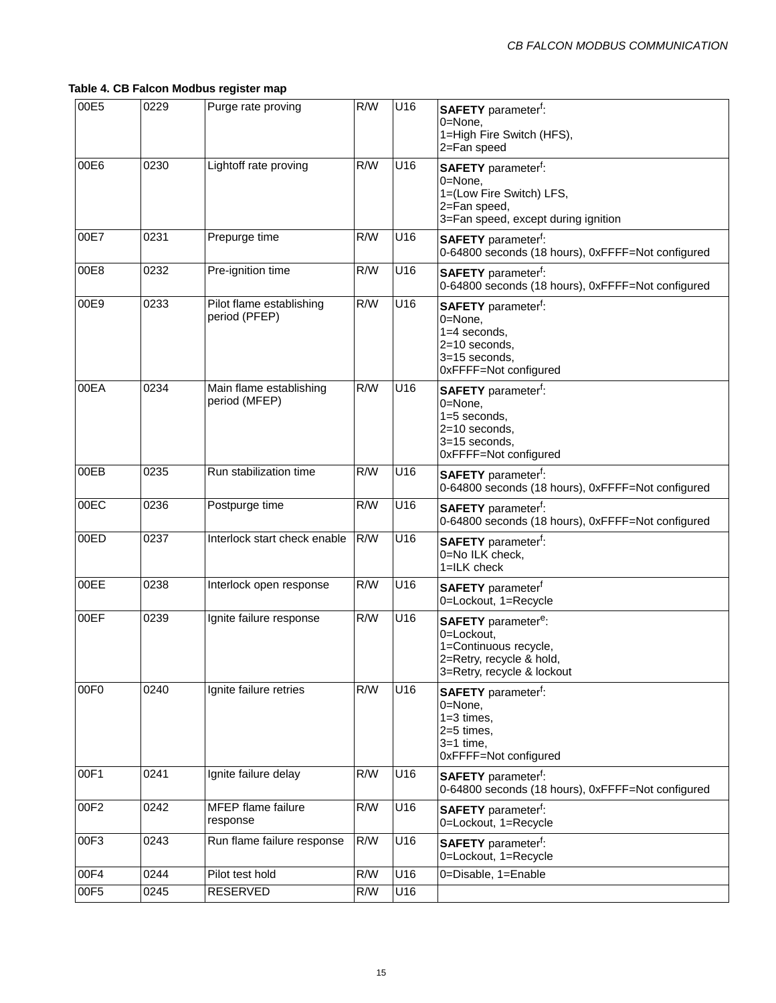| 00E5 | 0229 | Purge rate proving                        | R/W | U16               | <b>SAFETY</b> parameter <sup>f</sup> :<br>0=None,<br>1=High Fire Switch (HFS),<br>2=Fan speed                                           |
|------|------|-------------------------------------------|-----|-------------------|-----------------------------------------------------------------------------------------------------------------------------------------|
| 00E6 | 0230 | Lightoff rate proving                     | R/W | $\overline{U}$ 16 | <b>SAFETY</b> parameter <sup>f</sup> :<br>0=None,<br>1=(Low Fire Switch) LFS,<br>2=Fan speed,<br>3=Fan speed, except during ignition    |
| 00E7 | 0231 | Prepurge time                             | R/W | U16               | <b>SAFETY</b> parameter <sup>f</sup> :<br>0-64800 seconds (18 hours), 0xFFFF=Not configured                                             |
| 00E8 | 0232 | Pre-ignition time                         | R/W | U16               | <b>SAFETY</b> parameter <sup>f</sup> :<br>0-64800 seconds (18 hours), 0xFFFF=Not configured                                             |
| 00E9 | 0233 | Pilot flame establishing<br>period (PFEP) | R/W | U16               | <b>SAFETY</b> parameter <sup>t</sup> :<br>0=None,<br>$1=4$ seconds,<br>2=10 seconds,<br>3=15 seconds,<br>0xFFFF=Not configured          |
| 00EA | 0234 | Main flame establishing<br>period (MFEP)  | R/W | U16               | <b>SAFETY</b> parameter <sup>f</sup> :<br>0=None,<br>1=5 seconds,<br>2=10 seconds,<br>3=15 seconds,<br>0xFFFF=Not configured            |
| 00EB | 0235 | Run stabilization time                    | R/W | U16               | <b>SAFETY</b> parameter <sup>f</sup> :<br>0-64800 seconds (18 hours), 0xFFFF=Not configured                                             |
| 00EC | 0236 | Postpurge time                            | R/W | U16               | <b>SAFETY</b> parameter <sup>f</sup> :<br>0-64800 seconds (18 hours), 0xFFFF=Not configured                                             |
| 00ED | 0237 | Interlock start check enable              | R/W | U16               | <b>SAFETY</b> parameter <sup>f</sup> :<br>0=No ILK check,<br>1=ILK check                                                                |
| 00EE | 0238 | Interlock open response                   | R/W | U16               | <b>SAFETY</b> parameter <sup>f</sup><br>0=Lockout, 1=Recycle                                                                            |
| 00EF | 0239 | Ignite failure response                   | R/W | U16               | <b>SAFETY</b> parameter <sup>e</sup> :<br>0=Lockout,<br>1=Continuous recycle,<br>2=Retry, recycle & hold,<br>3=Retry, recycle & lockout |
| 00F0 | 0240 | Ignite failure retries                    | R/W | U16               | <b>SAFETY</b> parameter <sup>f</sup> :<br>0=None,<br>$1=3$ times,<br>2=5 times,<br>$3=1$ time,<br>0xFFFF=Not configured                 |
| 00F1 | 0241 | Ignite failure delay                      | R/W | U16               | <b>SAFETY</b> parameter <sup>f</sup> :<br>0-64800 seconds (18 hours), 0xFFFF=Not configured                                             |
| 00F2 | 0242 | <b>MFEP</b> flame failure<br>response     | R/W | $\overline{U}$ 16 | <b>SAFETY</b> parameter <sup>f</sup> :<br>0=Lockout, 1=Recycle                                                                          |
| 00F3 | 0243 | Run flame failure response                | R/W | U16               | <b>SAFETY</b> parameter <sup>f</sup> :<br>0=Lockout, 1=Recycle                                                                          |
| 00F4 | 0244 | Pilot test hold                           | R/W | U16               | 0=Disable, 1=Enable                                                                                                                     |
| 00F5 | 0245 | RESERVED                                  | R/W | U16               |                                                                                                                                         |
|      |      |                                           |     |                   |                                                                                                                                         |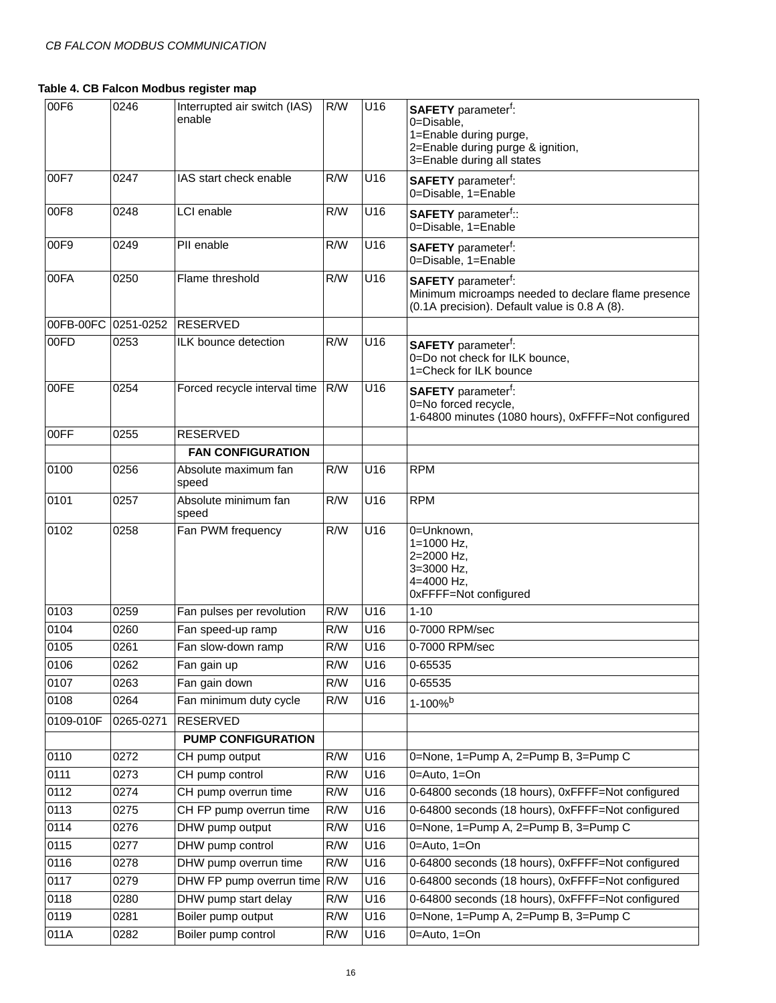| 00F6                | 0246      | Interrupted air switch (IAS)<br>enable       | R/W | U16               | <b>SAFETY</b> parameter <sup>f</sup> :<br>0=Disable,<br>1=Enable during purge,<br>2=Enable during purge & ignition,<br>3=Enable during all states |
|---------------------|-----------|----------------------------------------------|-----|-------------------|---------------------------------------------------------------------------------------------------------------------------------------------------|
| 00F7                | 0247      | IAS start check enable                       | R/W | U16               | <b>SAFETY</b> parameter <sup>f</sup> :<br>0=Disable, 1=Enable                                                                                     |
| 00F8                | 0248      | LCI enable                                   | R/W | U16               | <b>SAFETY</b> parameter <sup>t</sup> ::<br>0=Disable, 1=Enable                                                                                    |
| 00F9                | 0249      | PII enable                                   | R/W | U16               | <b>SAFETY</b> parameter <sup>f</sup> :<br>0=Disable, 1=Enable                                                                                     |
| 00FA                | 0250      | Flame threshold                              | R/W | U16               | <b>SAFETY</b> parameter <sup>f</sup> :<br>Minimum microamps needed to declare flame presence<br>(0.1A precision). Default value is 0.8 A (8).     |
| 00FB-00FC 0251-0252 |           | <b>RESERVED</b>                              |     |                   |                                                                                                                                                   |
| 00FD                | 0253      | ILK bounce detection                         | R/W | U16               | <b>SAFETY</b> parameter <sup>f</sup> :<br>0=Do not check for ILK bounce,<br>1=Check for ILK bounce                                                |
| 00FE                | 0254      | Forced recycle interval time                 | R/W | U16               | <b>SAFETY</b> parameter <sup>f</sup> :<br>0=No forced recycle,<br>1-64800 minutes (1080 hours), 0xFFFF=Not configured                             |
| 00FF                | 0255      | <b>RESERVED</b>                              |     |                   |                                                                                                                                                   |
|                     |           | <b>FAN CONFIGURATION</b>                     |     |                   |                                                                                                                                                   |
| 0100                | 0256      | Absolute maximum fan<br>speed                | R/W | U16               | <b>RPM</b>                                                                                                                                        |
| 0101                | 0257      | Absolute minimum fan<br>speed                | R/W | U16               | <b>RPM</b>                                                                                                                                        |
| 0102                | 0258      | Fan PWM frequency                            | R/W | U16               | 0=Unknown,<br>$1=1000$ Hz,<br>2=2000 Hz,<br>3=3000 Hz,<br>4=4000 Hz,<br>0xFFFF=Not configured                                                     |
| 0103                | 0259      | Fan pulses per revolution                    | R/W | $\overline{U}$ 16 | $1 - 10$                                                                                                                                          |
| 0104                | 0260      | Fan speed-up ramp                            | R/W | U16               | 0-7000 RPM/sec                                                                                                                                    |
| 0105                | 0261      | Fan slow-down ramp                           | R/W | U16               | 0-7000 RPM/sec                                                                                                                                    |
| 0106                | 0262      | Fan gain up                                  | R/W | U16               | 0-65535                                                                                                                                           |
| 0107                | 0263      | Fan gain down                                | R/W | U16               | 0-65535                                                                                                                                           |
| 0108                | 0264      | Fan minimum duty cycle                       | R/W | U16               | 1-100%b                                                                                                                                           |
| 0109-010F           | 0265-0271 | <b>RESERVED</b><br><b>PUMP CONFIGURATION</b> |     |                   |                                                                                                                                                   |
| 0110                | 0272      | CH pump output                               | R/W | U16               | 0=None, 1=Pump A, 2=Pump B, 3=Pump C                                                                                                              |
| 0111                | 0273      | CH pump control                              | R/W | U16               | $0=Auto, 1=On$                                                                                                                                    |
| 0112                | 0274      | CH pump overrun time                         | R/W | U16               | 0-64800 seconds (18 hours), 0xFFFF=Not configured                                                                                                 |
| 0113                | 0275      | CH FP pump overrun time                      | R/W | U16               | 0-64800 seconds (18 hours), 0xFFFF=Not configured                                                                                                 |
| 0114                | 0276      | DHW pump output                              | R/W | U16               | 0=None, 1=Pump A, 2=Pump B, 3=Pump C                                                                                                              |
| 0115                | 0277      | DHW pump control                             | R/W | U16               | $0=Auto, 1=On$                                                                                                                                    |
| 0116                | 0278      | DHW pump overrun time                        | R/W | U16               | 0-64800 seconds (18 hours), 0xFFFF=Not configured                                                                                                 |
| 0117                | 0279      | DHW FP pump overrun time R/W                 |     | U16               | 0-64800 seconds (18 hours), 0xFFFF=Not configured                                                                                                 |
| 0118                | 0280      | DHW pump start delay                         | R/W | U16               | 0-64800 seconds (18 hours), 0xFFFF=Not configured                                                                                                 |
| 0119                | 0281      | Boiler pump output                           | R/W | U16               | 0=None, 1=Pump A, 2=Pump B, 3=Pump C                                                                                                              |
| 011A                | 0282      | Boiler pump control                          | R/W | U16               | 0=Auto, 1=On                                                                                                                                      |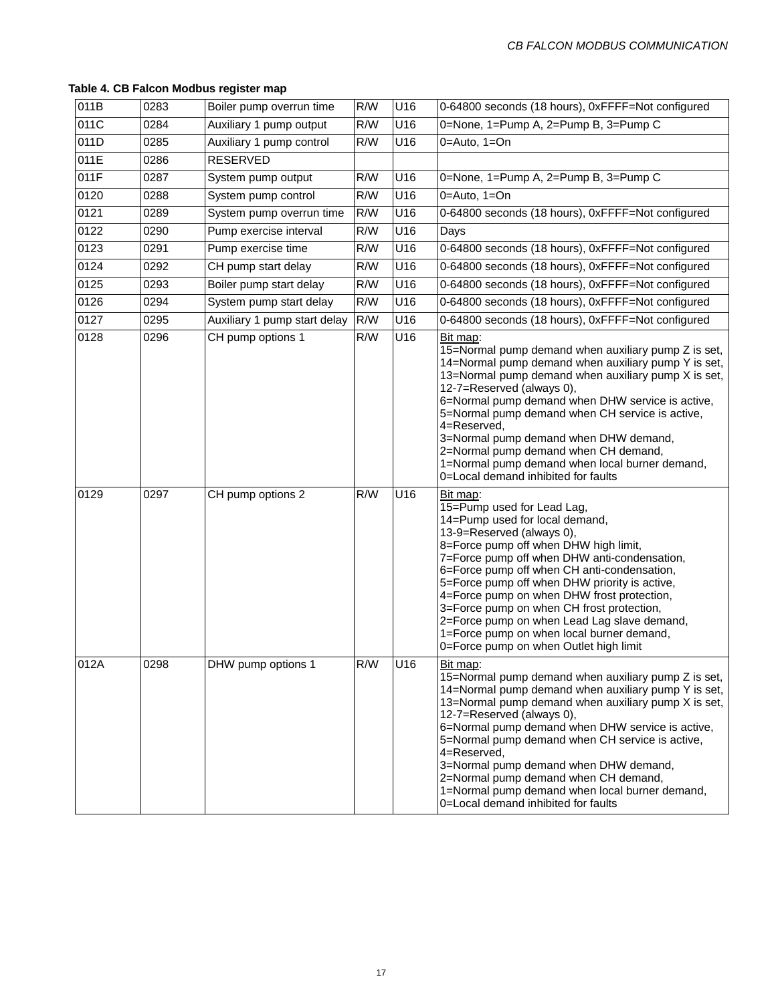| 011B | 0283 | Boiler pump overrun time     | R/W | U16              | 0-64800 seconds (18 hours), 0xFFFF=Not configured                                                                                                                                                                                                                                                                                                                                                                                                                                                                               |
|------|------|------------------------------|-----|------------------|---------------------------------------------------------------------------------------------------------------------------------------------------------------------------------------------------------------------------------------------------------------------------------------------------------------------------------------------------------------------------------------------------------------------------------------------------------------------------------------------------------------------------------|
| 011C | 0284 | Auxiliary 1 pump output      | R/W | U16              | 0=None, 1=Pump A, 2=Pump B, 3=Pump C                                                                                                                                                                                                                                                                                                                                                                                                                                                                                            |
| 011D | 0285 | Auxiliary 1 pump control     | R/W | U16              | 0=Auto, 1=On                                                                                                                                                                                                                                                                                                                                                                                                                                                                                                                    |
| 011E | 0286 | <b>RESERVED</b>              |     |                  |                                                                                                                                                                                                                                                                                                                                                                                                                                                                                                                                 |
| 011F | 0287 | System pump output           | R/W | U16              | 0=None, 1=Pump A, 2=Pump B, 3=Pump C                                                                                                                                                                                                                                                                                                                                                                                                                                                                                            |
| 0120 | 0288 | System pump control          | R/W | U16              | $0=Auto, 1=On$                                                                                                                                                                                                                                                                                                                                                                                                                                                                                                                  |
| 0121 | 0289 | System pump overrun time     | R/W | U16              | 0-64800 seconds (18 hours), 0xFFFF=Not configured                                                                                                                                                                                                                                                                                                                                                                                                                                                                               |
| 0122 | 0290 | Pump exercise interval       | R/W | U16              | Days                                                                                                                                                                                                                                                                                                                                                                                                                                                                                                                            |
| 0123 | 0291 | Pump exercise time           | R/W | U16              | 0-64800 seconds (18 hours), 0xFFFF=Not configured                                                                                                                                                                                                                                                                                                                                                                                                                                                                               |
| 0124 | 0292 | CH pump start delay          | R/W | $\overline{U16}$ | 0-64800 seconds (18 hours), 0xFFFF=Not configured                                                                                                                                                                                                                                                                                                                                                                                                                                                                               |
| 0125 | 0293 | Boiler pump start delay      | R/W | U16              | 0-64800 seconds (18 hours), 0xFFFF=Not configured                                                                                                                                                                                                                                                                                                                                                                                                                                                                               |
| 0126 | 0294 | System pump start delay      | R/W | U16              | 0-64800 seconds (18 hours), 0xFFFF=Not configured                                                                                                                                                                                                                                                                                                                                                                                                                                                                               |
| 0127 | 0295 | Auxiliary 1 pump start delay | R/W | U16              | 0-64800 seconds (18 hours), 0xFFFF=Not configured                                                                                                                                                                                                                                                                                                                                                                                                                                                                               |
| 0128 | 0296 | CH pump options 1            | R/W | U16              | Bit map:<br>15=Normal pump demand when auxiliary pump Z is set,<br>14=Normal pump demand when auxiliary pump Y is set,<br>13=Normal pump demand when auxiliary pump X is set,<br>12-7=Reserved (always 0),<br>6=Normal pump demand when DHW service is active,<br>5=Normal pump demand when CH service is active,<br>4=Reserved,<br>3=Normal pump demand when DHW demand,<br>2=Normal pump demand when CH demand,<br>1=Normal pump demand when local burner demand,<br>0=Local demand inhibited for faults                      |
| 0129 | 0297 | CH pump options 2            | R/W | U16              | Bit map:<br>15=Pump used for Lead Lag,<br>14=Pump used for local demand,<br>13-9=Reserved (always 0),<br>8=Force pump off when DHW high limit,<br>7=Force pump off when DHW anti-condensation,<br>6=Force pump off when CH anti-condensation,<br>5=Force pump off when DHW priority is active,<br>4=Force pump on when DHW frost protection,<br>3=Force pump on when CH frost protection,<br>2=Force pump on when Lead Lag slave demand,<br>1=Force pump on when local burner demand,<br>0=Force pump on when Outlet high limit |
| 012A | 0298 | DHW pump options 1           | R/W | U16              | Bit map:<br>15=Normal pump demand when auxiliary pump Z is set,<br>14=Normal pump demand when auxiliary pump Y is set,<br>13=Normal pump demand when auxiliary pump X is set,<br>12-7=Reserved (always 0),<br>6=Normal pump demand when DHW service is active,<br>5=Normal pump demand when CH service is active,<br>4=Reserved,<br>3=Normal pump demand when DHW demand,<br>2=Normal pump demand when CH demand,<br>1=Normal pump demand when local burner demand,<br>0=Local demand inhibited for faults                      |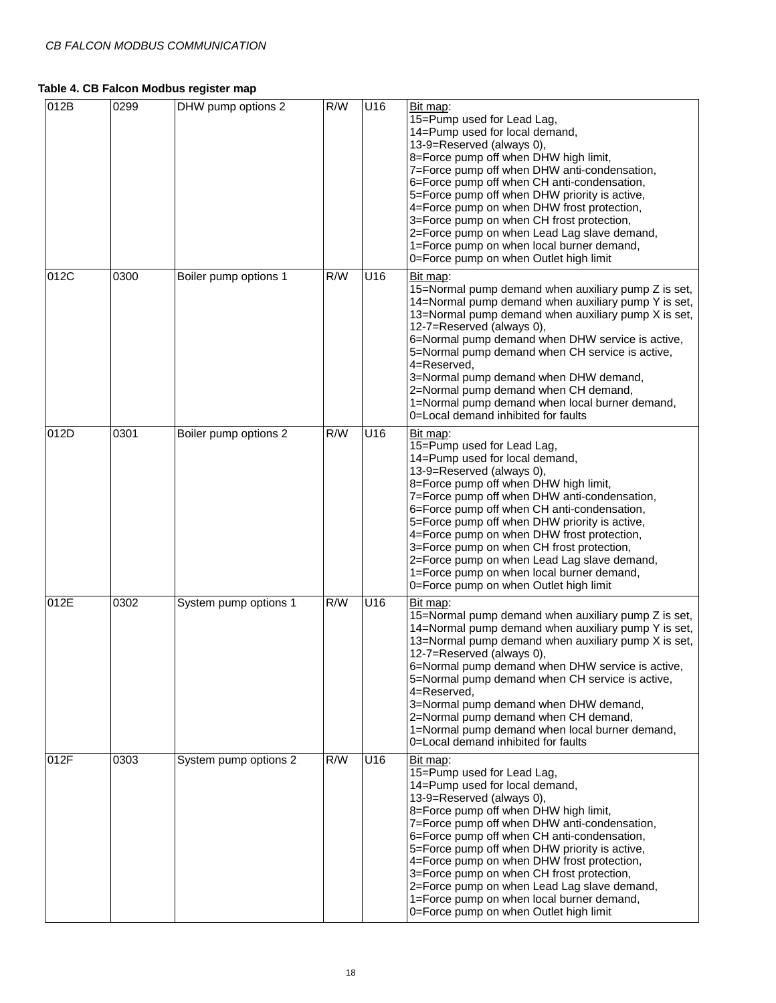| 012B | 0299 | DHW pump options 2    | R/W | U16 | Bit map:<br>15=Pump used for Lead Lag,<br>14=Pump used for local demand,<br>13-9=Reserved (always 0),<br>8=Force pump off when DHW high limit,<br>7=Force pump off when DHW anti-condensation,<br>6=Force pump off when CH anti-condensation,<br>5=Force pump off when DHW priority is active,<br>4=Force pump on when DHW frost protection,<br>3=Force pump on when CH frost protection,<br>2=Force pump on when Lead Lag slave demand,<br>1=Force pump on when local burner demand,<br>0=Force pump on when Outlet high limit |
|------|------|-----------------------|-----|-----|---------------------------------------------------------------------------------------------------------------------------------------------------------------------------------------------------------------------------------------------------------------------------------------------------------------------------------------------------------------------------------------------------------------------------------------------------------------------------------------------------------------------------------|
| 012C | 0300 | Boiler pump options 1 | R/W | U16 | Bit map:<br>15=Normal pump demand when auxiliary pump Z is set,<br>14=Normal pump demand when auxiliary pump Y is set,<br>13=Normal pump demand when auxiliary pump X is set,<br>12-7=Reserved (always 0),<br>6=Normal pump demand when DHW service is active,<br>5=Normal pump demand when CH service is active,<br>4=Reserved,<br>3=Normal pump demand when DHW demand,<br>2=Normal pump demand when CH demand,<br>1=Normal pump demand when local burner demand,<br>0=Local demand inhibited for faults                      |
| 012D | 0301 | Boiler pump options 2 | R/W | U16 | Bit map:<br>15=Pump used for Lead Lag,<br>14=Pump used for local demand,<br>13-9=Reserved (always 0),<br>8=Force pump off when DHW high limit,<br>7=Force pump off when DHW anti-condensation,<br>6=Force pump off when CH anti-condensation,<br>5=Force pump off when DHW priority is active,<br>4=Force pump on when DHW frost protection,<br>3=Force pump on when CH frost protection,<br>2=Force pump on when Lead Lag slave demand,<br>1=Force pump on when local burner demand,<br>0=Force pump on when Outlet high limit |
| 012E | 0302 | System pump options 1 | R/W | U16 | Bit map:<br>15=Normal pump demand when auxiliary pump Z is set,<br>14=Normal pump demand when auxiliary pump Y is set,<br>13=Normal pump demand when auxiliary pump X is set,<br>12-7=Reserved (always 0),<br>6=Normal pump demand when DHW service is active,<br>5=Normal pump demand when CH service is active,<br>4=Reserved,<br>3=Normal pump demand when DHW demand,<br>2=Normal pump demand when CH demand,<br>1=Normal pump demand when local burner demand,<br>0=Local demand inhibited for faults                      |
| 012F | 0303 | System pump options 2 | R/W | U16 | Bit map:<br>15=Pump used for Lead Lag,<br>14=Pump used for local demand,<br>13-9=Reserved (always 0),<br>8=Force pump off when DHW high limit,<br>7=Force pump off when DHW anti-condensation,<br>6=Force pump off when CH anti-condensation,<br>5=Force pump off when DHW priority is active,<br>4=Force pump on when DHW frost protection,<br>3=Force pump on when CH frost protection,<br>2=Force pump on when Lead Lag slave demand,<br>1=Force pump on when local burner demand,<br>0=Force pump on when Outlet high limit |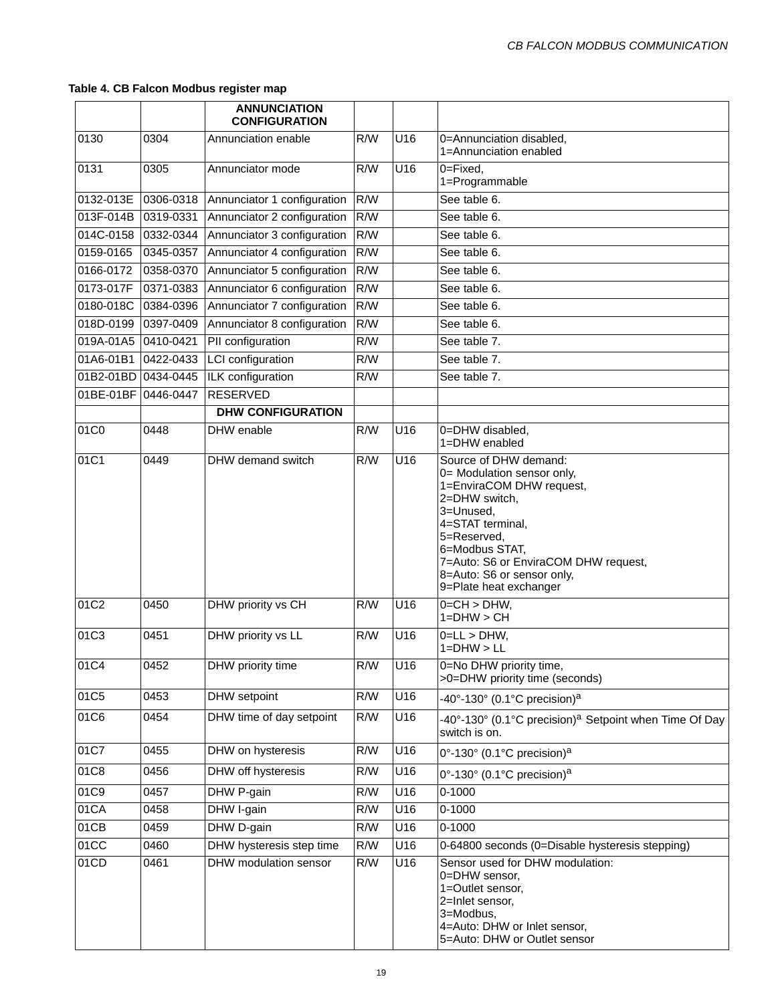|                     |           | <b>ANNUNCIATION</b><br><b>CONFIGURATION</b> |                  |                  |                                                                                                                                                                                                                                                                    |
|---------------------|-----------|---------------------------------------------|------------------|------------------|--------------------------------------------------------------------------------------------------------------------------------------------------------------------------------------------------------------------------------------------------------------------|
| 0130                | 0304      | Annunciation enable                         | $\overline{R/W}$ | U16              | 0=Annunciation disabled,<br>1=Annunciation enabled                                                                                                                                                                                                                 |
| 0131                | 0305      | Annunciator mode                            | R/W              | U16              | 0=Fixed,<br>1=Programmable                                                                                                                                                                                                                                         |
| 0132-013E           |           | 0306-0318 Annunciator 1 configuration       | R/W              |                  | See table 6.                                                                                                                                                                                                                                                       |
| 013F-014B           | 0319-0331 | Annunciator 2 configuration                 | R/W              |                  | See table 6.                                                                                                                                                                                                                                                       |
| 014C-0158           | 0332-0344 | Annunciator 3 configuration                 | R/W              |                  | See table 6.                                                                                                                                                                                                                                                       |
| 0159-0165           | 0345-0357 | Annunciator 4 configuration                 | R/W              |                  | See table 6.                                                                                                                                                                                                                                                       |
| 0166-0172           | 0358-0370 | Annunciator 5 configuration                 | $\overline{R/W}$ |                  | See table 6.                                                                                                                                                                                                                                                       |
| 0173-017F           | 0371-0383 | Annunciator 6 configuration                 | R/W              |                  | See table 6.                                                                                                                                                                                                                                                       |
| 0180-018C           | 0384-0396 | Annunciator 7 configuration                 | R/W              |                  | See table 6.                                                                                                                                                                                                                                                       |
| 018D-0199           | 0397-0409 | Annunciator 8 configuration                 | $\overline{R/W}$ |                  | See table 6.                                                                                                                                                                                                                                                       |
| 019A-01A5           | 0410-0421 | PII configuration                           | R/W              |                  | See table 7.                                                                                                                                                                                                                                                       |
| 01A6-01B1           | 0422-0433 | LCI configuration                           | R/W              |                  | See table 7.                                                                                                                                                                                                                                                       |
| 01B2-01BD 0434-0445 |           | ILK configuration                           | $\overline{R/W}$ |                  | See table 7.                                                                                                                                                                                                                                                       |
| 01BE-01BF 0446-0447 |           | <b>RESERVED</b>                             |                  |                  |                                                                                                                                                                                                                                                                    |
|                     |           | <b>DHW CONFIGURATION</b>                    |                  |                  |                                                                                                                                                                                                                                                                    |
| 01C0                | 0448      | DHW enable                                  | R/W              | U16              | 0=DHW disabled,<br>1=DHW enabled                                                                                                                                                                                                                                   |
| 01C1                | 0449      | DHW demand switch                           | R/W              | $\overline{U16}$ | Source of DHW demand:<br>0= Modulation sensor only,<br>1=EnviraCOM DHW request,<br>2=DHW switch,<br>3=Unused,<br>4=STAT terminal,<br>5=Reserved,<br>6=Modbus STAT,<br>7=Auto: S6 or EnviraCOM DHW request,<br>8=Auto: S6 or sensor only,<br>9=Plate heat exchanger |
| 01C2                | 0450      | DHW priority vs CH                          | R/W              | $\overline{U16}$ | $0=CH > DHW,$<br>$1 = DHW > CH$                                                                                                                                                                                                                                    |
| 01C3                | 0451      | DHW priority vs LL                          | R/W              | U16              | $0 = LL$ > DHW,<br>$1 = DHW > LL$                                                                                                                                                                                                                                  |
| 01C4                | 0452      | DHW priority time                           | R/W              | U16              | 0=No DHW priority time,<br>>0=DHW priority time (seconds)                                                                                                                                                                                                          |
| 01C5                | 0453      | DHW setpoint                                | R/W              | U16              | -40°-130° (0.1°C precision) <sup>a</sup>                                                                                                                                                                                                                           |
| 01C6                | 0454      | DHW time of day setpoint                    | R/W              | U16              | -40°-130° (0.1°C precision) <sup>a</sup> Setpoint when Time Of Day<br>switch is on.                                                                                                                                                                                |
| 01C7                | 0455      | DHW on hysteresis                           | R/W              | U16              | 0°-130° (0.1°C precision) <sup>a</sup>                                                                                                                                                                                                                             |
| 01C8                | 0456      | DHW off hysteresis                          | R/W              | U16              | 0°-130° (0.1°C precision) <sup>a</sup>                                                                                                                                                                                                                             |
| 01C9                | 0457      | DHW P-gain                                  | R/W              | U16              | $0 - 1000$                                                                                                                                                                                                                                                         |
| 01CA                | 0458      | DHW I-gain                                  | R/W              | U16              | $0 - 1000$                                                                                                                                                                                                                                                         |
| 01CB                | 0459      | DHW D-gain                                  | R/W              | U16              | $0 - 1000$                                                                                                                                                                                                                                                         |
| 01CC                | 0460      | DHW hysteresis step time                    | R/W              | U16              | 0-64800 seconds (0=Disable hysteresis stepping)                                                                                                                                                                                                                    |
| 01CD                | 0461      | DHW modulation sensor                       | R/W              | U16              | Sensor used for DHW modulation:<br>0=DHW sensor,<br>1=Outlet sensor,<br>2=Inlet sensor,<br>3=Modbus,<br>4=Auto: DHW or Inlet sensor,<br>5=Auto: DHW or Outlet sensor                                                                                               |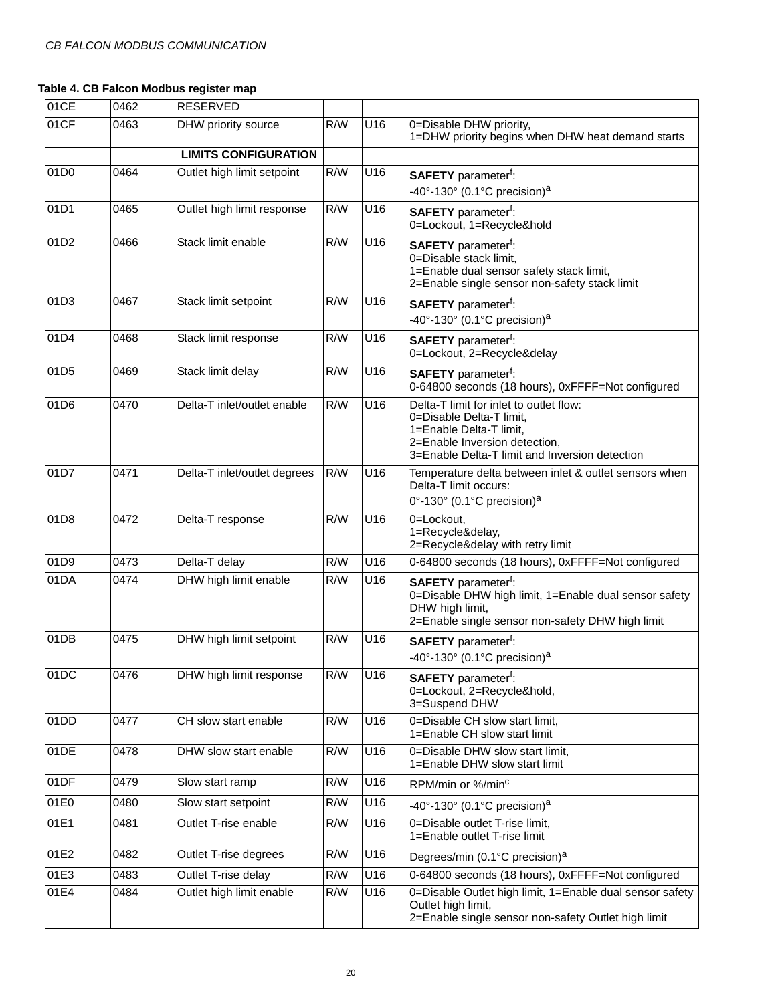| 01CE | 0462 | <b>RESERVED</b>              |                   |                   |                                                                                                                                                                                   |
|------|------|------------------------------|-------------------|-------------------|-----------------------------------------------------------------------------------------------------------------------------------------------------------------------------------|
| 01CF | 0463 | DHW priority source          | R/W               | U16               | 0=Disable DHW priority,<br>1=DHW priority begins when DHW heat demand starts                                                                                                      |
|      |      | <b>LIMITS CONFIGURATION</b>  |                   |                   |                                                                                                                                                                                   |
| 01D0 | 0464 | Outlet high limit setpoint   | $\overline{R}$ /W | U16               | <b>SAFETY</b> parameter <sup>f</sup> :<br>-40°-130° (0.1°C precision) <sup>a</sup>                                                                                                |
| 01D1 | 0465 | Outlet high limit response   | R/W               | U16               | <b>SAFETY</b> parameter <sup>f</sup> :<br>0=Lockout, 1=Recycle&hold                                                                                                               |
| 01D2 | 0466 | Stack limit enable           | R/W               | U16               | <b>SAFETY</b> parameter <sup>f</sup> :<br>0=Disable stack limit,<br>1=Enable dual sensor safety stack limit,<br>2=Enable single sensor non-safety stack limit                     |
| 01D3 | 0467 | Stack limit setpoint         | R/W               | U16               | <b>SAFETY</b> parameter <sup>f</sup> :<br>-40°-130° (0.1°C precision) <sup>a</sup>                                                                                                |
| 01D4 | 0468 | Stack limit response         | R/W               | U16               | <b>SAFETY</b> parameter <sup>f</sup> :<br>0=Lockout, 2=Recycle&delay                                                                                                              |
| 01D5 | 0469 | Stack limit delay            | R/W               | U16               | <b>SAFETY</b> parameter <sup>f</sup> :<br>0-64800 seconds (18 hours), 0xFFFF=Not configured                                                                                       |
| 01D6 | 0470 | Delta-T inlet/outlet enable  | $\overline{R/W}$  | U16               | Delta-T limit for inlet to outlet flow:<br>0=Disable Delta-T limit,<br>1=Enable Delta-T limit,<br>2=Enable Inversion detection,<br>3=Enable Delta-T limit and Inversion detection |
| 01D7 | 0471 | Delta-T inlet/outlet degrees | R/W               | U16               | Temperature delta between inlet & outlet sensors when<br>Delta-T limit occurs:<br>0°-130° (0.1°C precision) <sup>a</sup>                                                          |
| 01D8 | 0472 | Delta-T response             | R/W               | U16               | 0=Lockout,<br>1=Recycle&delay,<br>2=Recycle&delay with retry limit                                                                                                                |
| 01D9 | 0473 | Delta-T delay                | R/W               | U16               | 0-64800 seconds (18 hours), 0xFFFF=Not configured                                                                                                                                 |
| 01DA | 0474 | DHW high limit enable        | R/W               | U16               | <b>SAFETY</b> parameter <sup>f</sup> :<br>0=Disable DHW high limit, 1=Enable dual sensor safety<br>DHW high limit,<br>2=Enable single sensor non-safety DHW high limit            |
| 01DB | 0475 | DHW high limit setpoint      | R/W               | U16               | <b>SAFETY</b> parameter <sup>f</sup> :<br>-40°-130° (0.1°C precision) <sup>a</sup>                                                                                                |
| 01DC | 0476 | DHW high limit response      | R/W               | U16               | <b>SAFETY</b> parameter <sup>f</sup> :<br>0=Lockout, 2=Recycle&hold,<br>3=Suspend DHW                                                                                             |
| 01DD | 0477 | CH slow start enable         | R/W               | U16               | 0=Disable CH slow start limit,<br>1=Enable CH slow start limit                                                                                                                    |
| 01DE | 0478 | DHW slow start enable        | R/W               | U16               | 0=Disable DHW slow start limit,<br>1=Enable DHW slow start limit                                                                                                                  |
| 01DF | 0479 | Slow start ramp              | R/W               | $\overline{U}$ 16 | RPM/min or %/min <sup>c</sup>                                                                                                                                                     |
| 01E0 | 0480 | Slow start setpoint          | R/W               | U16               | -40°-130° (0.1°C precision) <sup>a</sup>                                                                                                                                          |
| 01E1 | 0481 | Outlet T-rise enable         | R/W               | U16               | 0=Disable outlet T-rise limit,<br>1=Enable outlet T-rise limit                                                                                                                    |
| 01E2 | 0482 | Outlet T-rise degrees        | R/W               | U16               | Degrees/min (0.1°C precision) <sup>a</sup>                                                                                                                                        |
| 01E3 | 0483 | Outlet T-rise delay          | R/W               | U16               | 0-64800 seconds (18 hours), 0xFFFF=Not configured                                                                                                                                 |
| 01E4 | 0484 | Outlet high limit enable     | R/W               | U16               | 0=Disable Outlet high limit, 1=Enable dual sensor safety<br>Outlet high limit,<br>2=Enable single sensor non-safety Outlet high limit                                             |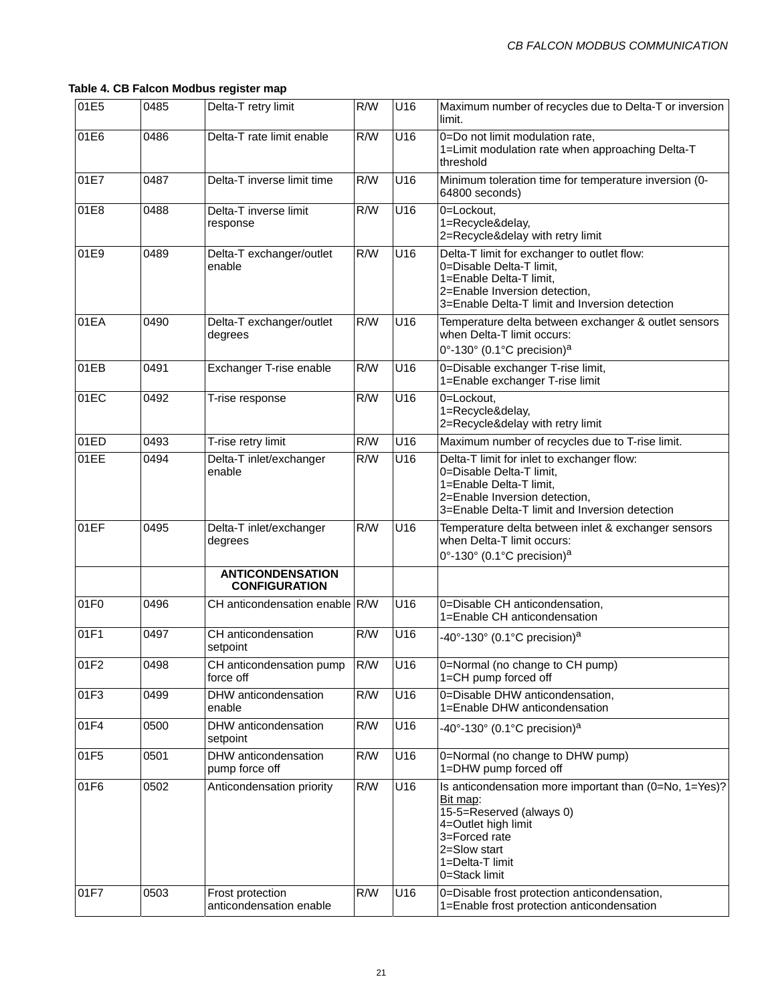| 01E5 | 0485 | Delta-T retry limit                             | R/W | U16              | Maximum number of recycles due to Delta-T or inversion<br>limit.                                                                                                                           |
|------|------|-------------------------------------------------|-----|------------------|--------------------------------------------------------------------------------------------------------------------------------------------------------------------------------------------|
| 01E6 | 0486 | Delta-T rate limit enable                       | R/W | U16              | 0=Do not limit modulation rate,<br>1=Limit modulation rate when approaching Delta-T<br>threshold                                                                                           |
| 01E7 | 0487 | Delta-T inverse limit time                      | R/W | U16              | Minimum toleration time for temperature inversion (0-<br>64800 seconds)                                                                                                                    |
| 01E8 | 0488 | Delta-T inverse limit<br>response               | R/W | U16              | 0=Lockout,<br>1=Recycle&delay,<br>2=Recycle&delay with retry limit                                                                                                                         |
| 01E9 | 0489 | Delta-T exchanger/outlet<br>enable              | R/W | $\overline{U16}$ | Delta-T limit for exchanger to outlet flow:<br>0=Disable Delta-T limit,<br>1=Enable Delta-T limit,<br>2=Enable Inversion detection,<br>3=Enable Delta-T limit and Inversion detection      |
| 01EA | 0490 | Delta-T exchanger/outlet<br>degrees             | R/W | U16              | Temperature delta between exchanger & outlet sensors<br>when Delta-T limit occurs:<br>0°-130° (0.1°C precision) <sup>a</sup>                                                               |
| 01EB | 0491 | Exchanger T-rise enable                         | R/W | $\overline{U16}$ | 0=Disable exchanger T-rise limit,<br>1=Enable exchanger T-rise limit                                                                                                                       |
| 01EC | 0492 | T-rise response                                 | R/W | U16              | 0=Lockout,<br>1=Recycle&delay,<br>2=Recycle&delay with retry limit                                                                                                                         |
| 01ED | 0493 | T-rise retry limit                              | R/W | U16              | Maximum number of recycles due to T-rise limit.                                                                                                                                            |
| 01EE | 0494 | Delta-T inlet/exchanger<br>enable               | R/W | U16              | Delta-T limit for inlet to exchanger flow:<br>0=Disable Delta-T limit,<br>1=Enable Delta-T limit,<br>2=Enable Inversion detection,<br>3=Enable Delta-T limit and Inversion detection       |
| 01EF | 0495 | Delta-T inlet/exchanger<br>degrees              | R/W | U16              | Temperature delta between inlet & exchanger sensors<br>when Delta-T limit occurs:<br>0°-130° (0.1°C precision) <sup>a</sup>                                                                |
|      |      | <b>ANTICONDENSATION</b><br><b>CONFIGURATION</b> |     |                  |                                                                                                                                                                                            |
| 01F0 | 0496 | CH anticondensation enable R/W                  |     | $\overline{U16}$ | 0=Disable CH anticondensation,<br>1=Enable CH anticondensation                                                                                                                             |
| 01F1 | 0497 | CH anticondensation<br>setpoint                 | R/W | U16              | -40°-130° (0.1°C precision) <sup>a</sup>                                                                                                                                                   |
| 01F2 | 0498 | CH anticondensation pump<br>force off           | R/W | U16              | 0=Normal (no change to CH pump)<br>1=CH pump forced off                                                                                                                                    |
| 01F3 | 0499 | DHW anticondensation<br>enable                  | R/W | U16              | 0=Disable DHW anticondensation,<br>1=Enable DHW anticondensation                                                                                                                           |
| 01F4 | 0500 | DHW anticondensation<br>setpoint                | R/W | U16              | -40°-130° (0.1°C precision) <sup>a</sup>                                                                                                                                                   |
| 01F5 | 0501 | DHW anticondensation<br>pump force off          | R/W | U16              | 0=Normal (no change to DHW pump)<br>1=DHW pump forced off                                                                                                                                  |
| 01F6 | 0502 | Anticondensation priority                       | R/W | U16              | Is anticondensation more important than (0=No, 1=Yes)?<br>Bit map:<br>15-5=Reserved (always 0)<br>4=Outlet high limit<br>3=Forced rate<br>2=Slow start<br>1=Delta-T limit<br>0=Stack limit |
| 01F7 | 0503 | Frost protection<br>anticondensation enable     | R/W | U16              | 0=Disable frost protection anticondensation,<br>1=Enable frost protection anticondensation                                                                                                 |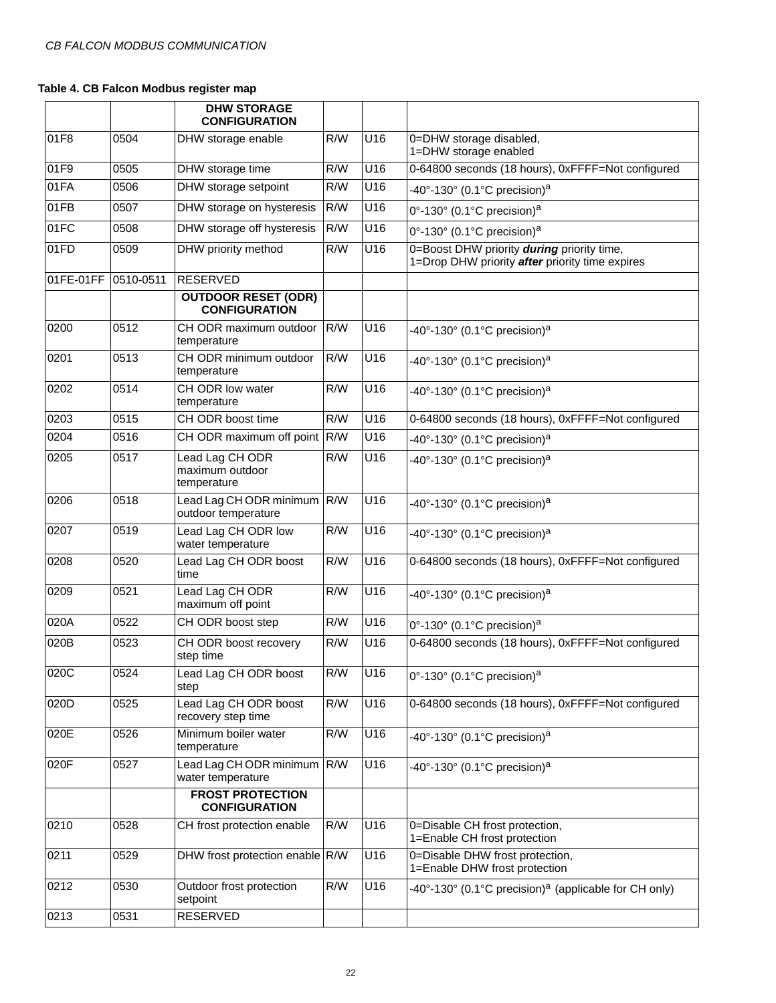|           |           | <b>DHW STORAGE</b><br><b>CONFIGURATION</b>         |     |                  |                                                                                               |
|-----------|-----------|----------------------------------------------------|-----|------------------|-----------------------------------------------------------------------------------------------|
| 01F8      | 0504      | DHW storage enable                                 | R/W | U16              | 0=DHW storage disabled,<br>1=DHW storage enabled                                              |
| 01F9      | 0505      | DHW storage time                                   | R/W | U16              | 0-64800 seconds (18 hours), 0xFFFF=Not configured                                             |
| 01FA      | 0506      | DHW storage setpoint                               | R/W | U16              | -40°-130° (0.1°C precision) <sup>a</sup>                                                      |
| 01FB      | 0507      | DHW storage on hysteresis                          | R/W | U16              | 0°-130° (0.1°C precision) <sup>a</sup>                                                        |
| 01FC      | 0508      | DHW storage off hysteresis                         | R/W | U16              | 0°-130° (0.1°C precision) <sup>a</sup>                                                        |
| 01FD      | 0509      | DHW priority method                                | R/W | U16              | 0=Boost DHW priority during priority time,<br>1=Drop DHW priority after priority time expires |
| 01FE-01FF | 0510-0511 | <b>RESERVED</b>                                    |     |                  |                                                                                               |
|           |           | <b>OUTDOOR RESET (ODR)</b><br><b>CONFIGURATION</b> |     |                  |                                                                                               |
| 0200      | 0512      | CH ODR maximum outdoor<br>temperature              | R/W | U16              | -40°-130° (0.1°C precision) <sup>a</sup>                                                      |
| 0201      | 0513      | CH ODR minimum outdoor<br>temperature              | R/W | U16              | -40°-130° (0.1°C precision) <sup>a</sup>                                                      |
| 0202      | 0514      | CH ODR low water<br>temperature                    | R/W | U16              | -40°-130° (0.1°C precision) <sup>a</sup>                                                      |
| 0203      | 0515      | CH ODR boost time                                  | R/W | U16              | 0-64800 seconds (18 hours), 0xFFFF=Not configured                                             |
| 0204      | 0516      | CH ODR maximum off point R/W                       |     | U <sub>16</sub>  | -40°-130° (0.1°C precision) <sup>a</sup>                                                      |
| 0205      | 0517      | Lead Lag CH ODR<br>maximum outdoor<br>temperature  | R/W | U16              | -40°-130° (0.1°C precision) <sup>a</sup>                                                      |
| 0206      | 0518      | Lead Lag CH ODR minimum R/W<br>outdoor temperature |     | U16              | -40°-130° (0.1°C precision) <sup>a</sup>                                                      |
| 0207      | 0519      | Lead Lag CH ODR low<br>water temperature           | R/W | $\overline{U16}$ | -40°-130° (0.1°C precision) <sup>a</sup>                                                      |
| 0208      | 0520      | Lead Lag CH ODR boost<br>time                      | R/W | $\overline{U16}$ | 0-64800 seconds (18 hours), 0xFFFF=Not configured                                             |
| 0209      | 0521      | Lead Lag CH ODR<br>maximum off point               | R/W | U16              | -40°-130° (0.1°C precision) <sup>a</sup>                                                      |
| 020A      | 0522      | CH ODR boost step                                  | R/W | U16              | 0°-130° (0.1°C precision) <sup>a</sup>                                                        |
| 020B      | 0523      | CH ODR boost recovery<br>step time                 | R/W | U16              | 0-64800 seconds (18 hours), 0xFFFF=Not configured                                             |
| 020C      | 0524      | Lead Lag CH ODR boost<br>step                      | R/W | U16              | 0°-130° (0.1°C precision) <sup>a</sup>                                                        |
| 020D      | 0525      | Lead Lag CH ODR boost<br>recovery step time        | R/W | U16              | 0-64800 seconds (18 hours), 0xFFFF=Not configured                                             |
| 020E      | 0526      | Minimum boiler water<br>temperature                | R/W | U16              | -40°-130° (0.1°C precision) <sup>a</sup>                                                      |
| 020F      | 0527      | Lead Lag CH ODR minimum<br>water temperature       | R/W | U16              | -40°-130° (0.1°C precision) <sup>a</sup>                                                      |
|           |           | <b>FROST PROTECTION</b><br><b>CONFIGURATION</b>    |     |                  |                                                                                               |
| 0210      | 0528      | CH frost protection enable                         | R/W | U16              | 0=Disable CH frost protection,<br>1=Enable CH frost protection                                |
| 0211      | 0529      | DHW frost protection enable R/W                    |     | U16              | 0=Disable DHW frost protection,<br>1=Enable DHW frost protection                              |
| 0212      | 0530      | Outdoor frost protection<br>setpoint               | R/W | U16              | -40°-130° (0.1°C precision) <sup>a</sup> (applicable for CH only)                             |
| 0213      | 0531      | <b>RESERVED</b>                                    |     |                  |                                                                                               |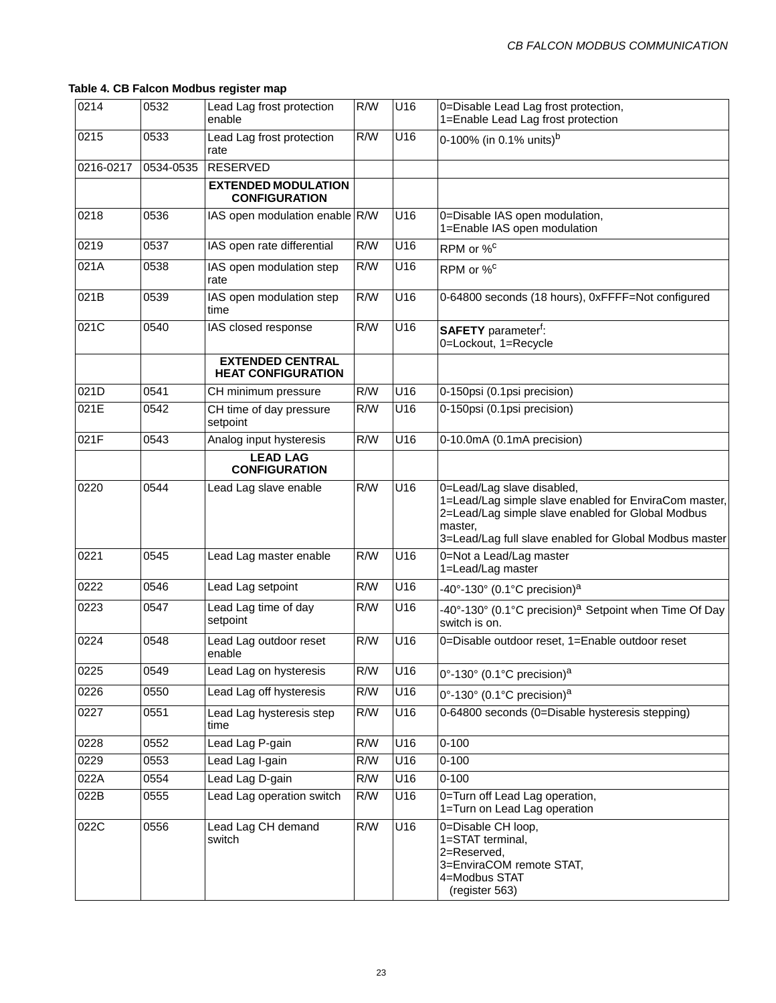| 0214      | 0532      | Lead Lag frost protection<br>enable                  | R/W              | U16              | 0=Disable Lead Lag frost protection,<br>1=Enable Lead Lag frost protection                                                                                                                                    |
|-----------|-----------|------------------------------------------------------|------------------|------------------|---------------------------------------------------------------------------------------------------------------------------------------------------------------------------------------------------------------|
| 0215      | 0533      | Lead Lag frost protection<br>rate                    | R/W              | U16              | 0-100% (in 0.1% units) <sup>b</sup>                                                                                                                                                                           |
| 0216-0217 | 0534-0535 | <b>RESERVED</b>                                      |                  |                  |                                                                                                                                                                                                               |
|           |           | <b>EXTENDED MODULATION</b><br><b>CONFIGURATION</b>   |                  |                  |                                                                                                                                                                                                               |
| 0218      | 0536      | IAS open modulation enable R/W                       |                  | $\overline{U16}$ | 0=Disable IAS open modulation,<br>1=Enable IAS open modulation                                                                                                                                                |
| 0219      | 0537      | IAS open rate differential                           | R/W              | $\overline{U16}$ | RPM or % <sup>c</sup>                                                                                                                                                                                         |
| 021A      | 0538      | IAS open modulation step<br>rate                     | R/W              | U16              | RPM or % <sup>c</sup>                                                                                                                                                                                         |
| 021B      | 0539      | IAS open modulation step<br>time                     | R/W              | $\overline{U16}$ | 0-64800 seconds (18 hours), 0xFFFF=Not configured                                                                                                                                                             |
| 021C      | 0540      | IAS closed response                                  | $\overline{R/W}$ | $\overline{U16}$ | <b>SAFETY</b> parameter <sup>f</sup> :<br>0=Lockout, 1=Recycle                                                                                                                                                |
|           |           | <b>EXTENDED CENTRAL</b><br><b>HEAT CONFIGURATION</b> |                  |                  |                                                                                                                                                                                                               |
| 021D      | 0541      | CH minimum pressure                                  | R/W              | U16              | 0-150psi (0.1psi precision)                                                                                                                                                                                   |
| 021E      | 0542      | CH time of day pressure<br>setpoint                  | R/W              | U16              | 0-150psi (0.1psi precision)                                                                                                                                                                                   |
| 021F      | 0543      | Analog input hysteresis                              | R/W              | $\overline{U16}$ | 0-10.0mA (0.1mA precision)                                                                                                                                                                                    |
|           |           | <b>LEAD LAG</b><br><b>CONFIGURATION</b>              |                  |                  |                                                                                                                                                                                                               |
| 0220      | 0544      | Lead Lag slave enable                                | R/W              | U16              | 0=Lead/Lag slave disabled,<br>1=Lead/Lag simple slave enabled for EnviraCom master,<br>2=Lead/Lag simple slave enabled for Global Modbus<br>master.<br>3=Lead/Lag full slave enabled for Global Modbus master |
| 0221      | 0545      | Lead Lag master enable                               | R/W              | U16              | 0=Not a Lead/Lag master<br>1=Lead/Lag master                                                                                                                                                                  |
| 0222      | 0546      | Lead Lag setpoint                                    | R/W              | U16              | -40°-130° (0.1°C precision) <sup>a</sup>                                                                                                                                                                      |
| 0223      | 0547      | Lead Lag time of day<br>setpoint                     | R/W              | U16              | -40°-130° (0.1°C precision) <sup>a</sup> Setpoint when Time Of Day<br>switch is on.                                                                                                                           |
| 0224      | 0548      | Lead Lag outdoor reset<br>enable                     | R/W              | U16              | 0=Disable outdoor reset, 1=Enable outdoor reset                                                                                                                                                               |
| 0225      | 0549      | Lead Lag on hysteresis                               | R/W              | U16              | 0°-130° (0.1°C precision) <sup>a</sup>                                                                                                                                                                        |
| 0226      | 0550      | Lead Lag off hysteresis                              | R/W              | U16              | $0^{\circ}$ -130 $^{\circ}$ (0.1 $^{\circ}$ C precision) <sup>a</sup>                                                                                                                                         |
| 0227      | 0551      | Lead Lag hysteresis step<br>time                     | R/W              | U16              | 0-64800 seconds (0=Disable hysteresis stepping)                                                                                                                                                               |
| 0228      | 0552      | Lead Lag P-gain                                      | R/W              | U16              | $0 - 100$                                                                                                                                                                                                     |
| 0229      | 0553      | Lead Lag I-gain                                      | R/W              | U16              | $0 - 100$                                                                                                                                                                                                     |
| 022A      | 0554      | Lead Lag D-gain                                      | R/W              | U16              | $0 - 100$                                                                                                                                                                                                     |
| 022B      | 0555      | Lead Lag operation switch                            | R/W              | U16              | 0=Turn off Lead Lag operation,<br>1=Turn on Lead Lag operation                                                                                                                                                |
| 022C      | 0556      | Lead Lag CH demand<br>switch                         | R/W              | U16              | 0=Disable CH loop,<br>1=STAT terminal,<br>2=Reserved,<br>3=EnviraCOM remote STAT,<br>4=Modbus STAT<br>(register 563)                                                                                          |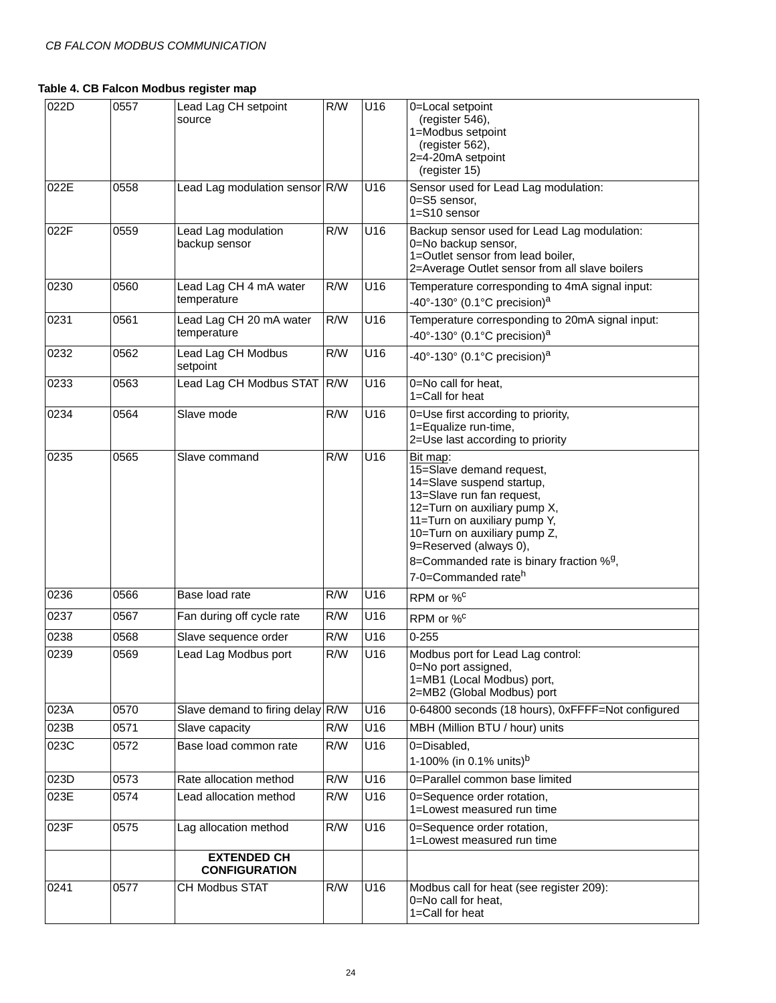| 022D | 0557 | Lead Lag CH setpoint<br>source             | R/W | U16              | 0=Local setpoint<br>(register 546),<br>1=Modbus setpoint<br>(register 562),<br>2=4-20mA setpoint<br>(register 15)                                                                                                                                                                                                     |
|------|------|--------------------------------------------|-----|------------------|-----------------------------------------------------------------------------------------------------------------------------------------------------------------------------------------------------------------------------------------------------------------------------------------------------------------------|
| 022E | 0558 | Lead Lag modulation sensor R/W             |     | U16              | Sensor used for Lead Lag modulation:<br>0=S5 sensor,<br>1=S10 sensor                                                                                                                                                                                                                                                  |
| 022F | 0559 | Lead Lag modulation<br>backup sensor       | R/W | U16              | Backup sensor used for Lead Lag modulation:<br>0=No backup sensor,<br>1=Outlet sensor from lead boiler,<br>2=Average Outlet sensor from all slave boilers                                                                                                                                                             |
| 0230 | 0560 | Lead Lag CH 4 mA water<br>temperature      | R/W | U16              | Temperature corresponding to 4mA signal input:<br>-40°-130° (0.1°C precision) <sup>a</sup>                                                                                                                                                                                                                            |
| 0231 | 0561 | Lead Lag CH 20 mA water<br>temperature     | R/W | U16              | Temperature corresponding to 20mA signal input:<br>-40°-130° (0.1°C precision) <sup>a</sup>                                                                                                                                                                                                                           |
| 0232 | 0562 | Lead Lag CH Modbus<br>setpoint             | R/W | $\overline{U16}$ | -40°-130° (0.1°C precision) <sup>a</sup>                                                                                                                                                                                                                                                                              |
| 0233 | 0563 | Lead Lag CH Modbus STAT R/W                |     | U16              | 0=No call for heat,<br>1=Call for heat                                                                                                                                                                                                                                                                                |
| 0234 | 0564 | Slave mode                                 | R/W | U16              | 0=Use first according to priority,<br>1=Equalize run-time,<br>2=Use last according to priority                                                                                                                                                                                                                        |
| 0235 | 0565 | Slave command                              | R/W | U16              | Bit map:<br>15=Slave demand request,<br>14=Slave suspend startup,<br>13=Slave run fan request,<br>12=Turn on auxiliary pump X,<br>11=Turn on auxiliary pump Y,<br>10=Turn on auxiliary pump Z,<br>9=Reserved (always 0),<br>8=Commanded rate is binary fraction $%$ <sup>9</sup> ,<br>7-0=Commanded rate <sup>h</sup> |
| 0236 | 0566 | Base load rate                             | R/W | U16              | RPM or % <sup>c</sup>                                                                                                                                                                                                                                                                                                 |
| 0237 | 0567 | Fan during off cycle rate                  | R/W | U16              | RPM or % <sup>c</sup>                                                                                                                                                                                                                                                                                                 |
| 0238 | 0568 | Slave sequence order                       | R/W | U16              | $0 - 255$                                                                                                                                                                                                                                                                                                             |
| 0239 | 0569 | Lead Lag Modbus port                       | R/W | U16              | Modbus port for Lead Lag control:<br>0=No port assigned,<br>1=MB1 (Local Modbus) port,<br>2=MB2 (Global Modbus) port                                                                                                                                                                                                  |
| 023A | 0570 | Slave demand to firing delay R/W           |     | U16              | 0-64800 seconds (18 hours), 0xFFFF=Not configured                                                                                                                                                                                                                                                                     |
| 023B | 0571 | Slave capacity                             | R/W | U16              | MBH (Million BTU / hour) units                                                                                                                                                                                                                                                                                        |
| 023C | 0572 | Base load common rate                      | R/W | U16              | 0=Disabled,<br>1-100% (in 0.1% units) <sup>b</sup>                                                                                                                                                                                                                                                                    |
| 023D | 0573 | Rate allocation method                     | R/W | U16              | 0=Parallel common base limited                                                                                                                                                                                                                                                                                        |
| 023E | 0574 | Lead allocation method                     | R/W | U16              | 0=Sequence order rotation,<br>1=Lowest measured run time                                                                                                                                                                                                                                                              |
| 023F | 0575 | Lag allocation method                      | R/W | U16              | 0=Sequence order rotation,<br>1=Lowest measured run time                                                                                                                                                                                                                                                              |
|      |      | <b>EXTENDED CH</b><br><b>CONFIGURATION</b> |     |                  |                                                                                                                                                                                                                                                                                                                       |
| 0241 | 0577 | <b>CH Modbus STAT</b>                      | R/W | U16              | Modbus call for heat (see register 209):<br>0=No call for heat,<br>1=Call for heat                                                                                                                                                                                                                                    |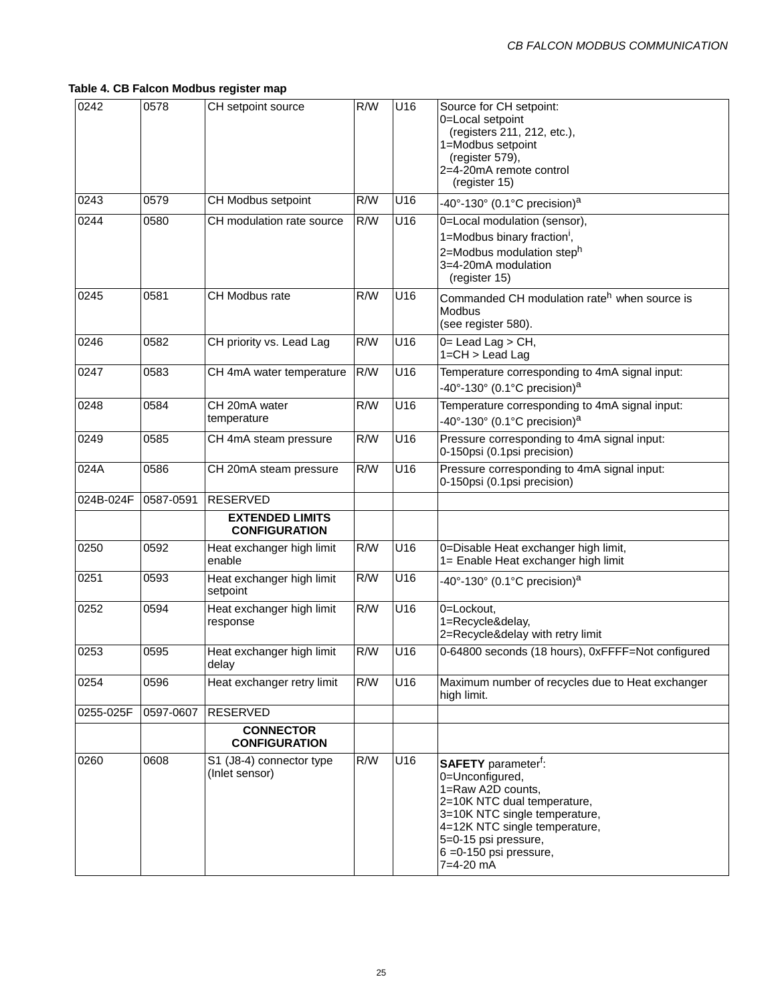| 0242      | 0578      | CH setpoint source                             | R/W | U16             | Source for CH setpoint:<br>0=Local setpoint<br>(registers 211, 212, etc.),<br>1=Modbus setpoint<br>(register 579),<br>2=4-20mA remote control<br>(register 15)                                                                                    |
|-----------|-----------|------------------------------------------------|-----|-----------------|---------------------------------------------------------------------------------------------------------------------------------------------------------------------------------------------------------------------------------------------------|
| 0243      | 0579      | CH Modbus setpoint                             | R/W | U16             | -40°-130° (0.1°C precision) <sup>a</sup>                                                                                                                                                                                                          |
| 0244      | 0580      | CH modulation rate source                      | R/W | U16             | 0=Local modulation (sensor),<br>1=Modbus binary fraction <sup>i</sup> ,<br>2=Modbus modulation steph<br>3=4-20mA modulation<br>(register 15)                                                                                                      |
| 0245      | 0581      | CH Modbus rate                                 | R/W | U16             | Commanded CH modulation rate <sup>h</sup> when source is<br>Modbus<br>(see register 580).                                                                                                                                                         |
| 0246      | 0582      | CH priority vs. Lead Lag                       | R/W | U <sub>16</sub> | $0 =$ Lead Lag > CH,<br>$1 = CH$ > Lead Lag                                                                                                                                                                                                       |
| 0247      | 0583      | CH 4mA water temperature                       | R/W | U16             | Temperature corresponding to 4mA signal input:<br>-40°-130° (0.1°C precision) <sup>a</sup>                                                                                                                                                        |
| 0248      | 0584      | CH 20mA water<br>temperature                   | R/W | U16             | Temperature corresponding to 4mA signal input:<br>-40°-130° (0.1°C precision) <sup>a</sup>                                                                                                                                                        |
| 0249      | 0585      | CH 4mA steam pressure                          | R/W | U16             | Pressure corresponding to 4mA signal input:<br>0-150psi (0.1psi precision)                                                                                                                                                                        |
| 024A      | 0586      | CH 20mA steam pressure                         | R/W | U16             | Pressure corresponding to 4mA signal input:<br>0-150psi (0.1psi precision)                                                                                                                                                                        |
| 024B-024F | 0587-0591 | <b>RESERVED</b>                                |     |                 |                                                                                                                                                                                                                                                   |
|           |           | <b>EXTENDED LIMITS</b><br><b>CONFIGURATION</b> |     |                 |                                                                                                                                                                                                                                                   |
| 0250      | 0592      | Heat exchanger high limit<br>enable            | R/W | U16             | 0=Disable Heat exchanger high limit,<br>1= Enable Heat exchanger high limit                                                                                                                                                                       |
| 0251      | 0593      | Heat exchanger high limit<br>setpoint          | R/W | U16             | -40°-130° (0.1°C precision) <sup>a</sup>                                                                                                                                                                                                          |
| 0252      | 0594      | Heat exchanger high limit<br>response          | R/W | U16             | 0=Lockout,<br>1=Recycle&delay,<br>2=Recycle&delay with retry limit                                                                                                                                                                                |
| 0253      | 0595      | Heat exchanger high limit<br>delay             | R/W | U16             | 0-64800 seconds (18 hours), 0xFFFF=Not configured                                                                                                                                                                                                 |
| 0254      | 0596      | Heat exchanger retry limit                     | R/W | U16             | Maximum number of recycles due to Heat exchanger<br>high limit.                                                                                                                                                                                   |
| 0255-025F | 0597-0607 | <b>RESERVED</b>                                |     |                 |                                                                                                                                                                                                                                                   |
|           |           | <b>CONNECTOR</b><br><b>CONFIGURATION</b>       |     |                 |                                                                                                                                                                                                                                                   |
| 0260      | 0608      | S1 (J8-4) connector type<br>(Inlet sensor)     | R/W | U16             | <b>SAFETY</b> parameter <sup>f</sup> :<br>0=Unconfigured,<br>1=Raw A2D counts,<br>2=10K NTC dual temperature,<br>3=10K NTC single temperature,<br>4=12K NTC single temperature,<br>5=0-15 psi pressure,<br>$6 = 0.150$ psi pressure,<br>7=4-20 mA |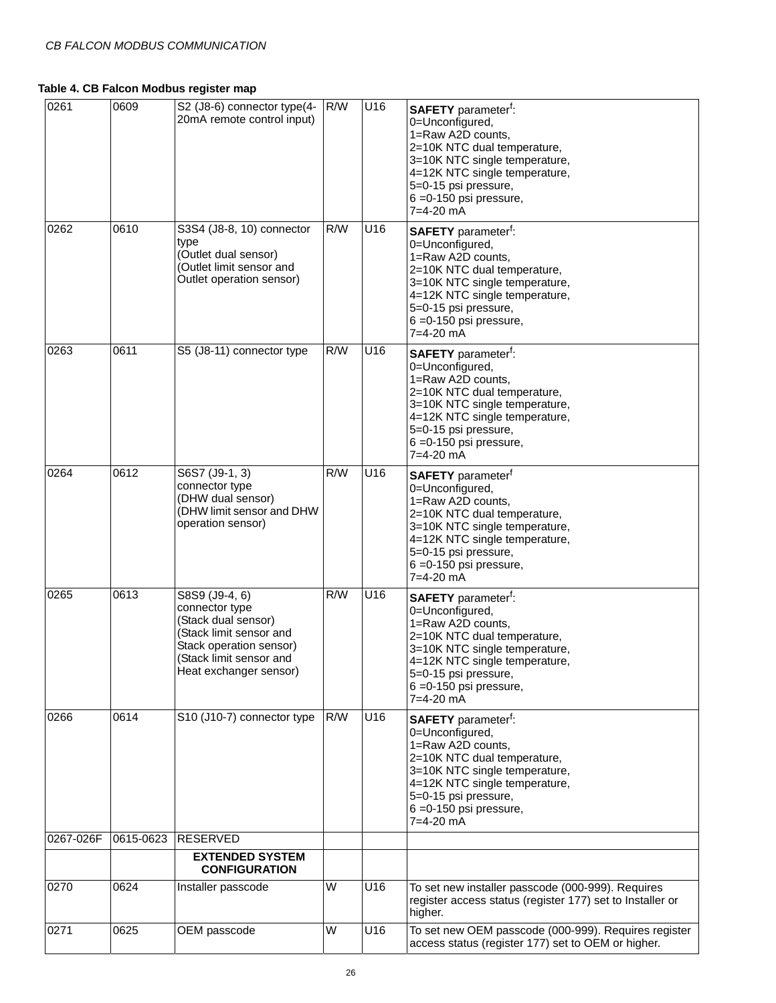| 0261      | 0609      | S2 (J8-6) connector type(4-<br>20mA remote control input)                                                                                                          | R/W | U16             | <b>SAFETY</b> parameter <sup>f</sup> :<br>0=Unconfigured,<br>1=Raw A2D counts,<br>2=10K NTC dual temperature,<br>3=10K NTC single temperature,<br>4=12K NTC single temperature,<br>5=0-15 psi pressure,<br>$6 = 0.150$ psi pressure,<br>7=4-20 mA   |
|-----------|-----------|--------------------------------------------------------------------------------------------------------------------------------------------------------------------|-----|-----------------|-----------------------------------------------------------------------------------------------------------------------------------------------------------------------------------------------------------------------------------------------------|
| 0262      | 0610      | S3S4 (J8-8, 10) connector<br>type<br>(Outlet dual sensor)<br>Outlet limit sensor and<br>Outlet operation sensor)                                                   | R/W | U16             | <b>SAFETY</b> parameter <sup>f</sup> :<br>0=Unconfigured,<br>1=Raw A2D counts,<br>2=10K NTC dual temperature,<br>3=10K NTC single temperature,<br>4=12K NTC single temperature,<br>5=0-15 psi pressure,<br>$6 = 0.150$ psi pressure,<br>7=4-20 mA   |
| 0263      | 0611      | S5 (J8-11) connector type                                                                                                                                          | R/W | U16             | <b>SAFETY</b> parameter <sup>t</sup> :<br>0=Unconfigured,<br>1=Raw A2D counts,<br>2=10K NTC dual temperature,<br>3=10K NTC single temperature,<br>4=12K NTC single temperature,<br>5=0-15 psi pressure,<br>$6 = 0.150$ psi pressure,<br>$7=4-20$ mA |
| 0264      | 0612      | S6S7 (J9-1, 3)<br>connector type<br>(DHW dual sensor)<br>(DHW limit sensor and DHW<br>operation sensor)                                                            | R/W | U <sub>16</sub> | <b>SAFETY</b> parameter <sup>t</sup><br>0=Unconfigured,<br>1=Raw A2D counts,<br>2=10K NTC dual temperature,<br>3=10K NTC single temperature,<br>4=12K NTC single temperature,<br>5=0-15 psi pressure,<br>$6 = 0.150$ psi pressure,<br>$7=4-20$ mA   |
| 0265      | 0613      | S8S9 (J9-4, 6)<br>connector type<br>(Stack dual sensor)<br>(Stack limit sensor and<br>Stack operation sensor)<br>(Stack limit sensor and<br>Heat exchanger sensor) | R/W | U16             | <b>SAFETY</b> parameter <sup>t</sup> :<br>0=Unconfigured,<br>1=Raw A2D counts,<br>2=10K NTC dual temperature,<br>3=10K NTC single temperature,<br>4=12K NTC single temperature,<br>5=0-15 psi pressure,<br>6 = 0-150 psi pressure,<br>7=4-20 mA     |
| 0266      | 0614      | S10 (J10-7) connector type                                                                                                                                         | R/W | U16             | <b>SAFETY</b> parameter <sup>f</sup> :<br>0=Unconfigured,<br>1=Raw A2D counts,<br>2=10K NTC dual temperature,<br>3=10K NTC single temperature,<br>4=12K NTC single temperature,<br>5=0-15 psi pressure,<br>$6 = 0.150$ psi pressure,<br>7=4-20 mA   |
| 0267-026F | 0615-0623 | <b>RESERVED</b>                                                                                                                                                    |     |                 |                                                                                                                                                                                                                                                     |
|           |           | <b>EXTENDED SYSTEM</b><br><b>CONFIGURATION</b>                                                                                                                     |     |                 |                                                                                                                                                                                                                                                     |
| 0270      | 0624      | Installer passcode                                                                                                                                                 | W   | U16             | To set new installer passcode (000-999). Requires<br>register access status (register 177) set to Installer or<br>higher.                                                                                                                           |
| 0271      | 0625      | OEM passcode                                                                                                                                                       | W   | U16             | To set new OEM passcode (000-999). Requires register<br>access status (register 177) set to OEM or higher.                                                                                                                                          |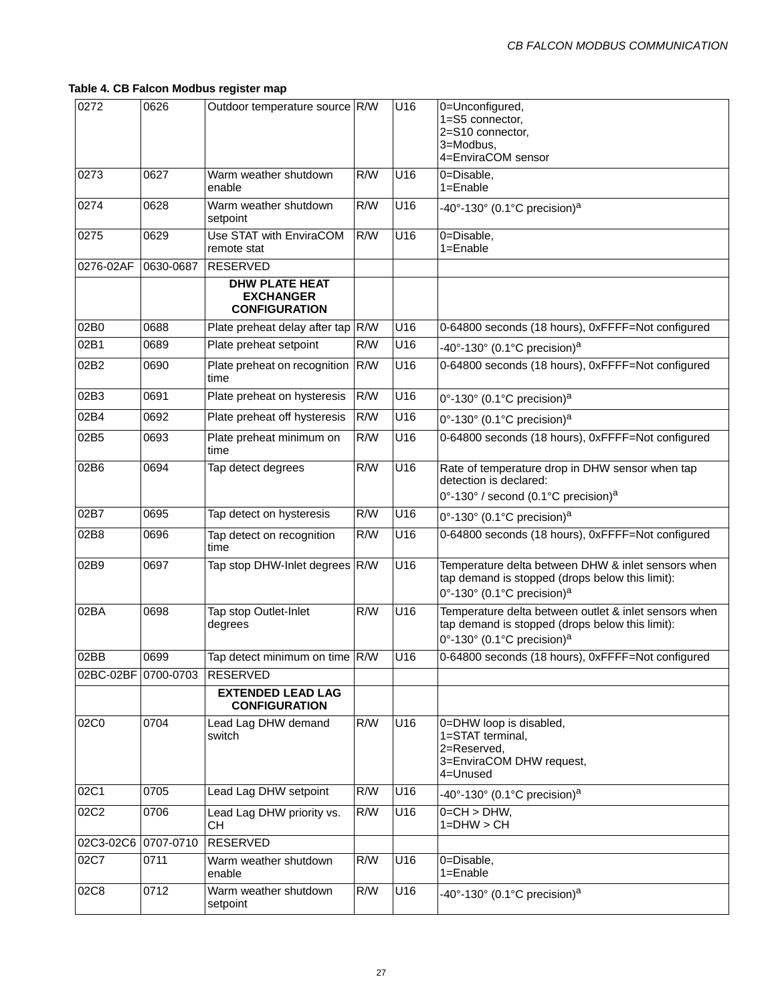| 0272                | 0626                | Outdoor temperature source R/W                                    |                  | U16              | 0=Unconfigured,<br>1=S5 connector,<br>2=S10 connector,<br>3=Modbus,<br>4=EnviraCOM sensor                                                          |
|---------------------|---------------------|-------------------------------------------------------------------|------------------|------------------|----------------------------------------------------------------------------------------------------------------------------------------------------|
| 0273                | 0627                | Warm weather shutdown<br>enable                                   | R/W              | U16              | 0=Disable,<br>$1 =$ Enable                                                                                                                         |
| 0274                | 0628                | Warm weather shutdown<br>setpoint                                 | $\overline{R/W}$ | U16              | -40°-130° (0.1°C precision) <sup>a</sup>                                                                                                           |
| 0275                | 0629                | Use STAT with EnviraCOM<br>remote stat                            | $\overline{R/W}$ | U16              | 0=Disable,<br>1=Enable                                                                                                                             |
| 0276-02AF           | 0630-0687           | <b>RESERVED</b>                                                   |                  |                  |                                                                                                                                                    |
|                     |                     | <b>DHW PLATE HEAT</b><br><b>EXCHANGER</b><br><b>CONFIGURATION</b> |                  |                  |                                                                                                                                                    |
| 02B0                | 0688                | Plate preheat delay after tap R/W                                 |                  | U16              | 0-64800 seconds (18 hours), 0xFFFF=Not configured                                                                                                  |
| 02B1                | 0689                | Plate preheat setpoint                                            | R/W              | $\overline{U16}$ | -40°-130° (0.1°C precision) <sup>a</sup>                                                                                                           |
| 02B2                | 0690                | Plate preheat on recognition R/W<br>time                          |                  | U16              | 0-64800 seconds (18 hours), 0xFFFF=Not configured                                                                                                  |
| 02B3                | 0691                | Plate preheat on hysteresis                                       | R/W              | U16              | 0°-130° (0.1°C precision) <sup>a</sup>                                                                                                             |
| 02B4                | 0692                | Plate preheat off hysteresis                                      | R/W              | U16              | 0°-130° (0.1°C precision) <sup>a</sup>                                                                                                             |
| 02B5                | 0693                | Plate preheat minimum on<br>time                                  | R/W              | U16              | 0-64800 seconds (18 hours), 0xFFFF=Not configured                                                                                                  |
| 02B6                | 0694                | Tap detect degrees                                                | R/W              | U16              | Rate of temperature drop in DHW sensor when tap<br>detection is declared:<br>0°-130° / second (0.1°C precision) <sup>a</sup>                       |
| 02B7                | 0695                | Tap detect on hysteresis                                          | R/W              | U16              | 0°-130° (0.1°C precision) <sup>a</sup>                                                                                                             |
| 02B8                | 0696                | Tap detect on recognition<br>time                                 | R/W              | U16              | 0-64800 seconds (18 hours), 0xFFFF=Not configured                                                                                                  |
| 02B9                | 0697                | Tap stop DHW-Inlet degrees R/W                                    |                  | U16              | Temperature delta between DHW & inlet sensors when<br>tap demand is stopped (drops below this limit):<br>0°-130° (0.1°C precision) <sup>a</sup>    |
| 02BA                | 0698                | Tap stop Outlet-Inlet<br>degrees                                  | R/W              | U16              | Temperature delta between outlet & inlet sensors when<br>tap demand is stopped (drops below this limit):<br>0°-130° (0.1°C precision) <sup>a</sup> |
| 02BB                | 0699                | Tap detect minimum on time R/W                                    |                  | U16              | 0-64800 seconds (18 hours), 0xFFFF=Not configured                                                                                                  |
| 02BC-02BF 0700-0703 |                     | RESERVED                                                          |                  |                  |                                                                                                                                                    |
|                     |                     | <b>EXTENDED LEAD LAG</b><br><b>CONFIGURATION</b>                  |                  |                  |                                                                                                                                                    |
| 02C0                | 0704                | Lead Lag DHW demand<br>switch                                     | R/W              | U16              | 0=DHW loop is disabled,<br>1=STAT terminal,<br>2=Reserved,<br>3=EnviraCOM DHW request,<br>4=Unused                                                 |
| 02C1                | 0705                | Lead Lag DHW setpoint                                             | R/W              | U16              | -40°-130° (0.1°C precision) <sup>a</sup>                                                                                                           |
| 02C2                | 0706                | Lead Lag DHW priority vs.<br>CН                                   | R/W              | U16              | $0 = CH$ > DHW,<br>$1 = DHW > CH$                                                                                                                  |
|                     | 02C3-02C6 0707-0710 | <b>RESERVED</b>                                                   |                  |                  |                                                                                                                                                    |
| 02C7                | 0711                | Warm weather shutdown<br>enable                                   | R/W              | U16              | 0=Disable,<br>$1 =$ Enable                                                                                                                         |
| 02C8                | 0712                | Warm weather shutdown<br>setpoint                                 | R/W              | U16              | -40°-130° (0.1°C precision) <sup>a</sup>                                                                                                           |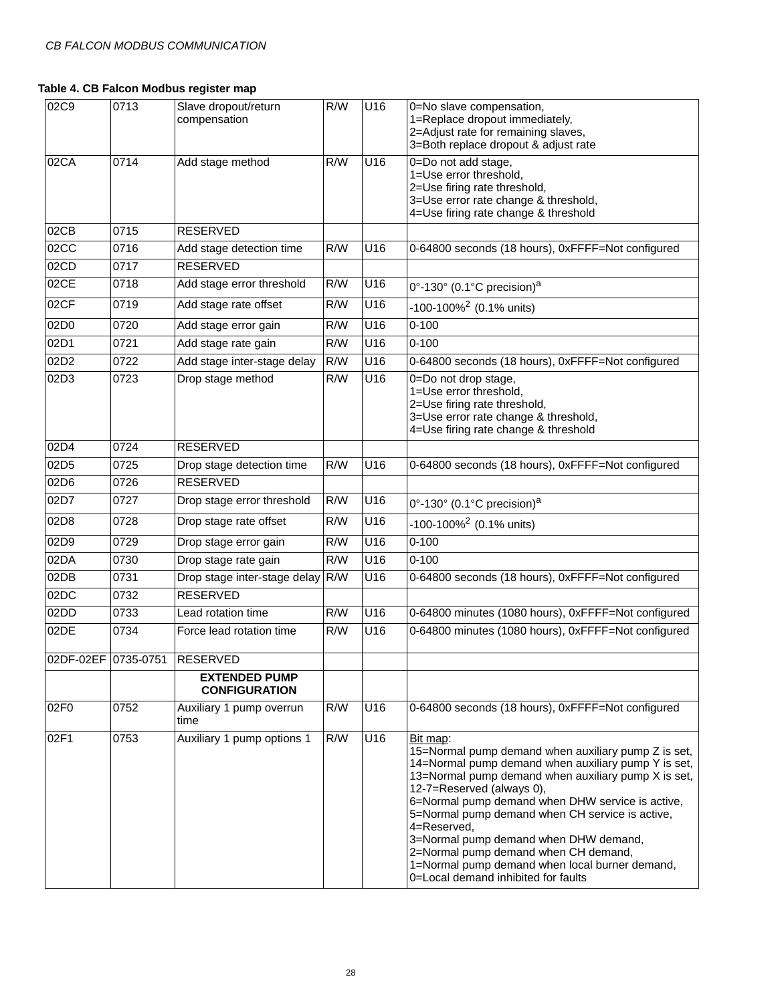| 02C9 | 0713 | Slave dropout/return<br>compensation         | R/W | U16 | 0=No slave compensation,<br>1=Replace dropout immediately,<br>2=Adjust rate for remaining slaves,<br>3=Both replace dropout & adjust rate                                                                                                                                                                                                                                                                                                                                                                  |
|------|------|----------------------------------------------|-----|-----|------------------------------------------------------------------------------------------------------------------------------------------------------------------------------------------------------------------------------------------------------------------------------------------------------------------------------------------------------------------------------------------------------------------------------------------------------------------------------------------------------------|
| 02CA | 0714 | Add stage method                             | R/W | U16 | 0=Do not add stage,<br>1=Use error threshold,<br>2=Use firing rate threshold,<br>3=Use error rate change & threshold,<br>4=Use firing rate change & threshold                                                                                                                                                                                                                                                                                                                                              |
| 02CB | 0715 | <b>RESERVED</b>                              |     |     |                                                                                                                                                                                                                                                                                                                                                                                                                                                                                                            |
| 02CC | 0716 | Add stage detection time                     | R/W | U16 | 0-64800 seconds (18 hours), 0xFFFF=Not configured                                                                                                                                                                                                                                                                                                                                                                                                                                                          |
| 02CD | 0717 | <b>RESERVED</b>                              |     |     |                                                                                                                                                                                                                                                                                                                                                                                                                                                                                                            |
| 02CE | 0718 | Add stage error threshold                    | R/W | U16 | 0°-130° (0.1°C precision) <sup>a</sup>                                                                                                                                                                                                                                                                                                                                                                                                                                                                     |
| 02CF | 0719 | Add stage rate offset                        | R/W | U16 | $-100-100\%^2$ (0.1% units)                                                                                                                                                                                                                                                                                                                                                                                                                                                                                |
| 02D0 | 0720 | Add stage error gain                         | R/W | U16 | $0 - 100$                                                                                                                                                                                                                                                                                                                                                                                                                                                                                                  |
| 02D1 | 0721 | Add stage rate gain                          | R/W | U16 | $0 - 100$                                                                                                                                                                                                                                                                                                                                                                                                                                                                                                  |
| 02D2 | 0722 | Add stage inter-stage delay                  | R/W | U16 | 0-64800 seconds (18 hours), 0xFFFF=Not configured                                                                                                                                                                                                                                                                                                                                                                                                                                                          |
| 02D3 | 0723 | Drop stage method                            | R/W | U16 | 0=Do not drop stage,<br>1=Use error threshold,<br>2=Use firing rate threshold,<br>3=Use error rate change & threshold,<br>4=Use firing rate change & threshold                                                                                                                                                                                                                                                                                                                                             |
| 02D4 | 0724 | <b>RESERVED</b>                              |     |     |                                                                                                                                                                                                                                                                                                                                                                                                                                                                                                            |
| 02D5 | 0725 | Drop stage detection time                    | R/W | U16 | 0-64800 seconds (18 hours), 0xFFFF=Not configured                                                                                                                                                                                                                                                                                                                                                                                                                                                          |
| 02D6 | 0726 | <b>RESERVED</b>                              |     |     |                                                                                                                                                                                                                                                                                                                                                                                                                                                                                                            |
| 02D7 | 0727 | Drop stage error threshold                   | R/W | U16 | 0°-130° (0.1°C precision) <sup>a</sup>                                                                                                                                                                                                                                                                                                                                                                                                                                                                     |
| 02D8 | 0728 | Drop stage rate offset                       | R/W | U16 | $-100-100\%^2$ (0.1% units)                                                                                                                                                                                                                                                                                                                                                                                                                                                                                |
| 02D9 | 0729 | Drop stage error gain                        | R/W | U16 | $0 - 100$                                                                                                                                                                                                                                                                                                                                                                                                                                                                                                  |
| 02DA | 0730 | Drop stage rate gain                         | R/W | U16 | $0 - 100$                                                                                                                                                                                                                                                                                                                                                                                                                                                                                                  |
| 02DB | 0731 | Drop stage inter-stage delay                 | R/W | U16 | 0-64800 seconds (18 hours), 0xFFFF=Not configured                                                                                                                                                                                                                                                                                                                                                                                                                                                          |
| 02DC | 0732 | <b>RESERVED</b>                              |     |     |                                                                                                                                                                                                                                                                                                                                                                                                                                                                                                            |
| 02DD | 0733 | Lead rotation time                           | R/W | U16 | 0-64800 minutes (1080 hours), 0xFFFF=Not configured                                                                                                                                                                                                                                                                                                                                                                                                                                                        |
| 02DE | 0734 | Force lead rotation time                     | R/W | U16 | 0-64800 minutes (1080 hours), 0xFFFF=Not configured                                                                                                                                                                                                                                                                                                                                                                                                                                                        |
|      |      | 02DF-02EF 0735-0751 RESERVED                 |     |     |                                                                                                                                                                                                                                                                                                                                                                                                                                                                                                            |
|      |      | <b>EXTENDED PUMP</b><br><b>CONFIGURATION</b> |     |     |                                                                                                                                                                                                                                                                                                                                                                                                                                                                                                            |
| 02F0 | 0752 | Auxiliary 1 pump overrun<br>time             | R/W | U16 | 0-64800 seconds (18 hours), 0xFFFF=Not configured                                                                                                                                                                                                                                                                                                                                                                                                                                                          |
| 02F1 | 0753 | Auxiliary 1 pump options 1                   | R/W | U16 | Bit map:<br>15=Normal pump demand when auxiliary pump Z is set,<br>14=Normal pump demand when auxiliary pump Y is set,<br>13=Normal pump demand when auxiliary pump X is set,<br>12-7=Reserved (always 0),<br>6=Normal pump demand when DHW service is active,<br>5=Normal pump demand when CH service is active,<br>4=Reserved,<br>3=Normal pump demand when DHW demand,<br>2=Normal pump demand when CH demand,<br>1=Normal pump demand when local burner demand,<br>0=Local demand inhibited for faults |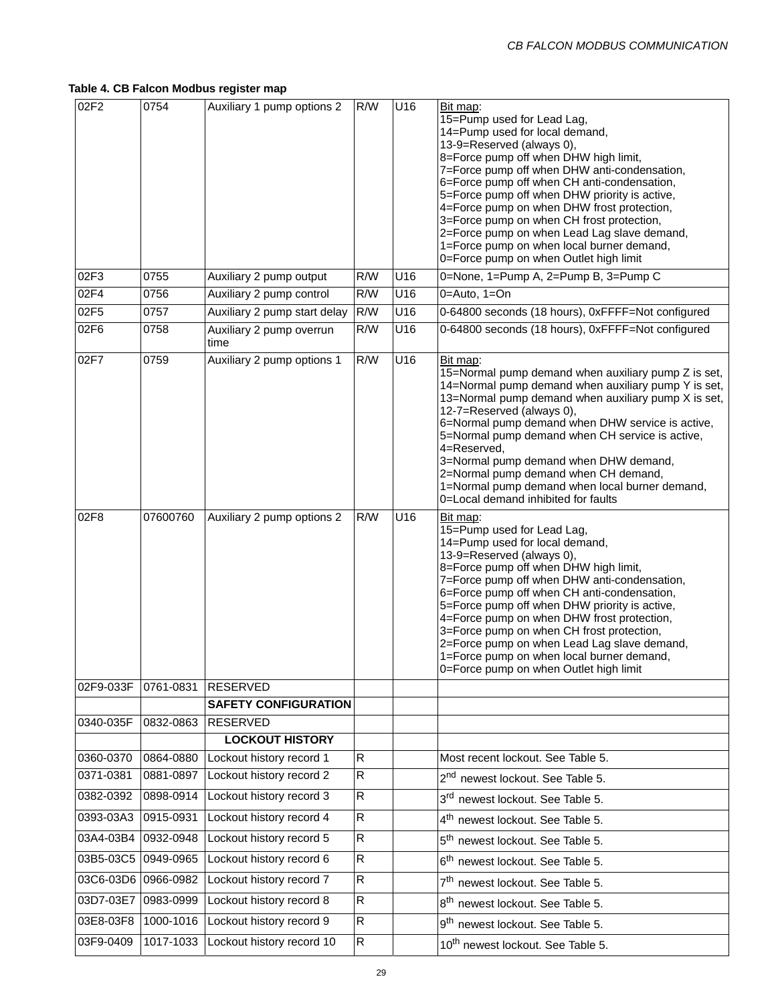| 02F2                | 0754      | Auxiliary 1 pump options 2         | R/W            | U16             | Bit map:<br>15=Pump used for Lead Lag,<br>14=Pump used for local demand,<br>13-9=Reserved (always 0),<br>8=Force pump off when DHW high limit,<br>7=Force pump off when DHW anti-condensation,<br>6=Force pump off when CH anti-condensation,<br>5=Force pump off when DHW priority is active,<br>4=Force pump on when DHW frost protection,<br>3=Force pump on when CH frost protection,<br>2=Force pump on when Lead Lag slave demand,<br>1=Force pump on when local burner demand,<br>0=Force pump on when Outlet high limit |
|---------------------|-----------|------------------------------------|----------------|-----------------|---------------------------------------------------------------------------------------------------------------------------------------------------------------------------------------------------------------------------------------------------------------------------------------------------------------------------------------------------------------------------------------------------------------------------------------------------------------------------------------------------------------------------------|
| 02F3                | 0755      | Auxiliary 2 pump output            | R/W            | U16             | 0=None, 1=Pump A, 2=Pump B, 3=Pump C                                                                                                                                                                                                                                                                                                                                                                                                                                                                                            |
| 02F4                | 0756      | Auxiliary 2 pump control           | R/W            | U16             | $0=Auto, 1=On$                                                                                                                                                                                                                                                                                                                                                                                                                                                                                                                  |
| 02F5                | 0757      | Auxiliary 2 pump start delay       | R/W            | U16             | 0-64800 seconds (18 hours), 0xFFFF=Not configured                                                                                                                                                                                                                                                                                                                                                                                                                                                                               |
| 02F6                | 0758      | Auxiliary 2 pump overrun<br>time   | R/W            | U16             | 0-64800 seconds (18 hours), 0xFFFF=Not configured                                                                                                                                                                                                                                                                                                                                                                                                                                                                               |
| 02F7                | 0759      | Auxiliary 2 pump options 1         | R/W            | U16             | Bit map:<br>15=Normal pump demand when auxiliary pump Z is set,<br>14=Normal pump demand when auxiliary pump Y is set,<br>13=Normal pump demand when auxiliary pump X is set,<br>12-7=Reserved (always 0),<br>6=Normal pump demand when DHW service is active,<br>5=Normal pump demand when CH service is active,<br>4=Reserved,<br>3=Normal pump demand when DHW demand,<br>2=Normal pump demand when CH demand,<br>1=Normal pump demand when local burner demand,<br>0=Local demand inhibited for faults                      |
| 02F8                | 07600760  | Auxiliary 2 pump options 2         | R/W            | U <sub>16</sub> | Bit map:<br>15=Pump used for Lead Lag,<br>14=Pump used for local demand,<br>13-9=Reserved (always 0),<br>8=Force pump off when DHW high limit,<br>7=Force pump off when DHW anti-condensation,<br>6=Force pump off when CH anti-condensation,<br>5=Force pump off when DHW priority is active,<br>4=Force pump on when DHW frost protection,<br>3=Force pump on when CH frost protection,<br>2=Force pump on when Lead Lag slave demand,<br>1=Force pump on when local burner demand,<br>0=Force pump on when Outlet high limit |
| 02F9-033F           | 0761-0831 | <b>RESERVED</b>                    |                |                 |                                                                                                                                                                                                                                                                                                                                                                                                                                                                                                                                 |
|                     |           | <b>SAFETY CONFIGURATION</b>        |                |                 |                                                                                                                                                                                                                                                                                                                                                                                                                                                                                                                                 |
| 0340-035F           | 0832-0863 | RESERVED<br><b>LOCKOUT HISTORY</b> |                |                 |                                                                                                                                                                                                                                                                                                                                                                                                                                                                                                                                 |
| 0360-0370           | 0864-0880 | Lockout history record 1           | ${\sf R}$      |                 | Most recent lockout. See Table 5.                                                                                                                                                                                                                                                                                                                                                                                                                                                                                               |
| 0371-0381           | 0881-0897 | Lockout history record 2           | $\overline{R}$ |                 | 2 <sup>nd</sup> newest lockout. See Table 5.                                                                                                                                                                                                                                                                                                                                                                                                                                                                                    |
| 0382-0392           | 0898-0914 | Lockout history record 3           | $\overline{R}$ |                 | 3rd newest lockout. See Table 5.                                                                                                                                                                                                                                                                                                                                                                                                                                                                                                |
| 0393-03A3           | 0915-0931 | Lockout history record 4           | ${\sf R}$      |                 | 4 <sup>th</sup> newest lockout. See Table 5.                                                                                                                                                                                                                                                                                                                                                                                                                                                                                    |
| 03A4-03B4           | 0932-0948 | Lockout history record 5           | ${\sf R}$      |                 | 5 <sup>th</sup> newest lockout. See Table 5.                                                                                                                                                                                                                                                                                                                                                                                                                                                                                    |
| 03B5-03C5 0949-0965 |           | Lockout history record 6           | ${\sf R}$      |                 | 6 <sup>th</sup> newest lockout. See Table 5.                                                                                                                                                                                                                                                                                                                                                                                                                                                                                    |
| 03C6-03D6 0966-0982 |           | Lockout history record 7           | ${\sf R}$      |                 | 7 <sup>th</sup> newest lockout. See Table 5.                                                                                                                                                                                                                                                                                                                                                                                                                                                                                    |
| 03D7-03E7           | 0983-0999 | Lockout history record 8           | $\overline{R}$ |                 | 8 <sup>th</sup> newest lockout. See Table 5.                                                                                                                                                                                                                                                                                                                                                                                                                                                                                    |
| 03E8-03F8           | 1000-1016 | Lockout history record 9           | ${\sf R}$      |                 | 9 <sup>th</sup> newest lockout. See Table 5.                                                                                                                                                                                                                                                                                                                                                                                                                                                                                    |
| 03F9-0409           | 1017-1033 | Lockout history record 10          | $\mathsf{R}$   |                 | 10 <sup>th</sup> newest lockout. See Table 5.                                                                                                                                                                                                                                                                                                                                                                                                                                                                                   |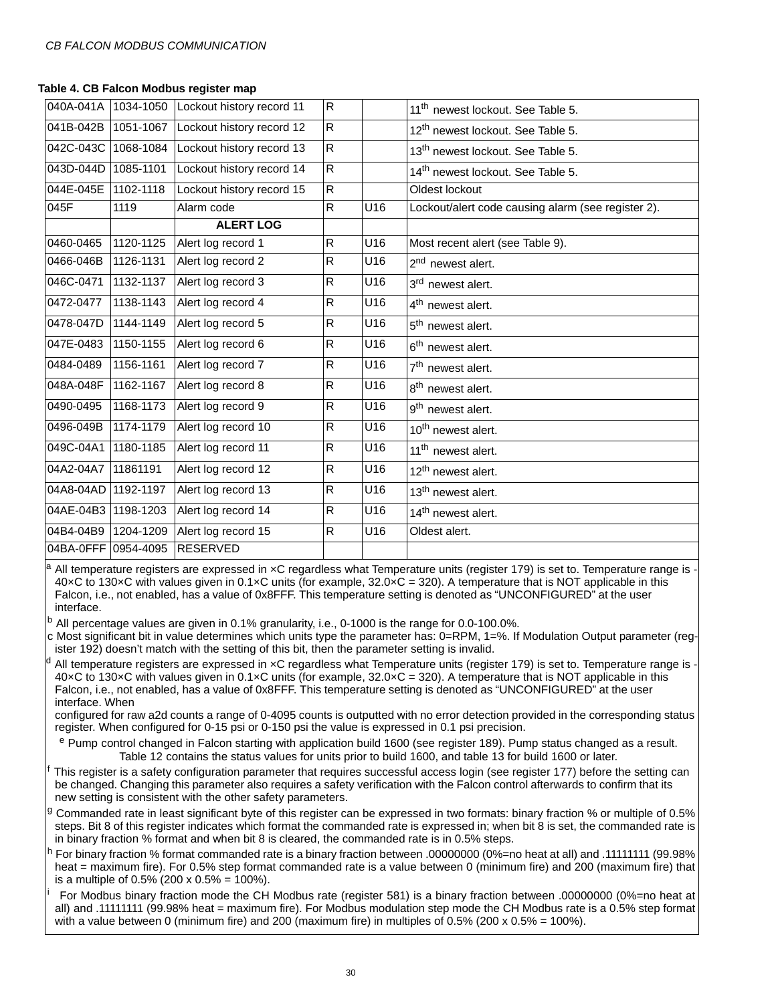| 040A-041A           | 1034-1050 | Lockout history record 11 | R                       |                   | 11 <sup>th</sup> newest lockout. See Table 5.      |
|---------------------|-----------|---------------------------|-------------------------|-------------------|----------------------------------------------------|
| 041B-042B           | 1051-1067 | Lockout history record 12 | $\overline{R}$          |                   | 12 <sup>th</sup> newest lockout. See Table 5.      |
| 042C-043C 1068-1084 |           | Lockout history record 13 | $\overline{\mathbf{z}}$ |                   | 13 <sup>th</sup> newest lockout. See Table 5.      |
| 043D-044D           | 1085-1101 | Lockout history record 14 | $\mathsf{R}$            |                   | 14 <sup>th</sup> newest lockout. See Table 5.      |
| 044E-045E           | 1102-1118 | Lockout history record 15 | $\overline{R}$          |                   | Oldest lockout                                     |
| 045F                | 1119      | Alarm code                | $\mathsf{R}$            | U16               | Lockout/alert code causing alarm (see register 2). |
|                     |           | <b>ALERT LOG</b>          |                         |                   |                                                    |
| 0460-0465           | 1120-1125 | Alert log record 1        | $\mathsf{R}$            | U <sub>16</sub>   | Most recent alert (see Table 9).                   |
| 0466-046B           | 1126-1131 | Alert log record 2        | ${\sf R}$               | U16               | 2 <sup>nd</sup> newest alert.                      |
| 046C-0471           | 1132-1137 | Alert log record 3        | $\mathsf{R}$            | U <sub>16</sub>   | 3 <sup>rd</sup> newest alert.                      |
| 0472-0477           | 1138-1143 | Alert log record 4        | $\overline{R}$          | U16               | 4 <sup>th</sup> newest alert.                      |
| 0478-047D           | 1144-1149 | Alert log record 5        | $\mathsf{R}$            | U16               | 5 <sup>th</sup> newest alert.                      |
| 047E-0483           | 1150-1155 | Alert log record 6        | $\mathsf{R}$            | U16               | 6 <sup>th</sup> newest alert.                      |
| 0484-0489           | 1156-1161 | Alert log record 7        | $\overline{R}$          | $\overline{U}$ 16 | 7 <sup>th</sup> newest alert.                      |
| 048A-048F           | 1162-1167 | Alert log record 8        | $\mathsf{R}$            | $\overline{U16}$  | 8 <sup>th</sup> newest alert.                      |
| 0490-0495           | 1168-1173 | Alert log record 9        | $\mathsf{R}$            | U16               | 9 <sup>th</sup> newest alert.                      |
| 0496-049B           | 1174-1179 | Alert log record 10       | ${\sf R}$               | U16               | 10 <sup>th</sup> newest alert.                     |
| 049C-04A1           | 1180-1185 | Alert log record 11       | $\mathsf{R}$            | U16               | 11 <sup>th</sup> newest alert.                     |
| 04A2-04A7           | 11861191  | Alert log record 12       | ${\sf R}$               | U16               | 12 <sup>th</sup> newest alert.                     |
| 04A8-04AD           | 1192-1197 | Alert log record 13       | $\mathsf{R}$            | U16               | 13 <sup>th</sup> newest alert.                     |
| 04AE-04B3 1198-1203 |           | Alert log record 14       | $\overline{R}$          | U16               | 14 <sup>th</sup> newest alert.                     |
| 04B4-04B9           | 1204-1209 | Alert log record 15       | ${\sf R}$               | U16               | Oldest alert.                                      |
| 04BA-0FFF 0954-4095 |           | RESERVED                  |                         |                   |                                                    |

All temperature registers are expressed in xC regardless what Temperature units (register 179) is set to. Temperature range is -40 $\times$ C to 130 $\times$ C with values given in 0.1 $\times$ C units (for example, 32.0 $\times$ C = 320). A temperature that is NOT applicable in this Falcon, i.e., not enabled, has a value of 0x8FFF. This temperature setting is denoted as "UNCONFIGURED" at the user interface.

 $^{\rm b}$  All percentage values are given in 0.1% granularity, i.e., 0-1000 is the range for 0.0-100.0%.

c Most significant bit in value determines which units type the parameter has: 0=RPM, 1=%. If Modulation Output parameter (register 192) doesn't match with the setting of this bit, then the parameter setting is invalid.

All temperature registers are expressed in xC regardless what Temperature units (register 179) is set to. Temperature range is -40×C to 130×C with values given in 0.1×C units (for example, 32.0×C = 320). A temperature that is NOT applicable in this Falcon, i.e., not enabled, has a value of 0x8FFF. This temperature setting is denoted as "UNCONFIGURED" at the user interface. When

configured for raw a2d counts a range of 0-4095 counts is outputted with no error detection provided in the corresponding status register. When configured for 0-15 psi or 0-150 psi the value is expressed in 0.1 psi precisi

 $e<sup>e</sup>$  Pump control changed in Falcon starting with application build 1600 (see register 189). Pump status changed as a result. Table 12 contains the status values for units prior to build 1600, and table 13 for build 1600 or later.

f This register is a safety configuration parameter that requires successful access login (see register 177) before the setting can be changed. Changing this parameter also requires a safety verification with the Falcon control afterwards to confirm that its new setting is consistent with the other safety parameters.

<sup>g</sup> Commanded rate in least significant byte of this register can be expressed in two formats: binary fraction % or multiple of 0.5% steps. Bit 8 of this register indicates which format the commanded rate is expressed in; when bit 8 is set, the commanded rate is in binary fraction % format and when bit 8 is cleared, the commanded rate is in 0.5% steps.

h For binary fraction % format commanded rate is a binary fraction between .00000000 (0%=no heat at all) and .11111111 (99.98% heat = maximum fire). For 0.5% step format commanded rate is a value between 0 (minimum fire) and 200 (maximum fire) that is a multiple of  $0.5\%$  (200 x  $0.5\%$  = 100%).

For Modbus binary fraction mode the CH Modbus rate (register 581) is a binary fraction between .00000000 (0%=no heat at all) and .11111111 (99.98% heat = maximum fire). For Modbus modulation step mode the CH Modbus rate is a 0.5% step format with a value between 0 (minimum fire) and 200 (maximum fire) in multiples of 0.5% (200 x 0.5% = 100%).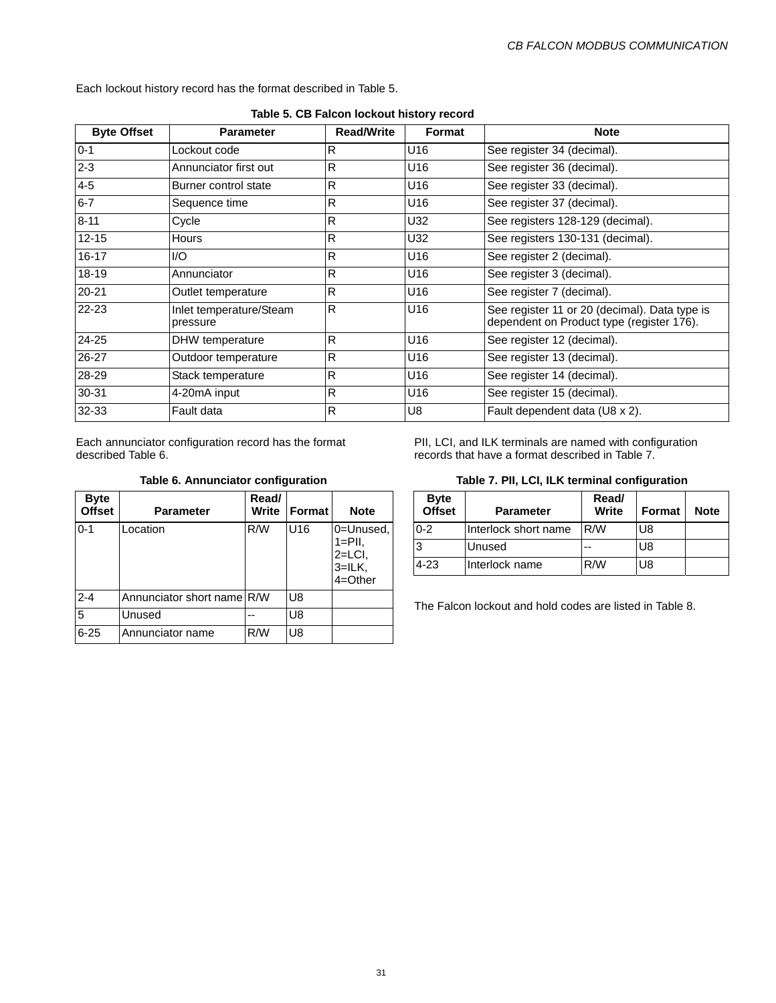Each lockout history record has the format described in Table 5.

| <b>Byte Offset</b> | <b>Parameter</b>                    | <b>Read/Write</b> | Format | <b>Note</b>                                                                                |
|--------------------|-------------------------------------|-------------------|--------|--------------------------------------------------------------------------------------------|
| $0 - 1$            | Lockout code                        | R                 | U16    | See register 34 (decimal).                                                                 |
| $2 - 3$            | Annunciator first out               | R                 | U16    | See register 36 (decimal).                                                                 |
| $4-5$              | Burner control state                | R                 | U16    | See register 33 (decimal).                                                                 |
| $6 - 7$            | Sequence time                       | R                 | U16    | See register 37 (decimal).                                                                 |
| $8 - 11$           | Cycle                               | R                 | U32    | See registers 128-129 (decimal).                                                           |
| $12 - 15$          | <b>Hours</b>                        | R                 | U32    | See registers 130-131 (decimal).                                                           |
| $16 - 17$          | 1/O                                 | $\mathsf{R}$      | U16    | See register 2 (decimal).                                                                  |
| 18-19              | Annunciator                         | R                 | U16    | See register 3 (decimal).                                                                  |
| $20 - 21$          | Outlet temperature                  | R                 | U16    | See register 7 (decimal).                                                                  |
| 22-23              | Inlet temperature/Steam<br>pressure | R                 | U16    | See register 11 or 20 (decimal). Data type is<br>dependent on Product type (register 176). |
| 24-25              | DHW temperature                     | $\mathsf{R}$      | U16    | See register 12 (decimal).                                                                 |
| 26-27              | Outdoor temperature                 | R                 | U16    | See register 13 (decimal).                                                                 |
| 28-29              | Stack temperature                   | R                 | U16    | See register 14 (decimal).                                                                 |
| 30-31              | 4-20mA input                        | R                 | U16    | See register 15 (decimal).                                                                 |
| 32-33              | Fault data                          | $\mathsf{R}$      | U8     | Fault dependent data (U8 x 2).                                                             |

**Table 5. CB Falcon lockout history record**

Each annunciator configuration record has the format described Table 6.

### **Table 6. Annunciator configuration**

| <b>Byte</b><br><b>Offset</b> | <b>Parameter</b>           | Read/<br>Write | l Format        | <b>Note</b>                                                     |
|------------------------------|----------------------------|----------------|-----------------|-----------------------------------------------------------------|
| $0 - 1$                      | Location                   | R/W            | U <sub>16</sub> | 0=Unused,<br>$1 =$ PII,<br>$2=$ LCI,<br>$3=ILK,$<br>$4 =$ Other |
| $2 - 4$                      | Annunciator short name R/W |                | U8              |                                                                 |
| 5                            | Unused                     |                | U8              |                                                                 |
| $6 - 25$                     | Annunciator name           | R/W            | U8              |                                                                 |

PII, LCI, and ILK terminals are named with configuration records that have a format described in Table 7.

### **Table 7. PII, LCI, ILK terminal configuration**

| <b>Byte</b><br>Offset | <b>Parameter</b>     | Read/<br>Write | Format | <b>Note</b> |
|-----------------------|----------------------|----------------|--------|-------------|
| $0 - 2$               | Interlock short name | R/W            | U8     |             |
|                       | Unused               |                | U8     |             |
| $4 - 23$              | Interlock name       | R/W            | U8     |             |

The Falcon lockout and hold codes are listed in Table 8.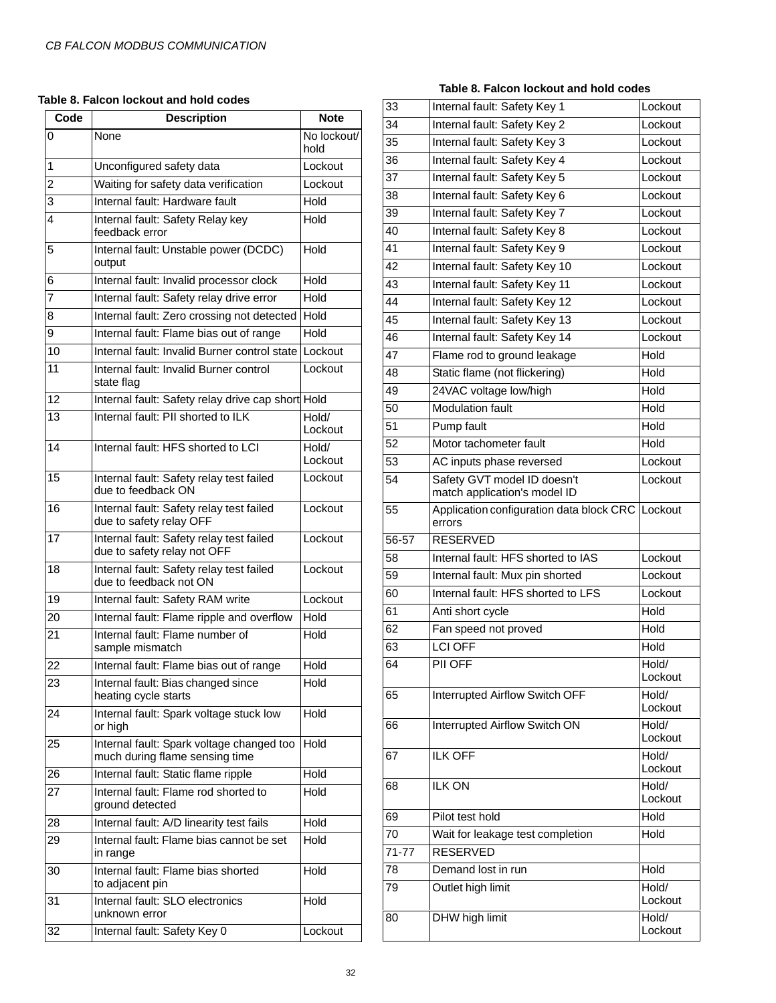### **Table 8. Falcon lockout and hold codes**

### **Table 8. Falcon lockout and hold codes**

| Code | <b>Description</b>                                                          | <b>Note</b>         |
|------|-----------------------------------------------------------------------------|---------------------|
| 0    | None                                                                        | No lockout/<br>hold |
| 1    | Unconfigured safety data                                                    | Lockout             |
| 2    | Waiting for safety data verification                                        | Lockout             |
| 3    | Internal fault: Hardware fault                                              | Hold                |
| 4    | Internal fault: Safety Relay key<br>feedback error                          | Hold                |
| 5    | Internal fault: Unstable power (DCDC)<br>output                             | Hold                |
| 6    | Internal fault: Invalid processor clock                                     | Hold                |
| 7    | Internal fault: Safety relay drive error                                    | Hold                |
| 8    | Internal fault: Zero crossing not detected                                  | Hold                |
| 9    | Internal fault: Flame bias out of range                                     | Hold                |
| 10   | Internal fault: Invalid Burner control state                                | Lockout             |
| 11   | Internal fault: Invalid Burner control<br>state flag                        | Lockout             |
| 12   | Internal fault: Safety relay drive cap short Hold                           |                     |
| 13   | Internal fault: PII shorted to ILK                                          | Hold/<br>Lockout    |
| 14   | Internal fault: HFS shorted to LCI                                          | Hold/<br>Lockout    |
| 15   | Internal fault: Safety relay test failed<br>due to feedback ON              | Lockout             |
| 16   | Internal fault: Safety relay test failed<br>due to safety relay OFF         | Lockout             |
| 17   | Internal fault: Safety relay test failed<br>due to safety relay not OFF     | Lockout             |
| 18   | Internal fault: Safety relay test failed<br>due to feedback not ON          | Lockout             |
| 19   | Internal fault: Safety RAM write                                            | Lockout             |
| 20   | Internal fault: Flame ripple and overflow                                   | Hold                |
| 21   | Internal fault: Flame number of<br>sample mismatch                          | Hold                |
| 22   | Internal fault: Flame bias out of range                                     | Hold                |
| 23   | Internal fault: Bias changed since<br>heating cycle starts                  | $H$ old             |
| 24   | Internal fault: Spark voltage stuck low<br>or high                          | Hold                |
| 25   | Internal fault: Spark voltage changed too<br>much during flame sensing time | Hold                |
| 26   | Internal fault: Static flame ripple                                         | Hold                |
| 27   | Internal fault: Flame rod shorted to<br>ground detected                     | Hold                |
| 28   | Internal fault: A/D linearity test fails                                    | Hold                |
| 29   | Internal fault: Flame bias cannot be set<br>in range                        | Hold                |
| 30   | Internal fault: Flame bias shorted<br>to adjacent pin                       | Hold                |
| 31   | Internal fault: SLO electronics<br>unknown error                            | Hold                |
| 32   | Internal fault: Safety Key 0                                                | Lockout             |

| 33        | Internal fault: Safety Key 1                                | Lockout          |
|-----------|-------------------------------------------------------------|------------------|
| 34        | Internal fault: Safety Key 2                                | Lockout          |
| 35        | Internal fault: Safety Key 3                                | Lockout          |
| 36        | Internal fault: Safety Key 4                                | Lockout          |
| 37        | Internal fault: Safety Key 5                                | Lockout          |
| 38        | Internal fault: Safety Key 6                                | Lockout          |
| 39        | Internal fault: Safety Key 7                                | Lockout          |
| 40        | Internal fault: Safety Key 8                                | Lockout          |
| 41        | Internal fault: Safety Key 9                                | Lockout          |
| 42        | Internal fault: Safety Key 10                               | Lockout          |
| 43        | Internal fault: Safety Key 11                               | Lockout          |
| 44        | Internal fault: Safety Key 12                               | Lockout          |
| 45        | Internal fault: Safety Key 13                               | Lockout          |
| 46        | Internal fault: Safety Key 14                               | Lockout          |
| 47        | Flame rod to ground leakage                                 | Hold             |
| 48        | Static flame (not flickering)                               | Hold             |
| 49        | 24VAC voltage low/high                                      | Hold             |
| 50        | <b>Modulation fault</b>                                     | <b>Hold</b>      |
| 51        | Pump fault                                                  | Hold             |
| 52        | Motor tachometer fault                                      | Hold             |
| 53        | AC inputs phase reversed                                    | Lockout          |
| 54        | Safety GVT model ID doesn't<br>match application's model ID | Lockout          |
| 55        | Application configuration data block CRC Lockout<br>errors  |                  |
| 56-57     | <b>RESERVED</b>                                             |                  |
| 58        | Internal fault: HFS shorted to IAS                          | Lockout          |
| 59        | Internal fault: Mux pin shorted                             | Lockout          |
| 60        | Internal fault: HFS shorted to LFS                          | Lockout          |
| 61        | Anti short cycle                                            | Hold             |
| 62        | Fan speed not proved                                        | Hold             |
| 63        | <b>LCI OFF</b>                                              | Hold             |
| 64        | PII OFF                                                     | Hold/<br>Lockout |
| 65        | Interrupted Airflow Switch OFF                              | Hold/<br>Lockout |
| 66        | <b>Interrupted Airflow Switch ON</b>                        | Hold/<br>Lockout |
| 67        | <b>ILK OFF</b>                                              | Hold/<br>Lockout |
| 68        | <b>ILK ON</b>                                               | Hold/<br>Lockout |
| 69        | Pilot test hold                                             | Hold             |
| 70        | Wait for leakage test completion                            | Hold             |
| $71 - 77$ | <b>RESERVED</b>                                             |                  |
| 78        | Demand lost in run                                          | Hold             |
| 79        | Outlet high limit                                           | Hold/<br>Lockout |
| 80        | DHW high limit                                              | Hold/<br>Lockout |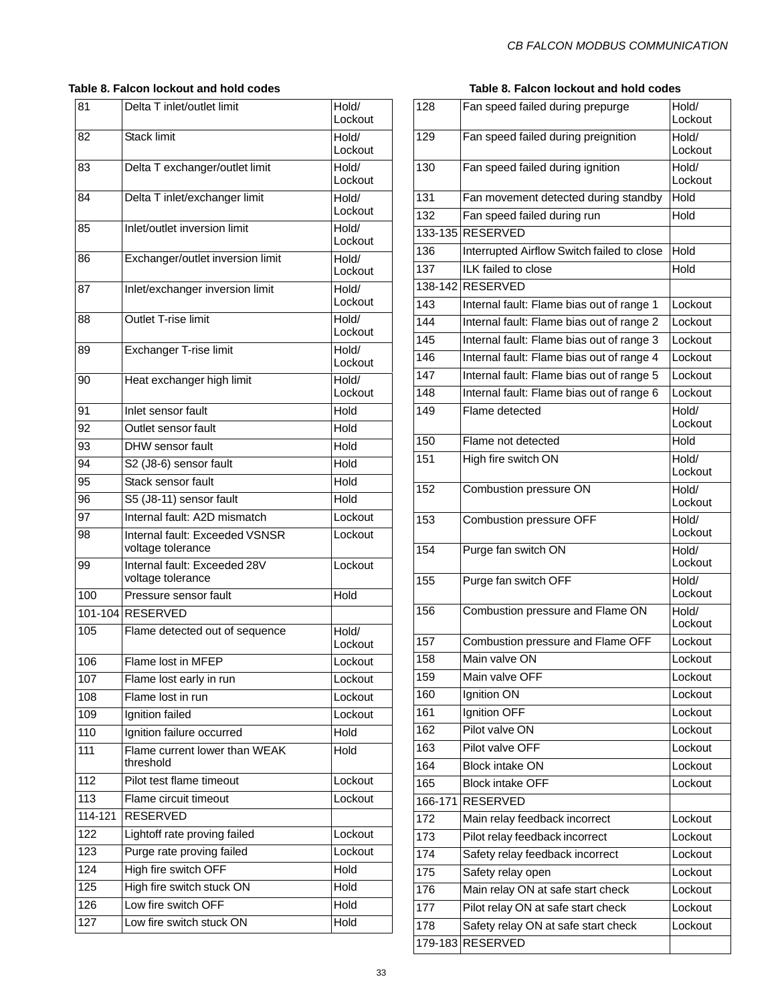### **Table 8. Falcon lockout and hold codes Table 8. Falcon lockout and hold codes**

| 81      | Delta T inlet/outlet limit                          | Hold/<br>Lockout |
|---------|-----------------------------------------------------|------------------|
| 82      | <b>Stack limit</b>                                  | Hold/<br>Lockout |
| 83      | Delta T exchanger/outlet limit                      | Hold/<br>Lockout |
| 84      | Delta T inlet/exchanger limit                       | Hold/<br>Lockout |
| 85      | Inlet/outlet inversion limit                        | Hold/<br>Lockout |
| 86      | Exchanger/outlet inversion limit                    | Hold/<br>Lockout |
| 87      | Inlet/exchanger inversion limit                     | Hold/<br>Lockout |
| 88      | <b>Outlet T-rise limit</b>                          | Hold/<br>Lockout |
| 89      | Exchanger T-rise limit                              | Hold/<br>Lockout |
| 90      | Heat exchanger high limit                           | Hold/<br>Lockout |
| 91      | Inlet sensor fault                                  | Hold             |
| 92      | Outlet sensor fault                                 | Hold             |
| 93      | DHW sensor fault                                    | Hold             |
| 94      | S2 (J8-6) sensor fault                              | Hold             |
| 95      | Stack sensor fault                                  | Hold             |
| 96      | S5 (J8-11) sensor fault                             | Hold             |
| 97      | Internal fault: A2D mismatch                        | Lockout          |
| 98      | Internal fault: Exceeded VSNSR<br>voltage tolerance | Lockout          |
| 99      | Internal fault: Exceeded 28V<br>voltage tolerance   | Lockout          |
| 100     | Pressure sensor fault                               | Hold             |
|         | 101-104 RESERVED                                    |                  |
| 105     | Flame detected out of sequence                      | Hold/<br>Lockout |
| 106     | Flame lost in MFEP                                  | Lockout          |
| 107     | Flame lost early in run                             | Lockout          |
| 108     | Flame lost in run                                   | Lockout          |
| 109     | Ignition failed                                     | Lockout          |
| 110     | Ignition failure occurred                           | Hold             |
| 111     | Flame current lower than WEAK<br>threshold          | Hold             |
| 112     | Pilot test flame timeout                            | Lockout          |
| 113     | Flame circuit timeout                               | Lockout          |
| 114-121 | <b>RESERVED</b>                                     |                  |
| 122     | Lightoff rate proving failed                        | Lockout          |
| 123     | Purge rate proving failed                           | Lockout          |
| 124     | High fire switch OFF                                | Hold             |
| 125     | High fire switch stuck ON                           | Hold             |
| 126     | Low fire switch OFF                                 | Hold             |
| 127     | Low fire switch stuck ON                            | Hold             |
|         |                                                     |                  |

| 128               | Fan speed failed during prepurge           | Hold/<br>Lockout |
|-------------------|--------------------------------------------|------------------|
| 129               | Fan speed failed during preignition        | Hold/<br>Lockout |
| 130               | Fan speed failed during ignition           | Hold/<br>Lockout |
| 131               | Fan movement detected during standby       | Hold             |
| 132               | Fan speed failed during run                | Hold             |
|                   | 133-135 RESERVED                           |                  |
| 136               | Interrupted Airflow Switch failed to close | Hold             |
| 137               | ILK failed to close                        | Hold             |
|                   | 138-142 RESERVED                           |                  |
| $\overline{143}$  | Internal fault: Flame bias out of range 1  | Lockout          |
| 144               | Internal fault: Flame bias out of range 2  | Lockout          |
| $\overline{1}$ 45 | Internal fault: Flame bias out of range 3  | Lockout          |
| 146               | Internal fault: Flame bias out of range 4  | Lockout          |
| 147               | Internal fault: Flame bias out of range 5  | Lockout          |
| 148               | Internal fault: Flame bias out of range 6  | Lockout          |
| 149               | Flame detected                             | Hold/<br>Lockout |
| 150               | Flame not detected                         | Hold             |
| 151               | High fire switch ON                        | Hold/<br>Lockout |
| 152               | Combustion pressure ON                     | Hold/<br>Lockout |
| 153               | <b>Combustion pressure OFF</b>             | Hold/<br>Lockout |
| 154               | Purge fan switch ON                        | Hold/<br>Lockout |
| 155               | Purge fan switch OFF                       | Hold/<br>Lockout |
| 156               | Combustion pressure and Flame ON           | Hold/<br>Lockout |
| 157               | Combustion pressure and Flame OFF          | Lockout          |
| 158               | Main valve ON                              | Lockout          |
| 159               | Main valve OFF                             | Lockout          |
| 160               | Ignition ON                                | Lockout          |
| 161               | Ignition OFF                               | Lockout          |
| 162               | Pilot valve ON                             | Lockout          |
| 163               | Pilot valve OFF                            | Lockout          |
| 164               | <b>Block intake ON</b>                     | Lockout          |
| 165               | <b>Block intake OFF</b>                    | Lockout          |
| 166-171           | <b>RESERVED</b>                            |                  |
| 172               | Main relay feedback incorrect              | Lockout          |
| 173               | Pilot relay feedback incorrect             | Lockout          |
| 174               | Safety relay feedback incorrect            | Lockout          |
| 175               | Safety relay open                          | Lockout          |
| 176               | Main relay ON at safe start check          | Lockout          |
| 177               | Pilot relay ON at safe start check         | Lockout          |
| 178               | Safety relay ON at safe start check        | Lockout          |
| 179-183           | <b>RESERVED</b>                            |                  |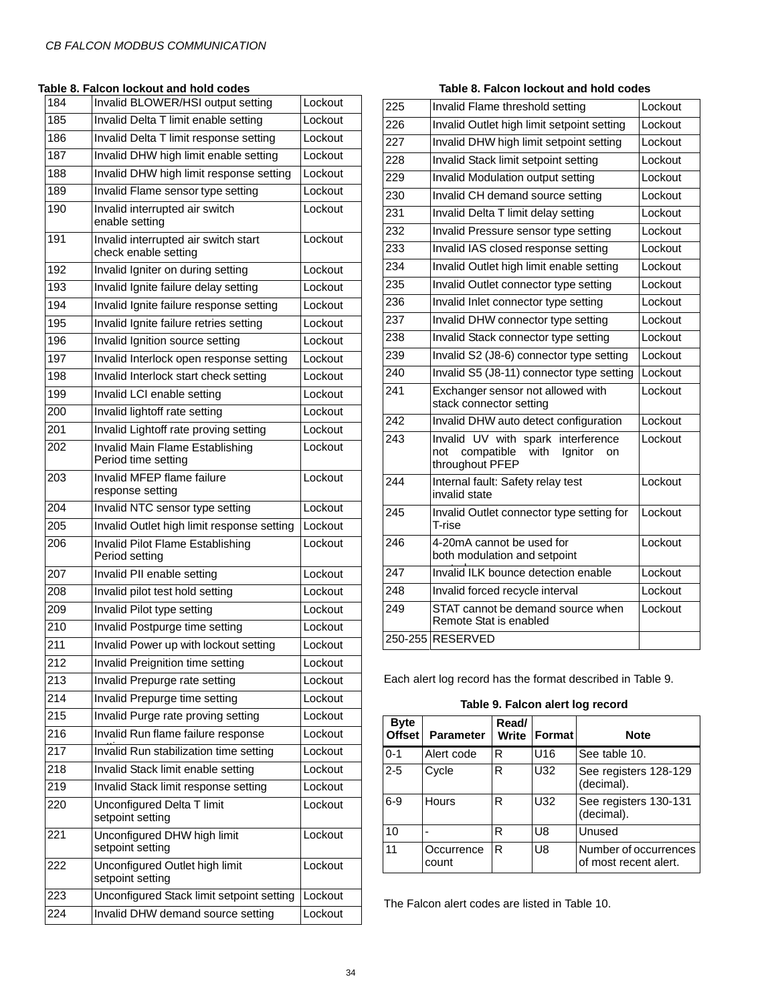**Table 8. Falcon lockout and hold codes Table 8. Falcon lockout and hold codes**

| 184 | Invalid BLOWER/HSI output setting                            | Lockout |
|-----|--------------------------------------------------------------|---------|
| 185 | Invalid Delta T limit enable setting                         | Lockout |
| 186 | Invalid Delta T limit response setting                       | Lockout |
| 187 | Invalid DHW high limit enable setting                        | Lockout |
| 188 | Invalid DHW high limit response setting                      | Lockout |
| 189 | Invalid Flame sensor type setting                            | Lockout |
| 190 | Invalid interrupted air switch<br>enable setting             | Lockout |
| 191 | Invalid interrupted air switch start<br>check enable setting | Lockout |
| 192 | Invalid Igniter on during setting                            | Lockout |
| 193 | Invalid Ignite failure delay setting                         | Lockout |
| 194 | Invalid Ignite failure response setting                      | Lockout |
| 195 | Invalid Ignite failure retries setting                       | Lockout |
| 196 | Invalid Ignition source setting                              | Lockout |
| 197 | Invalid Interlock open response setting                      | Lockout |
| 198 | Invalid Interlock start check setting                        | Lockout |
| 199 | Invalid LCI enable setting                                   | Lockout |
| 200 | Invalid lightoff rate setting                                | Lockout |
| 201 | Invalid Lightoff rate proving setting                        | Lockout |
| 202 | Invalid Main Flame Establishing<br>Period time setting       | Lockout |
| 203 | Invalid MFEP flame failure<br>response setting               | Lockout |
| 204 | Invalid NTC sensor type setting                              | Lockout |
| 205 | Invalid Outlet high limit response setting                   | Lockout |
| 206 | Invalid Pilot Flame Establishing<br>Period setting           | Lockout |
| 207 | Invalid PII enable setting                                   | Lockout |
| 208 | Invalid pilot test hold setting                              | Lockout |
| 209 | Invalid Pilot type setting                                   | Lockout |
| 210 | Invalid Postpurge time setting                               | Lockout |
| 211 | Invalid Power up with lockout setting                        | Lockout |
| 212 | Invalid Preignition time setting                             | Lockout |
| 213 | Invalid Prepurge rate setting                                | Lockout |
| 214 | Invalid Prepurge time setting                                | Lockout |
| 215 | Invalid Purge rate proving setting                           | Lockout |
| 216 | Invalid Run flame failure response                           | Lockout |
| 217 | Invalid Run stabilization time setting                       | Lockout |
| 218 | Invalid Stack limit enable setting                           | Lockout |
| 219 | Invalid Stack limit response setting                         | Lockout |
| 220 | Unconfigured Delta T limit<br>setpoint setting               | Lockout |
| 221 | Unconfigured DHW high limit<br>setpoint setting              | Lockout |
| 222 | Unconfigured Outlet high limit<br>setpoint setting           | Lockout |
| 223 | Unconfigured Stack limit setpoint setting                    | Lockout |
| 224 | Invalid DHW demand source setting                            | Lockout |
|     |                                                              |         |

| 225 | Invalid Flame threshold setting                                                                     | Lockout |
|-----|-----------------------------------------------------------------------------------------------------|---------|
| 226 | Invalid Outlet high limit setpoint setting                                                          | Lockout |
| 227 | Invalid DHW high limit setpoint setting                                                             | Lockout |
| 228 | Invalid Stack limit setpoint setting                                                                | Lockout |
| 229 | Invalid Modulation output setting                                                                   | Lockout |
| 230 | Invalid CH demand source setting                                                                    | Lockout |
| 231 | Invalid Delta T limit delay setting                                                                 | Lockout |
| 232 | Invalid Pressure sensor type setting                                                                | Lockout |
| 233 | Invalid IAS closed response setting                                                                 | Lockout |
| 234 | Invalid Outlet high limit enable setting                                                            | Lockout |
| 235 | Invalid Outlet connector type setting                                                               | Lockout |
| 236 | Invalid Inlet connector type setting                                                                | Lockout |
| 237 | Invalid DHW connector type setting                                                                  | Lockout |
| 238 | Invalid Stack connector type setting                                                                | Lockout |
| 239 | Invalid S2 (J8-6) connector type setting                                                            | Lockout |
| 240 | Invalid S5 (J8-11) connector type setting                                                           | Lockout |
| 241 | Exchanger sensor not allowed with<br>stack connector setting                                        | Lockout |
| 242 | Invalid DHW auto detect configuration                                                               | Lockout |
| 243 | Invalid UV with spark interference<br>compatible<br>with<br>not<br>lanitor<br>on<br>throughout PFEP | Lockout |
| 244 | Internal fault: Safety relay test<br>invalid state                                                  | Lockout |
| 245 | Invalid Outlet connector type setting for<br>T-rise                                                 | Lockout |
| 246 | 4-20mA cannot be used for<br>both modulation and setpoint                                           | Lockout |
| 247 | Invalid ILK bounce detection enable                                                                 | Lockout |
| 248 | Invalid forced recycle interval                                                                     | Lockout |
| 249 | STAT cannot be demand source when<br>Remote Stat is enabled                                         | Lockout |
|     | 250-255 RESERVED                                                                                    |         |

Each alert log record has the format described in Table 9.

### **Table 9. Falcon alert log record**

| <b>Byte</b><br><b>Offset</b> | <b>Parameter</b>    | Read/ | Write   Format | <b>Note</b>                                    |
|------------------------------|---------------------|-------|----------------|------------------------------------------------|
| $0 - 1$                      | Alert code          | R     | U16            | See table 10.                                  |
| $2 - 5$                      | Cycle               | R     | U32            | See registers 128-129<br>(decimal).            |
| $6-9$                        | <b>Hours</b>        | R     | U32            | See registers 130-131<br>(decimal).            |
| 10                           |                     | R     | U8             | Unused                                         |
| 11                           | Occurrence<br>count | R     | U8             | Number of occurrences<br>of most recent alert. |

The Falcon alert codes are listed in Table 10.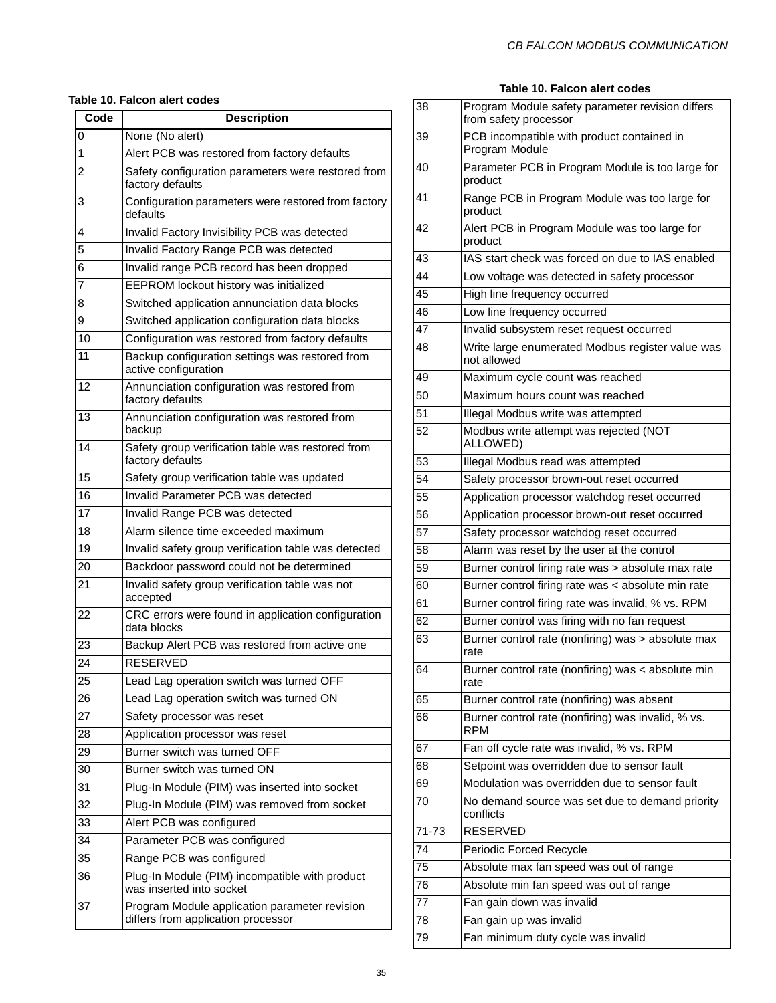### **Table 10. Falcon alert codes**

| Code | <b>Description</b>                                                                  |
|------|-------------------------------------------------------------------------------------|
| 0    | None (No alert)                                                                     |
| 1    | Alert PCB was restored from factory defaults                                        |
| 2    | Safety configuration parameters were restored from<br>factory defaults              |
| 3    | Configuration parameters were restored from factory<br>defaults                     |
| 4    | Invalid Factory Invisibility PCB was detected                                       |
| 5    | Invalid Factory Range PCB was detected                                              |
| 6    | Invalid range PCB record has been dropped                                           |
| 7    | EEPROM lockout history was initialized                                              |
| 8    | Switched application annunciation data blocks                                       |
| 9    | Switched application configuration data blocks                                      |
| 10   | Configuration was restored from factory defaults                                    |
| 11   | Backup configuration settings was restored from<br>active configuration             |
| 12   | Annunciation configuration was restored from<br>factory defaults                    |
| 13   | Annunciation configuration was restored from<br>backup                              |
| 14   | Safety group verification table was restored from<br>factory defaults               |
| 15   | Safety group verification table was updated                                         |
| 16   | Invalid Parameter PCB was detected                                                  |
| 17   | Invalid Range PCB was detected                                                      |
| 18   | Alarm silence time exceeded maximum                                                 |
| 19   | Invalid safety group verification table was detected                                |
| 20   | Backdoor password could not be determined                                           |
| 21   | Invalid safety group verification table was not<br>accepted                         |
| 22   | CRC errors were found in application configuration<br>data blocks                   |
| 23   | Backup Alert PCB was restored from active one                                       |
| 24   | <b>RESERVED</b>                                                                     |
| 25   | Lead Lag operation switch was turned OFF                                            |
| 26   | Lead Lag operation switch was turned ON                                             |
| 27   | Safety processor was reset                                                          |
| 28   | Application processor was reset                                                     |
| 29   | Burner switch was turned OFF                                                        |
| 30   | Burner switch was turned ON                                                         |
| 31   | Plug-In Module (PIM) was inserted into socket                                       |
| 32   | Plug-In Module (PIM) was removed from socket                                        |
| 33   | Alert PCB was configured                                                            |
| 34   | Parameter PCB was configured                                                        |
| 35   | Range PCB was configured                                                            |
| 36   | Plug-In Module (PIM) incompatible with product<br>was inserted into socket          |
| 37   | Program Module application parameter revision<br>differs from application processor |

#### **Table 10. Falcon alert codes**

| 38    | Program Module safety parameter revision differs<br>from safety processor |
|-------|---------------------------------------------------------------------------|
| 39    | PCB incompatible with product contained in<br>Program Module              |
| 40    | Parameter PCB in Program Module is too large for<br>product               |
| 41    | Range PCB in Program Module was too large for<br>product                  |
| 42    | Alert PCB in Program Module was too large for<br>product                  |
| 43    | IAS start check was forced on due to IAS enabled                          |
| 44    | Low voltage was detected in safety processor                              |
| 45    | High line frequency occurred                                              |
| 46    | Low line frequency occurred                                               |
| 47    | Invalid subsystem reset request occurred                                  |
| 48    | Write large enumerated Modbus register value was<br>not allowed           |
| 49    | Maximum cycle count was reached                                           |
| 50    | Maximum hours count was reached                                           |
| 51    | Illegal Modbus write was attempted                                        |
| 52    | Modbus write attempt was rejected (NOT<br>ALLOWED)                        |
| 53    | Illegal Modbus read was attempted                                         |
| 54    | Safety processor brown-out reset occurred                                 |
| 55    | Application processor watchdog reset occurred                             |
| 56    | Application processor brown-out reset occurred                            |
| 57    | Safety processor watchdog reset occurred                                  |
| 58    | Alarm was reset by the user at the control                                |
| 59    | Burner control firing rate was > absolute max rate                        |
| 60    | Burner control firing rate was < absolute min rate                        |
| 61    | Burner control firing rate was invalid, % vs. RPM                         |
| 62    | Burner control was firing with no fan request                             |
| 63    | Burner control rate (nonfiring) was > absolute max<br>rate                |
| 64    | Burner control rate (nonfiring) was < absolute min<br>rate                |
| 65    | Burner control rate (nonfiring) was absent                                |
| 66    | Burner control rate (nonfiring) was invalid, % vs.<br>RPM                 |
| 67    | Fan off cycle rate was invalid, % vs. RPM                                 |
| 68    | Setpoint was overridden due to sensor fault                               |
| 69    | Modulation was overridden due to sensor fault                             |
| 70    | No demand source was set due to demand priority<br>conflicts              |
| 71-73 | <b>RESERVED</b>                                                           |
| 74    | Periodic Forced Recycle                                                   |
| 75    | Absolute max fan speed was out of range                                   |
| 76    | Absolute min fan speed was out of range                                   |
| 77    | Fan gain down was invalid                                                 |
| 78    | Fan gain up was invalid                                                   |
| 79    | Fan minimum duty cycle was invalid                                        |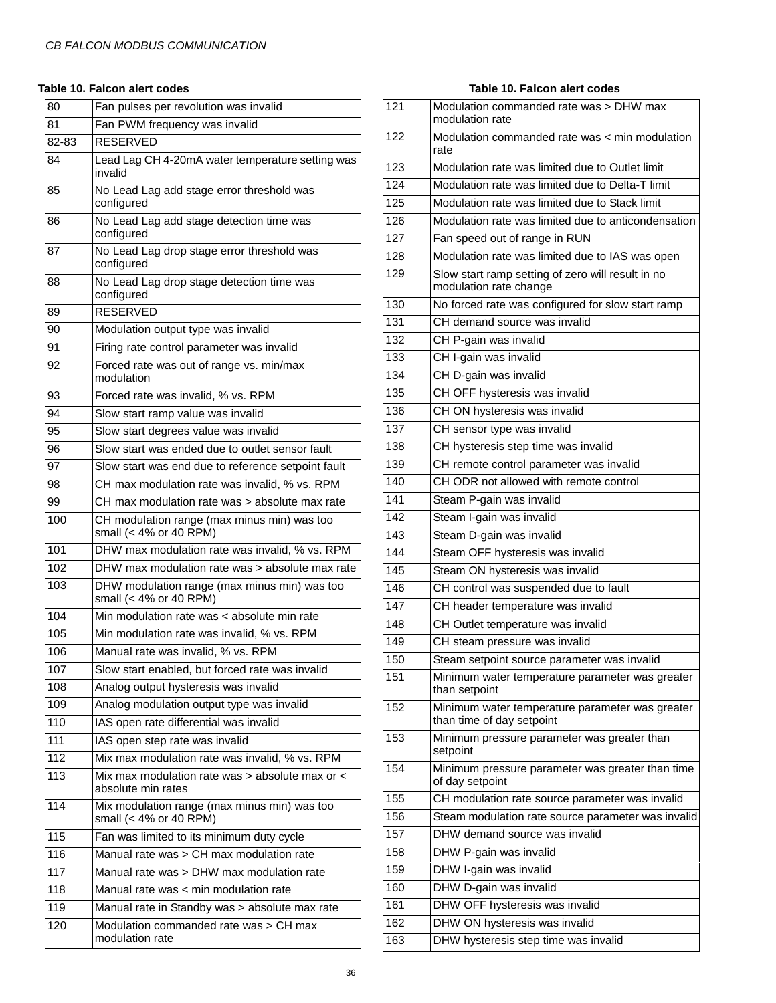| 80    | Fan pulses per revolution was invalid                                  |  |
|-------|------------------------------------------------------------------------|--|
| 81    | Fan PWM frequency was invalid                                          |  |
| 82-83 | <b>RESERVED</b>                                                        |  |
| 84    | Lead Lag CH 4-20mA water temperature setting was<br>invalid            |  |
| 85    | No Lead Lag add stage error threshold was<br>configured                |  |
| 86    | No Lead Lag add stage detection time was<br>configured                 |  |
| 87    | No Lead Lag drop stage error threshold was<br>configured               |  |
| 88    | No Lead Lag drop stage detection time was<br>configured                |  |
| 89    | <b>RESERVED</b>                                                        |  |
| 90    | Modulation output type was invalid                                     |  |
| 91    | Firing rate control parameter was invalid                              |  |
| 92    | Forced rate was out of range vs. min/max<br>modulation                 |  |
| 93    | Forced rate was invalid, % vs. RPM                                     |  |
| 94    | Slow start ramp value was invalid                                      |  |
| 95    | Slow start degrees value was invalid                                   |  |
| 96    | Slow start was ended due to outlet sensor fault                        |  |
| 97    | Slow start was end due to reference setpoint fault                     |  |
| 98    | CH max modulation rate was invalid, % vs. RPM                          |  |
| 99    | CH max modulation rate was > absolute max rate                         |  |
| 100   | CH modulation range (max minus min) was too<br>small (< 4% or 40 RPM)  |  |
| 101   | DHW max modulation rate was invalid, % vs. RPM                         |  |
| 102   | DHW max modulation rate was > absolute max rate                        |  |
| 103   | DHW modulation range (max minus min) was too<br>small (< 4% or 40 RPM) |  |
| 104   | Min modulation rate was < absolute min rate                            |  |
| 105   | Min modulation rate was invalid, % vs. RPM                             |  |
| 106   | Manual rate was invalid, % vs. RPM                                     |  |
| 107   | Slow start enabled, but forced rate was invalid                        |  |
| 108   | Analog output hysteresis was invalid                                   |  |
| 109   | Analog modulation output type was invalid                              |  |
| 110   | IAS open rate differential was invalid                                 |  |
| 111   | IAS open step rate was invalid                                         |  |
| 112   | Mix max modulation rate was invalid, % vs. RPM                         |  |
| 113   | Mix max modulation rate was > absolute max or <<br>absolute min rates  |  |
| 114   | Mix modulation range (max minus min) was too<br>small (< 4% or 40 RPM) |  |
| 115   | Fan was limited to its minimum duty cycle                              |  |
| 116   | Manual rate was > CH max modulation rate                               |  |
| 117   | Manual rate was > DHW max modulation rate                              |  |
| 118   | Manual rate was < min modulation rate                                  |  |
| 119   | Manual rate in Standby was > absolute max rate                         |  |
| 120   | Modulation commanded rate was > CH max<br>modulation rate              |  |

| 121 | Modulation commanded rate was > DHW max<br>modulation rate                   |
|-----|------------------------------------------------------------------------------|
| 122 | Modulation commanded rate was < min modulation<br>rate                       |
| 123 | Modulation rate was limited due to Outlet limit                              |
| 124 | Modulation rate was limited due to Delta-T limit                             |
| 125 | Modulation rate was limited due to Stack limit                               |
| 126 | Modulation rate was limited due to anticondensation                          |
| 127 | Fan speed out of range in RUN                                                |
| 128 | Modulation rate was limited due to IAS was open                              |
| 129 | Slow start ramp setting of zero will result in no<br>modulation rate change  |
| 130 | No forced rate was configured for slow start ramp                            |
| 131 | CH demand source was invalid                                                 |
| 132 | CH P-gain was invalid                                                        |
| 133 | CH I-gain was invalid                                                        |
| 134 | CH D-gain was invalid                                                        |
| 135 | CH OFF hysteresis was invalid                                                |
| 136 | CH ON hysteresis was invalid                                                 |
| 137 | CH sensor type was invalid                                                   |
| 138 | CH hysteresis step time was invalid                                          |
| 139 | CH remote control parameter was invalid                                      |
| 140 | CH ODR not allowed with remote control                                       |
| 141 | Steam P-gain was invalid                                                     |
| 142 | Steam I-gain was invalid                                                     |
| 143 | Steam D-gain was invalid                                                     |
| 144 | Steam OFF hysteresis was invalid                                             |
| 145 | Steam ON hysteresis was invalid                                              |
| 146 | CH control was suspended due to fault                                        |
| 147 | CH header temperature was invalid                                            |
| 148 | CH Outlet temperature was invalid                                            |
| 149 | CH steam pressure was invalid                                                |
| 150 | Steam setpoint source parameter was invalid                                  |
| 151 | Minimum water temperature parameter was greater<br>than setpoint             |
| 152 | Minimum water temperature parameter was greater<br>than time of day setpoint |
| 153 | Minimum pressure parameter was greater than<br>setpoint                      |
| 154 | Minimum pressure parameter was greater than time<br>of day setpoint          |
| 155 | CH modulation rate source parameter was invalid                              |
| 156 | Steam modulation rate source parameter was invalid                           |
| 157 | DHW demand source was invalid                                                |
| 158 | DHW P-gain was invalid                                                       |
| 159 | DHW I-gain was invalid                                                       |
| 160 | DHW D-gain was invalid                                                       |
| 161 | DHW OFF hysteresis was invalid                                               |
| 162 | DHW ON hysteresis was invalid                                                |
| 163 | DHW hysteresis step time was invalid                                         |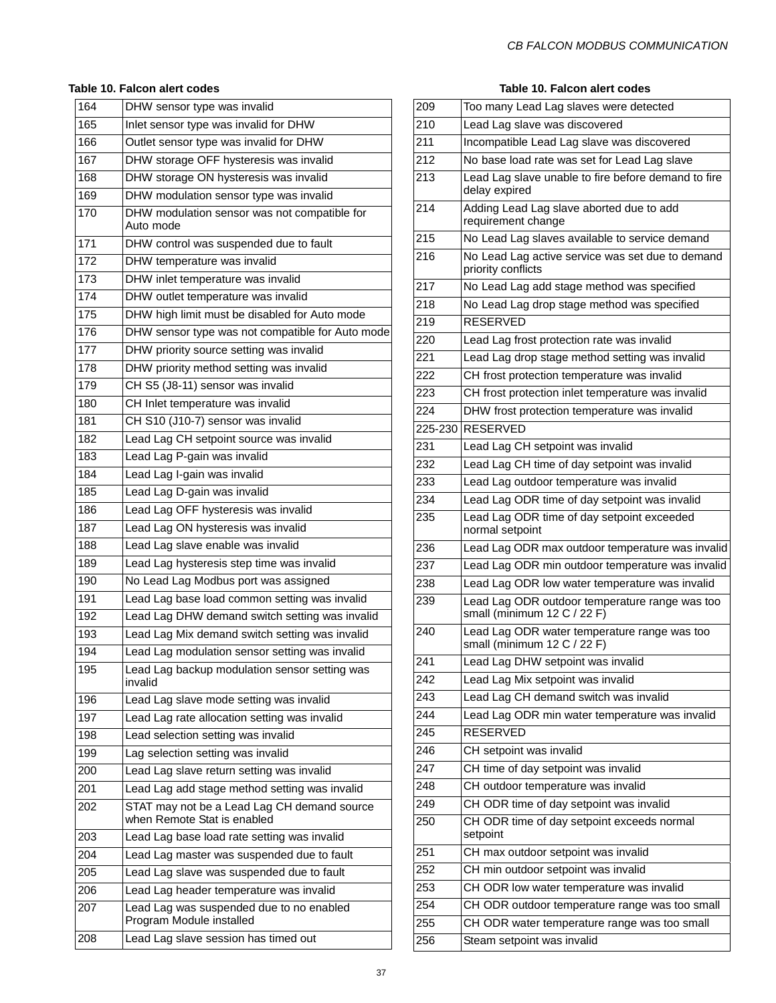| 164 | DHW sensor type was invalid                                                |
|-----|----------------------------------------------------------------------------|
| 165 | Inlet sensor type was invalid for DHW                                      |
| 166 | Outlet sensor type was invalid for DHW                                     |
| 167 | DHW storage OFF hysteresis was invalid                                     |
| 168 | DHW storage ON hysteresis was invalid                                      |
| 169 | DHW modulation sensor type was invalid                                     |
| 170 | DHW modulation sensor was not compatible for<br>Auto mode                  |
| 171 | DHW control was suspended due to fault                                     |
| 172 | DHW temperature was invalid                                                |
| 173 | DHW inlet temperature was invalid                                          |
| 174 | DHW outlet temperature was invalid                                         |
| 175 | DHW high limit must be disabled for Auto mode                              |
| 176 | DHW sensor type was not compatible for Auto mode                           |
| 177 | DHW priority source setting was invalid                                    |
| 178 | DHW priority method setting was invalid                                    |
| 179 | CH S5 (J8-11) sensor was invalid                                           |
| 180 | CH Inlet temperature was invalid                                           |
| 181 | CH S10 (J10-7) sensor was invalid                                          |
| 182 | Lead Lag CH setpoint source was invalid                                    |
| 183 | Lead Lag P-gain was invalid                                                |
| 184 | Lead Lag I-gain was invalid                                                |
| 185 | Lead Lag D-gain was invalid                                                |
| 186 | Lead Lag OFF hysteresis was invalid                                        |
| 187 | Lead Lag ON hysteresis was invalid                                         |
| 188 | Lead Lag slave enable was invalid                                          |
| 189 | Lead Lag hysteresis step time was invalid                                  |
| 190 | No Lead Lag Modbus port was assigned                                       |
| 191 | Lead Lag base load common setting was invalid                              |
| 192 | Lead Lag DHW demand switch setting was invalid                             |
| 193 | Lead Lag Mix demand switch setting was invalid                             |
| 194 | Lead Lag modulation sensor setting was invalid                             |
| 195 | Lead Lag backup modulation sensor setting was<br>invalid                   |
| 196 | Lead Lag slave mode setting was invalid                                    |
| 197 | Lead Lag rate allocation setting was invalid                               |
| 198 | Lead selection setting was invalid                                         |
| 199 | Lag selection setting was invalid                                          |
| 200 | Lead Lag slave return setting was invalid                                  |
| 201 | Lead Lag add stage method setting was invalid                              |
| 202 | STAT may not be a Lead Lag CH demand source<br>when Remote Stat is enabled |
| 203 | Lead Lag base load rate setting was invalid                                |
| 204 | Lead Lag master was suspended due to fault                                 |
| 205 | Lead Lag slave was suspended due to fault                                  |
| 206 | Lead Lag header temperature was invalid                                    |
| 207 | Lead Lag was suspended due to no enabled<br>Program Module installed       |
| 208 | Lead Lag slave session has timed out                                       |

| 209 | Too many Lead Lag slaves were detected                                        |
|-----|-------------------------------------------------------------------------------|
| 210 | Lead Lag slave was discovered                                                 |
| 211 | Incompatible Lead Lag slave was discovered                                    |
| 212 | No base load rate was set for Lead Lag slave                                  |
| 213 | Lead Lag slave unable to fire before demand to fire<br>delay expired          |
| 214 | Adding Lead Lag slave aborted due to add<br>requirement change                |
| 215 | No Lead Lag slaves available to service demand                                |
| 216 | No Lead Lag active service was set due to demand<br>priority conflicts        |
| 217 | No Lead Lag add stage method was specified                                    |
| 218 | No Lead Lag drop stage method was specified                                   |
| 219 | <b>RESERVED</b>                                                               |
| 220 | Lead Lag frost protection rate was invalid                                    |
| 221 | Lead Lag drop stage method setting was invalid                                |
| 222 | CH frost protection temperature was invalid                                   |
| 223 | CH frost protection inlet temperature was invalid                             |
| 224 | DHW frost protection temperature was invalid                                  |
|     | 225-230 RESERVED                                                              |
| 231 | Lead Lag CH setpoint was invalid                                              |
| 232 | Lead Lag CH time of day setpoint was invalid                                  |
| 233 | Lead Lag outdoor temperature was invalid                                      |
| 234 | Lead Lag ODR time of day setpoint was invalid                                 |
| 235 | Lead Lag ODR time of day setpoint exceeded                                    |
|     | normal setpoint                                                               |
| 236 | Lead Lag ODR max outdoor temperature was invalid                              |
| 237 | Lead Lag ODR min outdoor temperature was invalid                              |
| 238 | Lead Lag ODR low water temperature was invalid                                |
| 239 | Lead Lag ODR outdoor temperature range was too<br>small (minimum 12 C / 22 F) |
| 240 | Lead Lag ODR water temperature range was too<br>small (minimum 12 C / 22 F)   |
| 241 | Lead Lag DHW setpoint was invalid                                             |
| 242 | Lead Lag Mix setpoint was invalid                                             |
| 243 | Lead Lag CH demand switch was invalid                                         |
| 244 | Lead Lag ODR min water temperature was invalid                                |
| 245 | <b>RESERVED</b>                                                               |
| 246 | CH setpoint was invalid                                                       |
| 247 | CH time of day setpoint was invalid                                           |
| 248 | CH outdoor temperature was invalid                                            |
| 249 | CH ODR time of day setpoint was invalid                                       |
| 250 | CH ODR time of day setpoint exceeds normal<br>setpoint                        |
| 251 | CH max outdoor setpoint was invalid                                           |
| 252 | CH min outdoor setpoint was invalid                                           |
| 253 | CH ODR low water temperature was invalid                                      |
| 254 | CH ODR outdoor temperature range was too small                                |
| 255 | CH ODR water temperature range was too small                                  |
| 256 | Steam setpoint was invalid                                                    |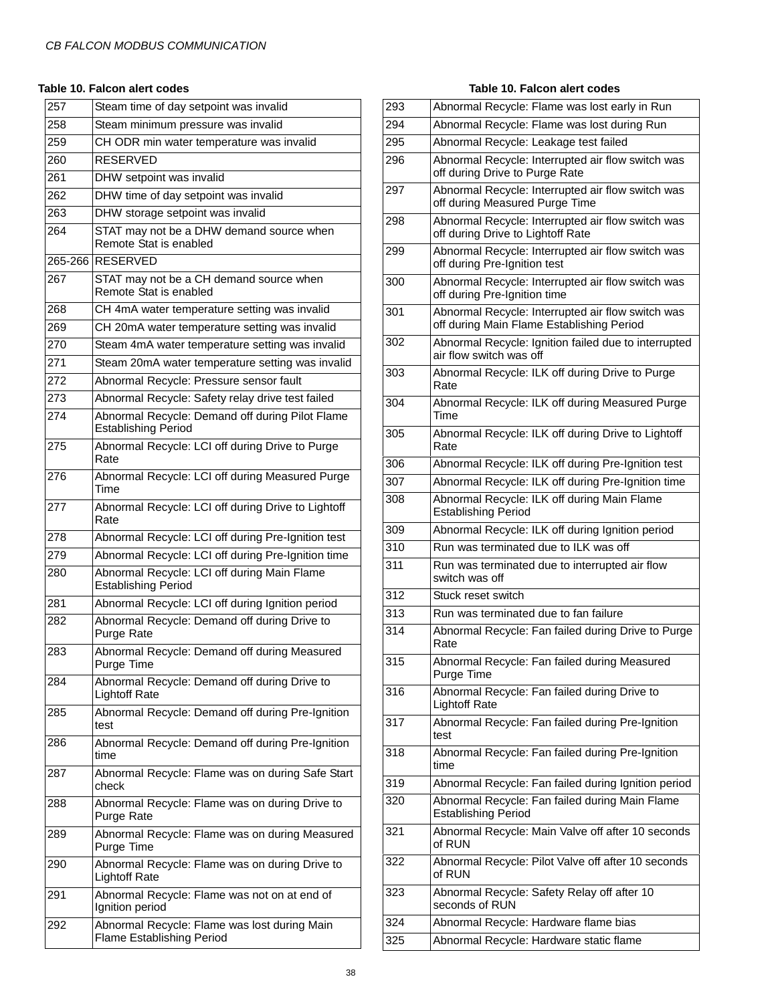| 257 | Steam time of day setpoint was invalid                                        |
|-----|-------------------------------------------------------------------------------|
| 258 | Steam minimum pressure was invalid                                            |
| 259 | CH ODR min water temperature was invalid                                      |
| 260 | <b>RESERVED</b>                                                               |
| 261 | DHW setpoint was invalid                                                      |
| 262 | DHW time of day setpoint was invalid                                          |
| 263 | DHW storage setpoint was invalid                                              |
| 264 | STAT may not be a DHW demand source when<br>Remote Stat is enabled            |
|     | 265-266 RESERVED                                                              |
| 267 | STAT may not be a CH demand source when<br>Remote Stat is enabled             |
| 268 | CH 4mA water temperature setting was invalid                                  |
| 269 | CH 20mA water temperature setting was invalid                                 |
| 270 | Steam 4mA water temperature setting was invalid                               |
| 271 | Steam 20mA water temperature setting was invalid                              |
| 272 | Abnormal Recycle: Pressure sensor fault                                       |
| 273 | Abnormal Recycle: Safety relay drive test failed                              |
| 274 | Abnormal Recycle: Demand off during Pilot Flame<br><b>Establishing Period</b> |
| 275 | Abnormal Recycle: LCI off during Drive to Purge<br>Rate                       |
| 276 | Abnormal Recycle: LCI off during Measured Purge<br>Time                       |
| 277 | Abnormal Recycle: LCI off during Drive to Lightoff<br>Rate                    |
| 278 | Abnormal Recycle: LCI off during Pre-Ignition test                            |
| 279 | Abnormal Recycle: LCI off during Pre-Ignition time                            |
| 280 | Abnormal Recycle: LCI off during Main Flame<br><b>Establishing Period</b>     |
| 281 | Abnormal Recycle: LCI off during Ignition period                              |
| 282 | Abnormal Recycle: Demand off during Drive to<br>Purge Rate                    |
| 283 | Abnormal Recycle: Demand off during Measured<br>Purge Time                    |
| 284 | Abnormal Recycle: Demand off during Drive to<br><b>Lightoff Rate</b>          |
| 285 | Abnormal Recycle: Demand off during Pre-Ignition<br>test                      |
| 286 | Abnormal Recycle: Demand off during Pre-Ignition<br>time                      |
| 287 | Abnormal Recycle: Flame was on during Safe Start<br>check                     |
| 288 | Abnormal Recycle: Flame was on during Drive to<br>Purge Rate                  |
| 289 | Abnormal Recycle: Flame was on during Measured<br>Purge Time                  |
| 290 | Abnormal Recycle: Flame was on during Drive to<br><b>Lightoff Rate</b>        |
| 291 | Abnormal Recycle: Flame was not on at end of<br>Ignition period               |
| 292 | Abnormal Recycle: Flame was lost during Main<br>Flame Establishing Period     |

| 293 | Abnormal Recycle: Flame was lost early in Run                                                  |  |  |  |
|-----|------------------------------------------------------------------------------------------------|--|--|--|
| 294 | Abnormal Recycle: Flame was lost during Run                                                    |  |  |  |
| 295 | Abnormal Recycle: Leakage test failed                                                          |  |  |  |
| 296 | Abnormal Recycle: Interrupted air flow switch was<br>off during Drive to Purge Rate            |  |  |  |
| 297 | Abnormal Recycle: Interrupted air flow switch was<br>off during Measured Purge Time            |  |  |  |
| 298 | Abnormal Recycle: Interrupted air flow switch was<br>off during Drive to Lightoff Rate         |  |  |  |
| 299 | Abnormal Recycle: Interrupted air flow switch was<br>off during Pre-Ignition test              |  |  |  |
| 300 | Abnormal Recycle: Interrupted air flow switch was<br>off during Pre-Ignition time              |  |  |  |
| 301 | Abnormal Recycle: Interrupted air flow switch was<br>off during Main Flame Establishing Period |  |  |  |
| 302 | Abnormal Recycle: Ignition failed due to interrupted<br>air flow switch was off                |  |  |  |
| 303 | Abnormal Recycle: ILK off during Drive to Purge<br>Rate                                        |  |  |  |
| 304 | Abnormal Recycle: ILK off during Measured Purge<br>Time                                        |  |  |  |
| 305 | Abnormal Recycle: ILK off during Drive to Lightoff<br>Rate                                     |  |  |  |
| 306 | Abnormal Recycle: ILK off during Pre-Ignition test                                             |  |  |  |
| 307 | Abnormal Recycle: ILK off during Pre-Ignition time                                             |  |  |  |
| 308 | Abnormal Recycle: ILK off during Main Flame<br><b>Establishing Period</b>                      |  |  |  |
| 309 | Abnormal Recycle: ILK off during Ignition period                                               |  |  |  |
| 310 | Run was terminated due to ILK was off                                                          |  |  |  |
| 311 | Run was terminated due to interrupted air flow<br>switch was off                               |  |  |  |
| 312 | Stuck reset switch                                                                             |  |  |  |
| 313 | Run was terminated due to fan failure                                                          |  |  |  |
| 314 | Abnormal Recycle: Fan failed during Drive to Purge<br>Rate                                     |  |  |  |
| 315 | Abnormal Recycle: Fan failed during Measured<br>Purge Time                                     |  |  |  |
| 316 | Abnormal Recycle: Fan failed during Drive to<br><b>Lightoff Rate</b>                           |  |  |  |
| 317 | Abnormal Recycle: Fan failed during Pre-Ignition<br>test                                       |  |  |  |
| 318 | Abnormal Recycle: Fan failed during Pre-Ignition<br>time                                       |  |  |  |
| 319 | Abnormal Recycle: Fan failed during Ignition period                                            |  |  |  |
| 320 | Abnormal Recycle: Fan failed during Main Flame<br><b>Establishing Period</b>                   |  |  |  |
| 321 | Abnormal Recycle: Main Valve off after 10 seconds<br>of RUN                                    |  |  |  |
| 322 | Abnormal Recycle: Pilot Valve off after 10 seconds<br>of RUN                                   |  |  |  |
| 323 | Abnormal Recycle: Safety Relay off after 10<br>seconds of RUN                                  |  |  |  |
| 324 | Abnormal Recycle: Hardware flame bias                                                          |  |  |  |
| 325 | Abnormal Recycle: Hardware static flame                                                        |  |  |  |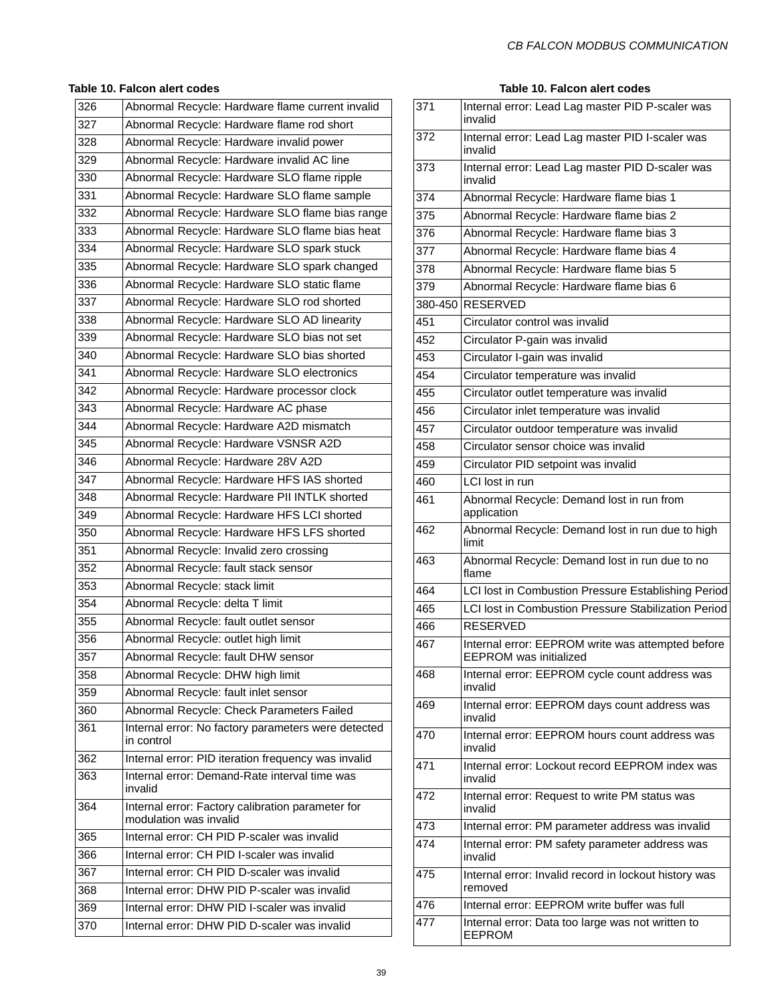| 326 | Abnormal Recycle: Hardware flame current invalid                            |
|-----|-----------------------------------------------------------------------------|
| 327 | Abnormal Recycle: Hardware flame rod short                                  |
| 328 | Abnormal Recycle: Hardware invalid power                                    |
| 329 | Abnormal Recycle: Hardware invalid AC line                                  |
| 330 | Abnormal Recycle: Hardware SLO flame ripple                                 |
| 331 | Abnormal Recycle: Hardware SLO flame sample                                 |
| 332 | Abnormal Recycle: Hardware SLO flame bias range                             |
| 333 | Abnormal Recycle: Hardware SLO flame bias heat                              |
| 334 | Abnormal Recycle: Hardware SLO spark stuck                                  |
| 335 | Abnormal Recycle: Hardware SLO spark changed                                |
| 336 | Abnormal Recycle: Hardware SLO static flame                                 |
| 337 | Abnormal Recycle: Hardware SLO rod shorted                                  |
| 338 | Abnormal Recycle: Hardware SLO AD linearity                                 |
| 339 | Abnormal Recycle: Hardware SLO bias not set                                 |
| 340 | Abnormal Recycle: Hardware SLO bias shorted                                 |
| 341 | Abnormal Recycle: Hardware SLO electronics                                  |
| 342 | Abnormal Recycle: Hardware processor clock                                  |
| 343 | Abnormal Recycle: Hardware AC phase                                         |
| 344 | Abnormal Recycle: Hardware A2D mismatch                                     |
| 345 | Abnormal Recycle: Hardware VSNSR A2D                                        |
| 346 | Abnormal Recycle: Hardware 28V A2D                                          |
| 347 | Abnormal Recycle: Hardware HFS IAS shorted                                  |
| 348 | Abnormal Recycle: Hardware PII INTLK shorted                                |
| 349 | Abnormal Recycle: Hardware HFS LCI shorted                                  |
| 350 | Abnormal Recycle: Hardware HFS LFS shorted                                  |
| 351 | Abnormal Recycle: Invalid zero crossing                                     |
| 352 | Abnormal Recycle: fault stack sensor                                        |
| 353 | Abnormal Recycle: stack limit                                               |
| 354 | Abnormal Recycle: delta T limit                                             |
| 355 | Abnormal Recycle: fault outlet sensor                                       |
| 356 | Abnormal Recycle: outlet high limit                                         |
| 357 | Abnormal Recycle: fault DHW sensor                                          |
| 358 | Abnormal Recycle: DHW high limit                                            |
| 359 | Abnormal Recycle: fault inlet sensor                                        |
| 360 | Abnormal Recycle: Check Parameters Failed                                   |
| 361 | Internal error: No factory parameters were detected<br>in control           |
| 362 | Internal error: PID iteration frequency was invalid                         |
| 363 | Internal error: Demand-Rate interval time was<br>invalid                    |
| 364 | Internal error: Factory calibration parameter for<br>modulation was invalid |
| 365 | Internal error: CH PID P-scaler was invalid                                 |
| 366 | Internal error: CH PID I-scaler was invalid                                 |
| 367 | Internal error: CH PID D-scaler was invalid                                 |
| 368 | Internal error: DHW PID P-scaler was invalid                                |
| 369 | Internal error: DHW PID I-scaler was invalid                                |
| 370 | Internal error: DHW PID D-scaler was invalid                                |
|     |                                                                             |

| 371     | Internal error: Lead Lag master PID P-scaler was<br>invalid                        |  |  |  |
|---------|------------------------------------------------------------------------------------|--|--|--|
| 372     | Internal error: Lead Lag master PID I-scaler was<br>invalid                        |  |  |  |
| 373     | Internal error: Lead Lag master PID D-scaler was<br>invalid                        |  |  |  |
| 374     | Abnormal Recycle: Hardware flame bias 1                                            |  |  |  |
| 375     | Abnormal Recycle: Hardware flame bias 2                                            |  |  |  |
| 376     | Abnormal Recycle: Hardware flame bias 3                                            |  |  |  |
| 377     | Abnormal Recycle: Hardware flame bias 4                                            |  |  |  |
| 378     | Abnormal Recycle: Hardware flame bias 5                                            |  |  |  |
| 379     | Abnormal Recycle: Hardware flame bias 6                                            |  |  |  |
| 380-450 | RESERVED                                                                           |  |  |  |
| 451     | Circulator control was invalid                                                     |  |  |  |
| 452     | Circulator P-gain was invalid                                                      |  |  |  |
| 453     | Circulator I-gain was invalid                                                      |  |  |  |
| 454     | Circulator temperature was invalid                                                 |  |  |  |
| 455     | Circulator outlet temperature was invalid                                          |  |  |  |
| 456     | Circulator inlet temperature was invalid                                           |  |  |  |
| 457     | Circulator outdoor temperature was invalid                                         |  |  |  |
| 458     | Circulator sensor choice was invalid                                               |  |  |  |
| 459     | Circulator PID setpoint was invalid                                                |  |  |  |
| 460     | LCI lost in run                                                                    |  |  |  |
| 461     | Abnormal Recycle: Demand lost in run from<br>application                           |  |  |  |
| 462     | Abnormal Recycle: Demand lost in run due to high<br>limit                          |  |  |  |
| 463     | Abnormal Recycle: Demand lost in run due to no<br>flame                            |  |  |  |
| 464     | LCI lost in Combustion Pressure Establishing Period                                |  |  |  |
| 465     | LCI lost in Combustion Pressure Stabilization Period                               |  |  |  |
| 466     | <b>RESERVED</b>                                                                    |  |  |  |
| 467     | Internal error: EEPROM write was attempted before<br><b>EEPROM</b> was initialized |  |  |  |
| 468     | Internal error: EEPROM cycle count address was<br>invalid                          |  |  |  |
| 469     | Internal error: EEPROM days count address was<br>invalid                           |  |  |  |
| 470     | Internal error: EEPROM hours count address was<br>invalid                          |  |  |  |
| 471     | Internal error: Lockout record EEPROM index was<br>invalid                         |  |  |  |
| 472     | Internal error: Request to write PM status was<br>invalid                          |  |  |  |
| 473     | Internal error: PM parameter address was invalid                                   |  |  |  |
| 474     | Internal error: PM safety parameter address was<br>invalid                         |  |  |  |
| 475     | Internal error: Invalid record in lockout history was<br>removed                   |  |  |  |
| 476     | Internal error: EEPROM write buffer was full                                       |  |  |  |
| 477     | Internal error: Data too large was not written to<br>EEPROM                        |  |  |  |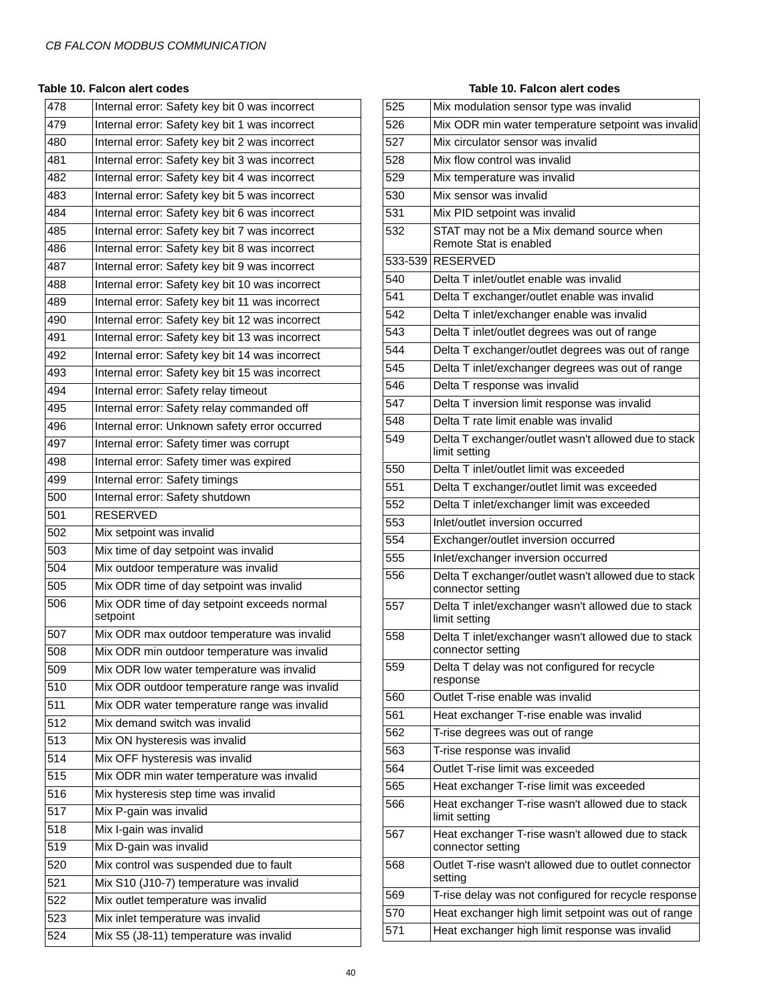| 478 | Internal error: Safety key bit 0 was incorrect          |  |  |  |
|-----|---------------------------------------------------------|--|--|--|
| 479 | Internal error: Safety key bit 1 was incorrect          |  |  |  |
| 480 | Internal error: Safety key bit 2 was incorrect          |  |  |  |
| 481 | Internal error: Safety key bit 3 was incorrect          |  |  |  |
| 482 | Internal error: Safety key bit 4 was incorrect          |  |  |  |
| 483 | Internal error: Safety key bit 5 was incorrect          |  |  |  |
| 484 | Internal error: Safety key bit 6 was incorrect          |  |  |  |
| 485 | Internal error: Safety key bit 7 was incorrect          |  |  |  |
| 486 | Internal error: Safety key bit 8 was incorrect          |  |  |  |
| 487 | Internal error: Safety key bit 9 was incorrect          |  |  |  |
| 488 | Internal error: Safety key bit 10 was incorrect         |  |  |  |
| 489 | Internal error: Safety key bit 11 was incorrect         |  |  |  |
| 490 | Internal error: Safety key bit 12 was incorrect         |  |  |  |
| 491 | Internal error: Safety key bit 13 was incorrect         |  |  |  |
| 492 | Internal error: Safety key bit 14 was incorrect         |  |  |  |
| 493 | Internal error: Safety key bit 15 was incorrect         |  |  |  |
| 494 | Internal error: Safety relay timeout                    |  |  |  |
| 495 | Internal error: Safety relay commanded off              |  |  |  |
| 496 | Internal error: Unknown safety error occurred           |  |  |  |
| 497 | Internal error: Safety timer was corrupt                |  |  |  |
| 498 | Internal error: Safety timer was expired                |  |  |  |
| 499 | Internal error: Safety timings                          |  |  |  |
| 500 | Internal error: Safety shutdown                         |  |  |  |
| 501 | <b>RESERVED</b>                                         |  |  |  |
| 502 | Mix setpoint was invalid                                |  |  |  |
| 503 | Mix time of day setpoint was invalid                    |  |  |  |
| 504 | Mix outdoor temperature was invalid                     |  |  |  |
| 505 | Mix ODR time of day setpoint was invalid                |  |  |  |
| 506 | Mix ODR time of day setpoint exceeds normal<br>setpoint |  |  |  |
| 507 | Mix ODR max outdoor temperature was invalid             |  |  |  |
| 508 | Mix ODR min outdoor temperature was invalid             |  |  |  |
| 509 | Mix ODR low water temperature was invalid               |  |  |  |
| 510 | Mix ODR outdoor temperature range was invalid           |  |  |  |
| 511 | Mix ODR water temperature range was invalid             |  |  |  |
| 512 | Mix demand switch was invalid                           |  |  |  |
| 513 | Mix ON hysteresis was invalid                           |  |  |  |
| 514 | Mix OFF hysteresis was invalid                          |  |  |  |
| 515 | Mix ODR min water temperature was invalid               |  |  |  |
| 516 | Mix hysteresis step time was invalid                    |  |  |  |
| 517 | Mix P-gain was invalid                                  |  |  |  |
| 518 | Mix I-gain was invalid                                  |  |  |  |
| 519 | Mix D-gain was invalid                                  |  |  |  |
| 520 | Mix control was suspended due to fault                  |  |  |  |
| 521 | Mix S10 (J10-7) temperature was invalid                 |  |  |  |
| 522 | Mix outlet temperature was invalid                      |  |  |  |
| 523 | Mix inlet temperature was invalid                       |  |  |  |
| 524 | Mix S5 (J8-11) temperature was invalid                  |  |  |  |
|     |                                                         |  |  |  |

| 525              | Mix modulation sensor type was invalid                                    |  |  |  |
|------------------|---------------------------------------------------------------------------|--|--|--|
| 526              | Mix ODR min water temperature setpoint was invalid                        |  |  |  |
| 527              | Mix circulator sensor was invalid                                         |  |  |  |
| 528              | Mix flow control was invalid                                              |  |  |  |
| 529              | Mix temperature was invalid                                               |  |  |  |
| 530              | Mix sensor was invalid                                                    |  |  |  |
| 531              | Mix PID setpoint was invalid                                              |  |  |  |
| 532              | STAT may not be a Mix demand source when<br>Remote Stat is enabled        |  |  |  |
|                  | 533-539 RESERVED                                                          |  |  |  |
| 540              | Delta T inlet/outlet enable was invalid                                   |  |  |  |
| 541              | Delta T exchanger/outlet enable was invalid                               |  |  |  |
| 542              | Delta T inlet/exchanger enable was invalid                                |  |  |  |
| 543              | Delta T inlet/outlet degrees was out of range                             |  |  |  |
| 544              | Delta T exchanger/outlet degrees was out of range                         |  |  |  |
| 545              | Delta T inlet/exchanger degrees was out of range                          |  |  |  |
| 546              | Delta T response was invalid                                              |  |  |  |
| 547              | Delta T inversion limit response was invalid                              |  |  |  |
| 548              | Delta T rate limit enable was invalid                                     |  |  |  |
| 549              |                                                                           |  |  |  |
|                  | Delta T exchanger/outlet wasn't allowed due to stack<br>limit setting     |  |  |  |
| 550              | Delta T inlet/outlet limit was exceeded                                   |  |  |  |
| 551              | Delta T exchanger/outlet limit was exceeded                               |  |  |  |
| 552              | Delta T inlet/exchanger limit was exceeded                                |  |  |  |
| 553              | Inlet/outlet inversion occurred                                           |  |  |  |
| 554              | Exchanger/outlet inversion occurred                                       |  |  |  |
| 555              | Inlet/exchanger inversion occurred                                        |  |  |  |
| 556              | Delta T exchanger/outlet wasn't allowed due to stack<br>connector setting |  |  |  |
| 557              | Delta T inlet/exchanger wasn't allowed due to stack<br>limit setting      |  |  |  |
| 558              | Delta T inlet/exchanger wasn't allowed due to stack<br>connector setting  |  |  |  |
| 559              | Delta T delay was not configured for recycle<br>response                  |  |  |  |
| 560              | Outlet T-rise enable was invalid                                          |  |  |  |
| $\overline{561}$ | Heat exchanger T-rise enable was invalid                                  |  |  |  |
| 562              | T-rise degrees was out of range                                           |  |  |  |
| 563              | T-rise response was invalid                                               |  |  |  |
| 564              | Outlet T-rise limit was exceeded                                          |  |  |  |
| 565              | Heat exchanger T-rise limit was exceeded                                  |  |  |  |
| 566              | Heat exchanger T-rise wasn't allowed due to stack<br>limit setting        |  |  |  |
| 567              | Heat exchanger T-rise wasn't allowed due to stack<br>connector setting    |  |  |  |
| 568              | Outlet T-rise wasn't allowed due to outlet connector<br>setting           |  |  |  |
| 569              | T-rise delay was not configured for recycle response                      |  |  |  |
| 570              | Heat exchanger high limit setpoint was out of range                       |  |  |  |
| 571              | Heat exchanger high limit response was invalid                            |  |  |  |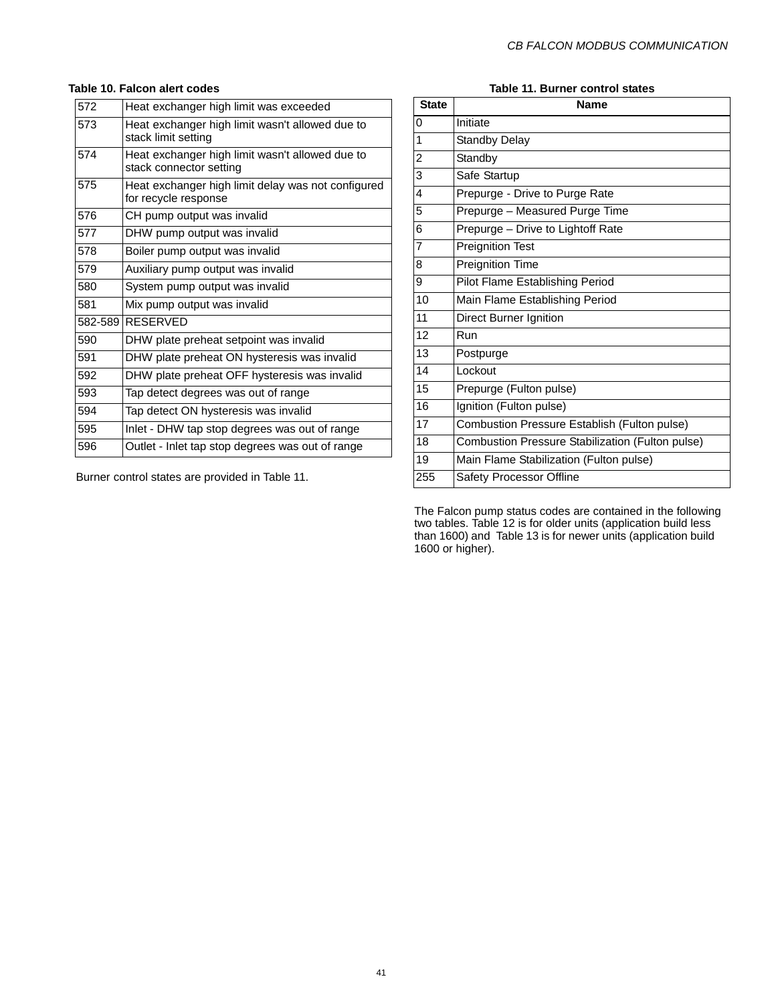| 572     | Heat exchanger high limit was exceeded                                     |  |  |  |
|---------|----------------------------------------------------------------------------|--|--|--|
| 573     | Heat exchanger high limit wasn't allowed due to<br>stack limit setting     |  |  |  |
| 574     | Heat exchanger high limit wasn't allowed due to<br>stack connector setting |  |  |  |
| 575     | Heat exchanger high limit delay was not configured<br>for recycle response |  |  |  |
| 576     | CH pump output was invalid                                                 |  |  |  |
| 577     | DHW pump output was invalid                                                |  |  |  |
| 578     | Boiler pump output was invalid                                             |  |  |  |
| 579     | Auxiliary pump output was invalid                                          |  |  |  |
| 580     | System pump output was invalid                                             |  |  |  |
| 581     | Mix pump output was invalid                                                |  |  |  |
| 582-589 | <b>RESERVED</b>                                                            |  |  |  |
| 590     | DHW plate preheat setpoint was invalid                                     |  |  |  |
| 591     | DHW plate preheat ON hysteresis was invalid                                |  |  |  |
| 592     | DHW plate preheat OFF hysteresis was invalid                               |  |  |  |
| 593     | Tap detect degrees was out of range                                        |  |  |  |
| 594     | Tap detect ON hysteresis was invalid                                       |  |  |  |
| 595     | Inlet - DHW tap stop degrees was out of range                              |  |  |  |
| 596     | Outlet - Inlet tap stop degrees was out of range                           |  |  |  |

Burner control states are provided in Table 11.

#### **Table 10. Falcon alert codes Table 11. Burner control states**

| <b>State</b>   | Name                                             |  |  |
|----------------|--------------------------------------------------|--|--|
| 0              | Initiate                                         |  |  |
| 1              | <b>Standby Delay</b>                             |  |  |
| $\overline{2}$ | Standby                                          |  |  |
| 3              | Safe Startup                                     |  |  |
| 4              | Prepurge - Drive to Purge Rate                   |  |  |
| 5              | Prepurge - Measured Purge Time                   |  |  |
| 6              | Prepurge - Drive to Lightoff Rate                |  |  |
| $\overline{7}$ | <b>Preignition Test</b>                          |  |  |
| 8              | Preignition Time                                 |  |  |
| 9              | Pilot Flame Establishing Period                  |  |  |
| 10             | Main Flame Establishing Period                   |  |  |
| 11             | Direct Burner Ignition                           |  |  |
| 12             | Run                                              |  |  |
| 13             | Postpurge                                        |  |  |
| 14             | Lockout                                          |  |  |
| 15             | Prepurge (Fulton pulse)                          |  |  |
| 16             | Ignition (Fulton pulse)                          |  |  |
| 17             | Combustion Pressure Establish (Fulton pulse)     |  |  |
| 18             | Combustion Pressure Stabilization (Fulton pulse) |  |  |
| 19             | Main Flame Stabilization (Fulton pulse)          |  |  |
| 255            | Safety Processor Offline                         |  |  |

The Falcon pump status codes are contained in the following two tables. Table 12 is for older units (application build less than 1600) and Table 13 is for newer units (application build 1600 or higher).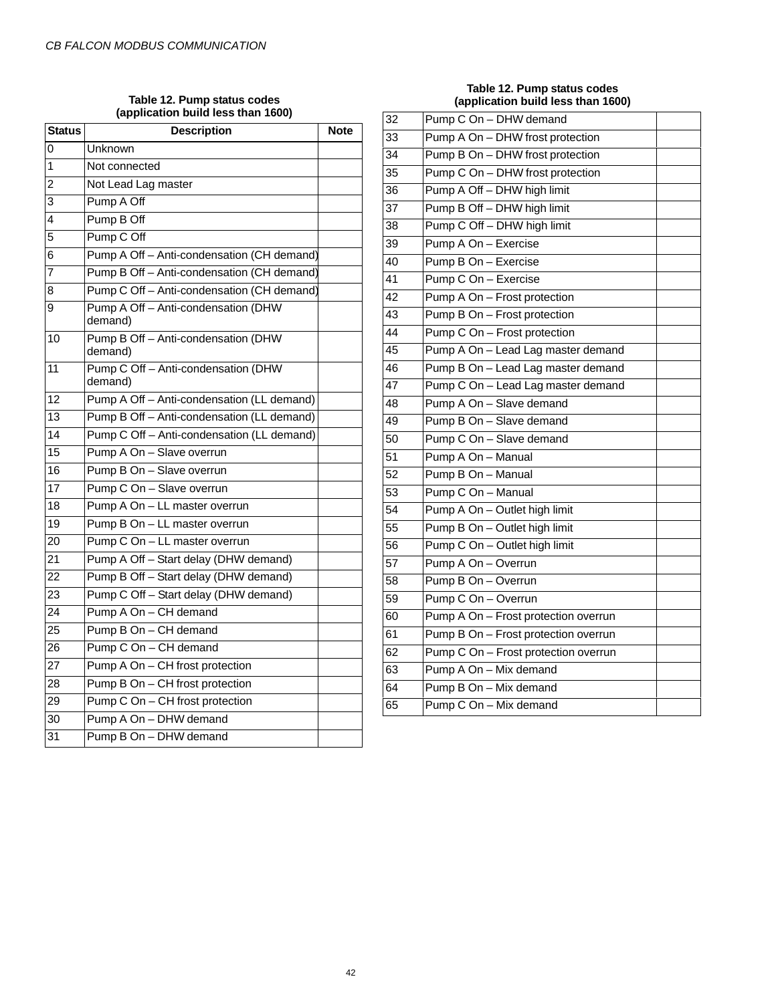#### **Table 12. Pump status codes (application build less than 1600)**

| <b>Status</b>   | <b>Description</b>                             | <b>Note</b> |
|-----------------|------------------------------------------------|-------------|
| 0               | Unknown                                        |             |
| 1               | Not connected                                  |             |
| 2               | Not Lead Lag master                            |             |
| 3               | Pump A Off                                     |             |
| 4               | Pump B Off                                     |             |
| 5               | Pump C Off                                     |             |
| 6               | Pump A Off - Anti-condensation (CH demand)     |             |
| 7               | Pump B Off - Anti-condensation (CH demand)     |             |
| 8               | Pump C Off - Anti-condensation (CH demand)     |             |
| 9               | Pump A Off - Anti-condensation (DHW<br>demand) |             |
| 10              | Pump B Off - Anti-condensation (DHW<br>demand) |             |
| 11              | Pump C Off - Anti-condensation (DHW<br>demand) |             |
| $\overline{12}$ | Pump A Off - Anti-condensation (LL demand)     |             |
| 13              | Pump B Off - Anti-condensation (LL demand)     |             |
| 14              | Pump C Off - Anti-condensation (LL demand)     |             |
| 15              | Pump A On - Slave overrun                      |             |
| 16              | Pump B On - Slave overrun                      |             |
| 17              | Pump C On - Slave overrun                      |             |
| 18              | Pump A On - LL master overrun                  |             |
| 19              | Pump B On - LL master overrun                  |             |
| 20              | Pump C On - LL master overrun                  |             |
| 21              | Pump A Off - Start delay (DHW demand)          |             |
| 22              | Pump B Off - Start delay (DHW demand)          |             |
| 23              | Pump C Off - Start delay (DHW demand)          |             |
| 24              | Pump A On - CH demand                          |             |
| 25              | Pump B On - CH demand                          |             |
| 26              | Pump C On - CH demand                          |             |
| 27              | Pump A On - CH frost protection                |             |
| 28              | Pump B On - CH frost protection                |             |
| 29              | Pump C On - CH frost protection                |             |
| 30              | Pump A On - DHW demand                         |             |
| 31              | Pump B On - DHW demand                         |             |

#### **Table 12. Pump status codes (application build less than 1600)**

| Pump C On - DHW demand               |  |
|--------------------------------------|--|
| Pump A On - DHW frost protection     |  |
| Pump B On - DHW frost protection     |  |
| Pump C On - DHW frost protection     |  |
| Pump A Off - DHW high limit          |  |
| Pump B Off - DHW high limit          |  |
| Pump C Off - DHW high limit          |  |
| Pump A On - Exercise                 |  |
| Pump B On - Exercise                 |  |
| Pump C On - Exercise                 |  |
| Pump A On - Frost protection         |  |
| Pump B On - Frost protection         |  |
| Pump C On - Frost protection         |  |
| Pump A On - Lead Lag master demand   |  |
| Pump B On - Lead Lag master demand   |  |
| Pump C On - Lead Lag master demand   |  |
| Pump A On - Slave demand             |  |
| Pump B On - Slave demand             |  |
| Pump C On - Slave demand             |  |
| Pump A On - Manual                   |  |
| Pump B On - Manual                   |  |
| Pump C On - Manual                   |  |
| Pump A On - Outlet high limit        |  |
| Pump B On - Outlet high limit        |  |
| Pump C On - Outlet high limit        |  |
| Pump A On - Overrun                  |  |
| Pump B On - Overrun                  |  |
| Pump C On - Overrun                  |  |
| Pump A On - Frost protection overrun |  |
| Pump B On - Frost protection overrun |  |
| Pump C On - Frost protection overrun |  |
| Pump A On - Mix demand               |  |
| Pump B On - Mix demand               |  |
| Pump C On - Mix demand               |  |
|                                      |  |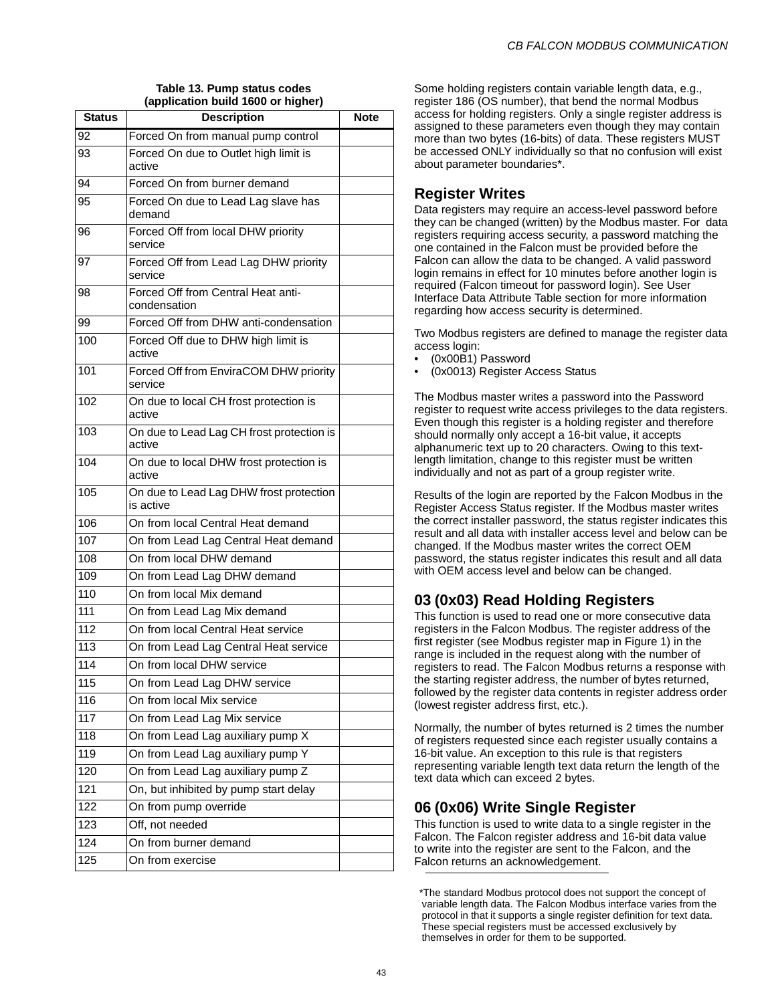#### **Table 13. Pump status codes (application build 1600 or higher)**

| <b>Status</b> | <b>Description</b>                                   | <b>Note</b> |
|---------------|------------------------------------------------------|-------------|
| 92            | Forced On from manual pump control                   |             |
| 93            | Forced On due to Outlet high limit is<br>active      |             |
| 94            | Forced On from burner demand                         |             |
| 95            | Forced On due to Lead Lag slave has<br>demand        |             |
| 96            | Forced Off from local DHW priority<br>service        |             |
| 97            | Forced Off from Lead Lag DHW priority<br>service     |             |
| 98            | Forced Off from Central Heat anti-<br>condensation   |             |
| 99            | Forced Off from DHW anti-condensation                |             |
| 100           | Forced Off due to DHW high limit is<br>active        |             |
| 101           | Forced Off from EnviraCOM DHW priority<br>service    |             |
| 102           | On due to local CH frost protection is<br>active     |             |
| 103           | On due to Lead Lag CH frost protection is<br>active  |             |
| 104           | On due to local DHW frost protection is<br>active    |             |
| 105           | On due to Lead Lag DHW frost protection<br>is active |             |
| 106           | On from local Central Heat demand                    |             |
| 107           | On from Lead Lag Central Heat demand                 |             |
| 108           | On from local DHW demand                             |             |
| 109           | On from Lead Lag DHW demand                          |             |
| 110           | On from local Mix demand                             |             |
| 111           | On from Lead Lag Mix demand                          |             |
| 112           | On from local Central Heat service                   |             |
| 113           | On from Lead Lag Central Heat service                |             |
| 114           | On from local DHW service                            |             |
| 115           | On from Lead Lag DHW service                         |             |
| 116           | On from local Mix service                            |             |
| 117           | On from Lead Lag Mix service                         |             |
| 118           | On from Lead Lag auxiliary pump X                    |             |
| 119           | On from Lead Lag auxiliary pump Y                    |             |
| 120           | On from Lead Lag auxiliary pump Z                    |             |
| 121           | On, but inhibited by pump start delay                |             |
| 122           | On from pump override                                |             |
| 123           | Off, not needed                                      |             |
| 124           | On from burner demand                                |             |
| 125           | On from exercise                                     |             |

Some holding registers contain variable length data, e.g., register 186 (OS number), that bend the normal Modbus access for holding registers. Only a single register address is assigned to these parameters even though they may contain more than two bytes (16-bits) of data. These registers MUST be accessed ONLY individually so that no confusion will exist about parameter boundaries\*.

## **Register Writes**

Data registers may require an access-level password before they can be changed (written) by the Modbus master. For data registers requiring access security, a password matching the one contained in the Falcon must be provided before the Falcon can allow the data to be changed. A valid password login remains in effect for 10 minutes before another login is required (Falcon timeout for password login). See User Interface Data Attribute Table section for more information regarding how access security is determined.

Two Modbus registers are defined to manage the register data access login:

- (0x00B1) Password
- (0x0013) Register Access Status

The Modbus master writes a password into the Password register to request write access privileges to the data registers. Even though this register is a holding register and therefore should normally only accept a 16-bit value, it accepts alphanumeric text up to 20 characters. Owing to this textlength limitation, change to this register must be written individually and not as part of a group register write.

Results of the login are reported by the Falcon Modbus in the Register Access Status register. If the Modbus master writes the correct installer password, the status register indicates this result and all data with installer access level and below can be changed. If the Modbus master writes the correct OEM password, the status register indicates this result and all data with OEM access level and below can be changed.

# **03 (0x03) Read Holding Registers**

This function is used to read one or more consecutive data registers in the Falcon Modbus. The register address of the first register (see Modbus register map in Figure 1) in the range is included in the request along with the number of registers to read. The Falcon Modbus returns a response with the starting register address, the number of bytes returned, followed by the register data contents in register address order (lowest register address first, etc.).

Normally, the number of bytes returned is 2 times the number of registers requested since each register usually contains a 16-bit value. An exception to this rule is that registers representing variable length text data return the length of the text data which can exceed 2 bytes.

# **06 (0x06) Write Single Register**

This function is used to write data to a single register in the Falcon. The Falcon register address and 16-bit data value to write into the register are sent to the Falcon, and the Falcon returns an acknowledgement.

 <sup>\*</sup>The standard Modbus protocol does not support the concept of variable length data. The Falcon Modbus interface varies from the protocol in that it supports a single register definition for text data. These special registers must be accessed exclusively by themselves in order for them to be supported.